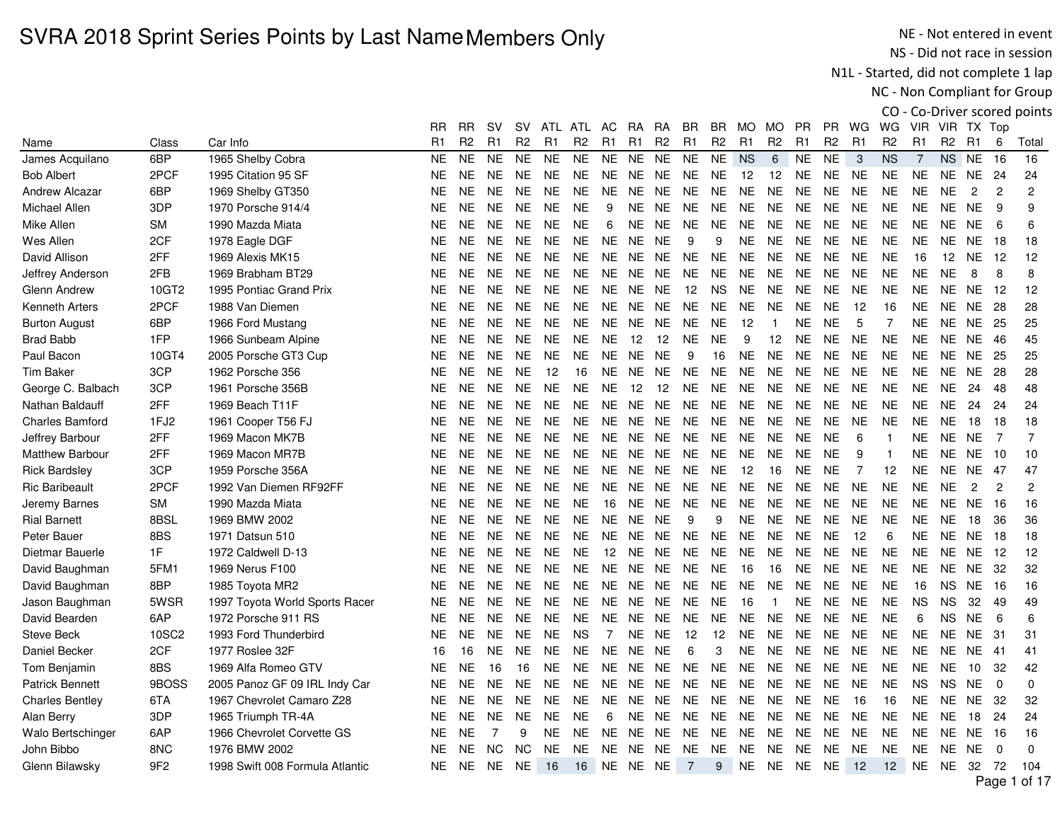NE - Not entered in event NS - Did not race in session

N1L - Started, did not complete 1 lap

NC - Non Compliant for Group

|                        |                 |                                 | RR.            | RR             | sv        | sv             | ATL            | ATL            | AC             | RA        | RA             | BR.             | BR             | MO.            | MO.            | PR             | PR.            | WG             | WG             | <b>VIR</b>     |                | VIR TX Top     |                |                   |
|------------------------|-----------------|---------------------------------|----------------|----------------|-----------|----------------|----------------|----------------|----------------|-----------|----------------|-----------------|----------------|----------------|----------------|----------------|----------------|----------------|----------------|----------------|----------------|----------------|----------------|-------------------|
| Name                   | Class           | Car Info                        | R <sub>1</sub> | R <sub>2</sub> | R1        | R <sub>2</sub> | R <sub>1</sub> | R <sub>2</sub> | R <sub>1</sub> | R1        | R <sub>2</sub> | R <sub>1</sub>  | R <sub>2</sub> | R <sub>1</sub> | R <sub>2</sub> | R <sub>1</sub> | R <sub>2</sub> | R <sub>1</sub> | R <sub>2</sub> | R1             | R <sub>2</sub> | R <sub>1</sub> | 6              | Total             |
| James Acquilano        | 6BP             | 1965 Shelby Cobra               | <b>NE</b>      | <b>NE</b>      | <b>NE</b> | <b>NE</b>      | <b>NE</b>      | <b>NE</b>      | <b>NE</b>      | <b>NE</b> | <b>NE</b>      | <b>NE</b>       | <b>NE</b>      | <b>NS</b>      | $\,6\,$        | <b>NE</b>      | <b>NE</b>      | $\mathbf{3}$   | <b>NS</b>      | $\overline{7}$ | NS             | <b>NE</b>      | 16             | 16                |
| <b>Bob Albert</b>      | 2PCF            | 1995 Citation 95 SF             | <b>NE</b>      | <b>NE</b>      | <b>NE</b> | NE.            | <b>NE</b>      | <b>NE</b>      | <b>NE</b>      | NE.       | <b>NE</b>      | <b>NE</b>       | <b>NE</b>      | 12             | 12             | NE.            | <b>NE</b>      | <b>NE</b>      | <b>NE</b>      | <b>NE</b>      | <b>NE</b>      | <b>NE</b>      | 24             | 24                |
| <b>Andrew Alcazar</b>  | 6BP             | 1969 Shelby GT350               | <b>NE</b>      | <b>NE</b>      | <b>NE</b> | NE.            | <b>NE</b>      | <b>NE</b>      | NE.            | NE.       | <b>NE</b>      | NE.             | NE.            | <b>NE</b>      | <b>NE</b>      | <b>NE</b>      | <b>NE</b>      | <b>NE</b>      | <b>NE</b>      | <b>NE</b>      | NE             | $\overline{2}$ | $\overline{c}$ | $\overline{c}$    |
| Michael Allen          | 3DP             | 1970 Porsche 914/4              | <b>NE</b>      | <b>NE</b>      | <b>NE</b> | <b>NE</b>      | <b>NE</b>      | <b>NE</b>      | 9              | <b>NE</b> | <b>NE</b>      | <b>NE</b>       | <b>NE</b>      | <b>NE</b>      | <b>NE</b>      | <b>NE</b>      | <b>NE</b>      | <b>NE</b>      | <b>NE</b>      | <b>NE</b>      | <b>NE</b>      | <b>NE</b>      | 9              | 9                 |
| Mike Allen             | <b>SM</b>       | 1990 Mazda Miata                | <b>NE</b>      | <b>NE</b>      | NE.       | NE.            | NE.            | NE.            | 6              |           | NE NE          | NE.             | <b>NE</b>      | <b>NE</b>      | <b>NE</b>      | <b>NE</b>      | <b>NE</b>      | <b>NE</b>      | <b>NE</b>      | <b>NE</b>      | <b>NE</b>      | NE.            | 6              | 6                 |
| Wes Allen              | 2CF             | 1978 Eagle DGF                  | <b>NE</b>      | <b>NE</b>      | <b>NE</b> | NE.            | <b>NE</b>      | <b>NE</b>      | <b>NE</b>      | NE NE     |                | 9               | 9              | <b>NE</b>      | <b>NE</b>      | <b>NE</b>      | <b>NE</b>      | NE.            | <b>NE</b>      | <b>NE</b>      | <b>NE</b>      | NE.            | -18            | 18                |
| David Allison          | 2FF             | 1969 Alexis MK15                | <b>NE</b>      | <b>NE</b>      | <b>NE</b> | <b>NE</b>      | <b>NE</b>      | <b>NE</b>      | NE.            | NE.       | <b>NE</b>      | <b>NE</b>       | <b>NE</b>      | NE.            | <b>NE</b>      | <b>NE</b>      | <b>NE</b>      | <b>NE</b>      | <b>NE</b>      | 16             | 12             | NE.            | -12            | $12 \overline{ }$ |
| Jeffrey Anderson       | 2FB             | 1969 Brabham BT29               | <b>NE</b>      | <b>NE</b>      | <b>NE</b> | NE.            | <b>NE</b>      | <b>NE</b>      | <b>NE</b>      | NE.       | <b>NE</b>      | <b>NE</b>       | <b>NE</b>      | <b>NE</b>      | <b>NE</b>      | <b>NE</b>      | <b>NE</b>      | <b>NE</b>      | <b>NE</b>      | <b>NE</b>      | <b>NE</b>      | 8              | 8              | 8                 |
| Glenn Andrew           | 10GT2           | 1995 Pontiac Grand Prix         | <b>NE</b>      | <b>NE</b>      | <b>NE</b> | <b>NE</b>      | <b>NE</b>      | <b>NE</b>      | <b>NE</b>      | NE        | <b>NE</b>      | 12              | <b>NS</b>      | <b>NE</b>      | <b>NE</b>      | <b>NE</b>      | <b>NE</b>      | <b>NE</b>      | <b>NE</b>      | <b>NE</b>      | <b>NE</b>      | <b>NE</b>      | -12            | 12                |
| Kenneth Arters         | 2PCF            | 1988 Van Diemen                 | <b>NE</b>      | <b>NE</b>      | NE.       | NE.            | <b>NE</b>      | <b>NE</b>      | NE.            | NE.       | <b>NE</b>      | <b>NE</b>       | <b>NE</b>      | NE.            | <b>NE</b>      | <b>NE</b>      | <b>NE</b>      | 12             | 16             | NE.            | NE.            | NE.            | -28            | 28                |
| <b>Burton August</b>   | 6BP             | 1966 Ford Mustang               | <b>NE</b>      | <b>NE</b>      | <b>NE</b> | <b>NE</b>      | <b>NE</b>      | <b>NE</b>      | <b>NE</b>      | NE        | <b>NE</b>      | <b>NE</b>       | <b>NE</b>      | 12             | $\overline{1}$ | <b>NE</b>      | <b>NE</b>      | 5              | $\overline{7}$ | <b>NE</b>      | <b>NE</b>      | <b>NE</b>      | 25             | 25                |
| <b>Brad Babb</b>       | 1FP             | 1966 Sunbeam Alpine             | <b>NE</b>      | <b>NE</b>      | <b>NE</b> | <b>NE</b>      | <b>NE</b>      | <b>NE</b>      | <b>NE</b>      | 12        | 12             | <b>NE</b>       | <b>NE</b>      | 9              | 12             | <b>NE</b>      | <b>NE</b>      | <b>NE</b>      | <b>NE</b>      | <b>NE</b>      | <b>NE</b>      | <b>NE</b>      | 46             | 45                |
| Paul Bacon             | 10GT4           | 2005 Porsche GT3 Cup            | <b>NE</b>      | <b>NE</b>      | <b>NE</b> | <b>NE</b>      | <b>NE</b>      | <b>NE</b>      | <b>NE</b>      | <b>NE</b> | <b>NE</b>      | 9               | 16             | <b>NE</b>      | <b>NE</b>      | <b>NE</b>      | <b>NE</b>      | <b>NE</b>      | <b>NE</b>      | <b>NE</b>      | <b>NE</b>      | <b>NE</b>      | 25             | 25                |
| <b>Tim Baker</b>       | 3CP             | 1962 Porsche 356                | <b>NE</b>      | <b>NE</b>      | <b>NE</b> | <b>NE</b>      | 12             | 16             | NE.            | NE.       | <b>NE</b>      | <b>NE</b>       | <b>NE</b>      | <b>NE</b>      | <b>NE</b>      | <b>NE</b>      | <b>NE</b>      | NE.            | <b>NE</b>      | <b>NE</b>      | <b>NE</b>      | <b>NE</b>      | 28             | 28                |
| George C. Balbach      | 3CP             | 1961 Porsche 356B               | <b>NE</b>      | <b>NE</b>      | <b>NE</b> | <b>NE</b>      | <b>NE</b>      | <b>NE</b>      | NE.            | 12        | 12             | NE.             | <b>NE</b>      | <b>NE</b>      | <b>NE</b>      | <b>NE</b>      | <b>NE</b>      | <b>NE</b>      | <b>NE</b>      | <b>NE</b>      | <b>NE</b>      | 24             | -48            | 48                |
| Nathan Baldauff        | 2FF             | 1969 Beach T11F                 | <b>NE</b>      | <b>NE</b>      | NE.       | <b>NE</b>      | <b>NE</b>      | <b>NE</b>      | <b>NE</b>      | NE.       | <b>NE</b>      | <b>NE</b>       | <b>NE</b>      | <b>NE</b>      | <b>NE</b>      | <b>NE</b>      | <b>NE</b>      | <b>NE</b>      | <b>NE</b>      | <b>NE</b>      | <b>NE</b>      | 24             | 24             | 24                |
| <b>Charles Bamford</b> | 1FJ2            | 1961 Cooper T56 FJ              | <b>NE</b>      | <b>NE</b>      | <b>NE</b> | <b>NE</b>      | <b>NE</b>      | <b>NE</b>      | NE.            | NE.       | <b>NE</b>      | <b>NE</b>       | <b>NE</b>      | <b>NE</b>      | <b>NE</b>      | <b>NE</b>      | <b>NE</b>      | <b>NE</b>      | <b>NE</b>      | <b>NE</b>      | <b>NE</b>      | 18             | 18             | 18                |
| Jeffrey Barbour        | 2FF             | 1969 Macon MK7B                 | <b>NE</b>      | <b>NE</b>      | <b>NE</b> | <b>NE</b>      | <b>NE</b>      | <b>NE</b>      | NE.            | NE        | <b>NE</b>      | <b>NE</b>       | <b>NE</b>      | <b>NE</b>      | <b>NE</b>      | <b>NE</b>      | <b>NE</b>      | 6              | $\overline{1}$ | <b>NE</b>      | <b>NE</b>      | <b>NE</b>      | $\overline{7}$ | $\overline{7}$    |
| <b>Matthew Barbour</b> | 2FF             | 1969 Macon MR7B                 | <b>NE</b>      | <b>NE</b>      | <b>NE</b> | NE.            | <b>NE</b>      | <b>NE</b>      | NE.            | NE.       | <b>NE</b>      | <b>NE</b>       | <b>NE</b>      | <b>NE</b>      | <b>NE</b>      | <b>NE</b>      | <b>NE</b>      | 9              | $\overline{1}$ | <b>NE</b>      | NE.            | <b>NE</b>      | 10             | 10                |
| <b>Rick Bardsley</b>   | 3CP             | 1959 Porsche 356A               | <b>NE</b>      | <b>NE</b>      | <b>NE</b> | <b>NE</b>      | <b>NE</b>      | <b>NE</b>      | <b>NE</b>      | NE        | <b>NE</b>      | <b>NE</b>       | <b>NE</b>      | 12             | 16             | <b>NE</b>      | <b>NE</b>      | $\overline{7}$ | 12             | <b>NE</b>      | <b>NE</b>      | <b>NE</b>      | 47             | 47                |
| <b>Ric Baribeault</b>  | 2PCF            | 1992 Van Diemen RF92FF          | <b>NE</b>      | <b>NE</b>      | <b>NE</b> | <b>NE</b>      | <b>NE</b>      | <b>NE</b>      | NE.            | NE.       | <b>NE</b>      | <b>NE</b>       | <b>NE</b>      | <b>NE</b>      | <b>NE</b>      | <b>NE</b>      | <b>NE</b>      | <b>NE</b>      | <b>NE</b>      | <b>NE</b>      | <b>NE</b>      | $\overline{2}$ | $\overline{2}$ | $\overline{2}$    |
| Jeremy Barnes          | <b>SM</b>       | 1990 Mazda Miata                | <b>NE</b>      | <b>NE</b>      | <b>NE</b> | NE.            | <b>NE</b>      | <b>NE</b>      | 16             | NE.       | <b>NE</b>      | <b>NE</b>       | <b>NE</b>      | <b>NE</b>      | <b>NE</b>      | <b>NE</b>      | <b>NE</b>      | <b>NE</b>      | <b>NE</b>      | NE.            | <b>NE</b>      | NE.            | -16            | 16                |
| <b>Rial Barnett</b>    | 8BSL            | 1969 BMW 2002                   | NE             | <b>NE</b>      | <b>NE</b> | NE.            | <b>NE</b>      | <b>NE</b>      | <b>NE</b>      | NE        | <b>NE</b>      | 9               | 9              | NE.            | <b>NE</b>      | <b>NE</b>      | <b>NE</b>      | <b>NE</b>      | <b>NE</b>      | <b>NE</b>      | <b>NE</b>      | 18             | 36             | 36                |
| Peter Bauer            | 8BS             | 1971 Datsun 510                 | <b>NE</b>      | <b>NE</b>      | <b>NE</b> | <b>NE</b>      | <b>NE</b>      | <b>NE</b>      | <b>NE</b>      | <b>NE</b> | <b>NE</b>      | <b>NE</b>       | <b>NE</b>      | <b>NE</b>      | <b>NE</b>      | <b>NE</b>      | <b>NE</b>      | 12             | 6              | <b>NE</b>      | <b>NE</b>      | <b>NE</b>      | 18             | 18                |
| Dietmar Bauerle        | 1F              | 1972 Caldwell D-13              | <b>NE</b>      | <b>NE</b>      | <b>NE</b> | <b>NE</b>      | <b>NE</b>      | <b>NE</b>      | 12             | <b>NE</b> | <b>NE</b>      | <b>NE</b>       | <b>NE</b>      | <b>NE</b>      | <b>NE</b>      | <b>NE</b>      | <b>NE</b>      | <b>NE</b>      | <b>NE</b>      | <b>NE</b>      | <b>NE</b>      | <b>NE</b>      | 12             | 12                |
| David Baughman         | 5FM1            | 1969 Nerus F100                 | <b>NE</b>      | <b>NE</b>      | NE.       | <b>NE</b>      | <b>NE</b>      | <b>NE</b>      | NE.            | <b>NE</b> | <b>NE</b>      | <b>NE</b>       | <b>NE</b>      | 16             | 16             | <b>NE</b>      | <b>NE</b>      | <b>NE</b>      | <b>NE</b>      | <b>NE</b>      | NE.            | <b>NE</b>      | -32            | 32                |
| David Baughman         | 8BP             | 1985 Toyota MR2                 | <b>NE</b>      | <b>NE</b>      | <b>NE</b> | NE.            | <b>NE</b>      | <b>NE</b>      | NE.            | <b>NE</b> | <b>NE</b>      | <b>NE</b>       | <b>NE</b>      | <b>NE</b>      | <b>NE</b>      | <b>NE</b>      | <b>NE</b>      | <b>NE</b>      | <b>NE</b>      | 16             | NS.            | NE.            | 16             | 16                |
| Jason Baughman         | 5WSR            | 1997 Toyota World Sports Racer  | <b>NE</b>      | <b>NE</b>      | <b>NE</b> | <b>NE</b>      | <b>NE</b>      | <b>NE</b>      | <b>NE</b>      | NE        | <b>NE</b>      | <b>NE</b>       | <b>NE</b>      | 16             | $\mathbf{1}$   | <b>NE</b>      | <b>NE</b>      | <b>NE</b>      | <b>NE</b>      | <b>NS</b>      | <b>NS</b>      | 32             | 49             | 49                |
| David Bearden          | 6AP             | 1972 Porsche 911 RS             | <b>NE</b>      | <b>NE</b>      | <b>NE</b> | <b>NE</b>      | <b>NE</b>      | <b>NE</b>      | NE.            | NE.       | <b>NE</b>      | <b>NE</b>       | <b>NE</b>      | <b>NE</b>      | <b>NE</b>      | <b>NE</b>      | <b>NE</b>      | <b>NE</b>      | <b>NE</b>      | 6              | <b>NS</b>      | <b>NE</b>      | 6              | 6                 |
| <b>Steve Beck</b>      | 10SC2           | 1993 Ford Thunderbird           | <b>NE</b>      | <b>NE</b>      | <b>NE</b> | <b>NE</b>      | <b>NE</b>      | <b>NS</b>      | $\overline{7}$ |           | NE NE          | 12              | 12             | <b>NE</b>      | <b>NE</b>      | <b>NE</b>      | <b>NE</b>      | <b>NE</b>      | <b>NE</b>      | <b>NE</b>      | <b>NE</b>      | <b>NE</b>      | -31            | 31                |
| Daniel Becker          | 2CF             | 1977 Roslee 32F                 | 16             | 16             | NE.       | NE.            | <b>NE</b>      | <b>NE</b>      | NE.            | NE.       | <b>NE</b>      | 6               | 3              | NE.            | <b>NE</b>      | <b>NE</b>      | <b>NE</b>      | <b>NE</b>      | <b>NE</b>      | <b>NE</b>      | NE.            | <b>NE</b>      | -41            | 41                |
| Tom Benjamin           | 8BS             | 1969 Alfa Romeo GTV             | <b>NE</b>      | <b>NE</b>      | 16        | 16             | <b>NE</b>      | <b>NE</b>      | <b>NE</b>      | NE        | <b>NE</b>      | <b>NE</b>       | <b>NE</b>      | <b>NE</b>      | <b>NE</b>      | <b>NE</b>      | <b>NE</b>      | <b>NE</b>      | <b>NE</b>      | <b>NE</b>      | <b>NE</b>      | 10             | 32             | 42                |
| <b>Patrick Bennett</b> | 9BOSS           | 2005 Panoz GF 09 IRL Indy Car   | <b>NE</b>      | <b>NE</b>      | NE.       | <b>NE</b>      | <b>NE</b>      | <b>NE</b>      | NE.            | NE        | <b>NE</b>      | <b>NE</b>       | <b>NE</b>      | <b>NE</b>      | <b>NE</b>      | <b>NE</b>      | <b>NE</b>      | <b>NE</b>      | <b>NE</b>      | <b>NS</b>      | <b>NS</b>      | <b>NE</b>      | $\mathbf 0$    | $\mathbf 0$       |
| <b>Charles Bentley</b> | 6TA             | 1967 Chevrolet Camaro Z28       | <b>NE</b>      | <b>NE</b>      | <b>NE</b> | <b>NE</b>      | NE             | NE.            | <b>NE</b>      | NE.       | <b>NE</b>      | <b>NE</b>       | <b>NE</b>      | <b>NE</b>      | <b>NE</b>      | <b>NE</b>      | <b>NE</b>      | 16             | 16             | <b>NE</b>      | NE             | <b>NE</b>      | -32            | 32                |
| Alan Berry             | 3DP             | 1965 Triumph TR-4A              | <b>NE</b>      | <b>NE</b>      | <b>NE</b> | <b>NE</b>      | <b>NE</b>      | <b>NE</b>      | 6              | <b>NE</b> | <b>NE</b>      | <b>NE</b>       | <b>NE</b>      | <b>NE</b>      | <b>NE</b>      | <b>NE</b>      | <b>NE</b>      | <b>NE</b>      | <b>NE</b>      | <b>NE</b>      | NE.            | 18             | 24             | 24                |
| Walo Bertschinger      | 6AP             | 1966 Chevrolet Corvette GS      | <b>NE</b>      | <b>NE</b>      | 7         | 9              | NE.            | <b>NE</b>      | NE.            | NE.       | <b>NE</b>      | <b>NE</b>       | <b>NE</b>      | <b>NE</b>      | <b>NE</b>      | <b>NE</b>      | <b>NE</b>      | <b>NE</b>      | <b>NE</b>      | NE.            | <b>NE</b>      | NE.            | -16            | 16                |
| John Bibbo             | 8NC             | 1976 BMW 2002                   | <b>NE</b>      | <b>NE</b>      | <b>NC</b> | <b>NC</b>      | <b>NE</b>      | <b>NE</b>      | <b>NE</b>      | NE.       | <b>NE</b>      | <b>NE</b>       | <b>NE</b>      | <b>NE</b>      | <b>NE</b>      | <b>NE</b>      | <b>NE</b>      | <b>NE</b>      | <b>NE</b>      | <b>NE</b>      | <b>NE</b>      | <b>NE</b>      | $\Omega$       | $\mathbf 0$       |
| Glenn Bilawsky         | 9F <sub>2</sub> | 1998 Swift 008 Formula Atlantic | <b>NE</b>      | <b>NE</b>      | NE.       | <b>NE</b>      | 16             | 16             | NE NE NE       |           |                | $7\overline{ }$ | 9              | <b>NE</b>      | <b>NE</b>      | <b>NE</b>      | <b>NE</b>      | 12             | 12             | <b>NE</b>      | <b>NE</b>      | 32             | 72             | 104               |
|                        |                 |                                 |                |                |           |                |                |                |                |           |                |                 |                |                |                |                |                |                |                |                |                |                |                |                   |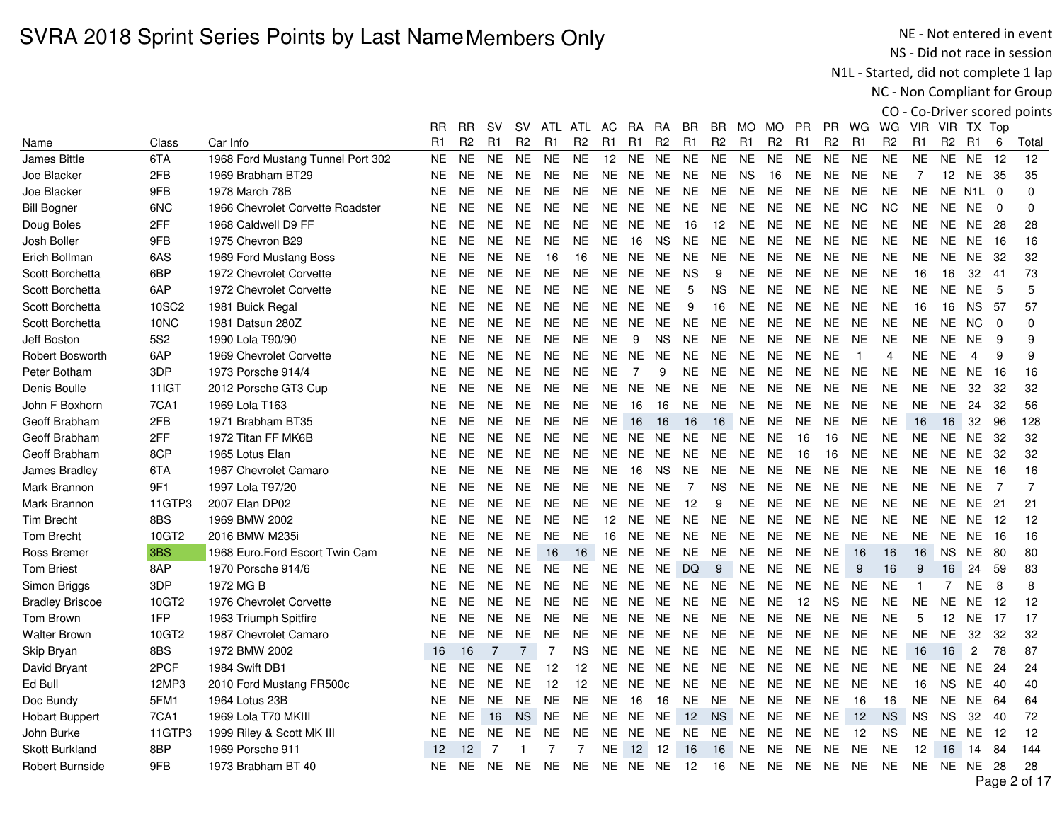NE - Not entered in event NS - Did not race in session

N1L - Started, did not complete 1 lap

NC - Non Compliant for Group

|                        |                 |                                   |           |                |                |                |                |                |                |                 |                |                |                |                |                |                |                |                |                |              |                |                       |                | CO - Co-Driver scored points |
|------------------------|-----------------|-----------------------------------|-----------|----------------|----------------|----------------|----------------|----------------|----------------|-----------------|----------------|----------------|----------------|----------------|----------------|----------------|----------------|----------------|----------------|--------------|----------------|-----------------------|----------------|------------------------------|
|                        |                 |                                   | RR        | <b>RR</b>      | sv             | <b>SV</b>      |                | ATL ATL AC     |                | RA.             | <b>RA</b>      | BR.            | BR.            | MO MO          |                | <b>PR</b>      | PR.            | WG             | WG             |              | VIR VIR TX Top |                       |                |                              |
| Name                   | Class           | Car Info                          | R1        | R <sub>2</sub> | R1             | R <sub>2</sub> | R <sub>1</sub> | R <sub>2</sub> | R <sub>1</sub> | R1              | R <sub>2</sub> | R <sub>1</sub> | R <sub>2</sub> | R <sub>1</sub> | R <sub>2</sub> | R <sub>1</sub> | R <sub>2</sub> | R <sub>1</sub> | R <sub>2</sub> | R1           | R <sub>2</sub> | R <sub>1</sub>        | 6              | Total                        |
| James Bittle           | 6TA             | 1968 Ford Mustang Tunnel Port 302 | <b>NE</b> | <b>NE</b>      | <b>NE</b>      | <b>NE</b>      | <b>NE</b>      | <b>NE</b>      | 12             | <b>NE</b>       | <b>NE</b>      | <b>NE</b>      | <b>NE</b>      | <b>NE</b>      | <b>NE</b>      | <b>NE</b>      | <b>NE</b>      | <b>NE</b>      | <b>NE</b>      | <b>NE</b>    | <b>NE</b>      | <b>NE</b>             | 12             | 12                           |
| Joe Blacker            | 2FB             | 1969 Brabham BT29                 | NE.       | <b>NE</b>      | <b>NE</b>      | <b>NE</b>      | <b>NE</b>      | <b>NE</b>      | <b>NE</b>      | <b>NE</b>       | NE.            | <b>NE</b>      | <b>NE</b>      | <b>NS</b>      | 16             | NE.            | <b>NE</b>      | <b>NE</b>      | <b>NE</b>      | 7            |                | 12 NE                 | -35            | 35                           |
| Joe Blacker            | 9FB             | 1978 March 78B                    | <b>NE</b> | <b>NE</b>      | <b>NE</b>      | <b>NE</b>      | <b>NE</b>      | <b>NE</b>      | <b>NE</b>      | <b>NE</b>       | <b>NE</b>      | <b>NE</b>      | <b>NE</b>      | <b>NE</b>      | <b>NE</b>      | <b>NE</b>      | <b>NE</b>      | <b>NE</b>      | <b>NE</b>      | <b>NE</b>    |                | NE N <sub>1</sub> L 0 |                | $\Omega$                     |
| <b>Bill Bogner</b>     | 6NC             | 1966 Chevrolet Corvette Roadster  | NE.       | <b>NE</b>      | <b>NE</b>      | <b>NE</b>      | <b>NE</b>      | <b>NE</b>      | NE.            | NE              | NE.            | NE             | <b>NE</b>      | <b>NE</b>      | <b>NE</b>      | <b>NE</b>      | <b>NE</b>      | NC.            | <b>NC</b>      | <b>NE</b>    |                | NE NE                 | $\Omega$       | $\mathbf 0$                  |
| Doug Boles             | 2FF             | 1968 Caldwell D9 FF               | <b>NE</b> | <b>NE</b>      | <b>NE</b>      | <b>NE</b>      | <b>NE</b>      | <b>NE</b>      | <b>NE</b>      | <b>NE</b>       | <b>NE</b>      | 16             | 12             | <b>NE</b>      | <b>NE</b>      | <b>NE</b>      | <b>NE</b>      | <b>NE</b>      | <b>NE</b>      | <b>NE</b>    | NE             | <b>NE</b>             | 28             | 28                           |
| Josh Boller            | 9FB             | 1975 Chevron B29                  | NE.       | <b>NE</b>      | <b>NE</b>      | <b>NE</b>      | <b>NE</b>      | <b>NE</b>      | <b>NE</b>      | 16              | <b>NS</b>      | <b>NE</b>      | <b>NE</b>      | <b>NE</b>      | <b>NE</b>      | <b>NE</b>      | <b>NE</b>      | <b>NE</b>      | <b>NE</b>      | <b>NE</b>    | NE.            | NE.                   | -16            | 16                           |
| Erich Bollman          | 6AS             | 1969 Ford Mustang Boss            | <b>NE</b> | <b>NE</b>      | <b>NE</b>      | <b>NE</b>      | 16             | 16             | <b>NE</b>      | <b>NE</b>       | NE.            | <b>NE</b>      | <b>NE</b>      | <b>NE</b>      | <b>NE</b>      | <b>NE</b>      | <b>NE</b>      | <b>NE</b>      | <b>NE</b>      | <b>NE</b>    | NE.            | <b>NE</b>             | 32             | 32                           |
| Scott Borchetta        | 6BP             | 1972 Chevrolet Corvette           | NE.       | <b>NE</b>      | <b>NE</b>      | <b>NE</b>      | <b>NE</b>      | <b>NE</b>      | <b>NE</b>      | NE.             | NE.            | <b>NS</b>      | 9              | <b>NE</b>      | <b>NE</b>      | <b>NE</b>      | <b>NE</b>      | <b>NE</b>      | <b>NE</b>      | 16           | 16             | 32                    | 41             | 73                           |
| Scott Borchetta        | 6AP             | 1972 Chevrolet Corvette           | NE.       | <b>NE</b>      | <b>NE</b>      | <b>NE</b>      | <b>NE</b>      | NE.            | <b>NE</b>      | NE.             | <b>NE</b>      | 5              | NS.            | NE             | <b>NE</b>      | <b>NE</b>      | <b>NE</b>      | <b>NE</b>      | <b>NE</b>      | <b>NE</b>    | <b>NE</b>      | <b>NE</b>             | 5              | 5                            |
| Scott Borchetta        | 10SC2           | 1981 Buick Regal                  | NE.       | <b>NE</b>      | NE.            | <b>NE</b>      | <b>NE</b>      | <b>NE</b>      | <b>NE</b>      | NE.             | <b>NE</b>      | 9              | 16             | <b>NE</b>      | <b>NE</b>      | <b>NE</b>      | <b>NE</b>      | <b>NE</b>      | <b>NE</b>      | 16           | 16             | <b>NS</b>             | 57             | 57                           |
| Scott Borchetta        | 10NC            | 1981 Datsun 280Z                  | NE        | <b>NE</b>      | NE.            | <b>NE</b>      | NE             | <b>NE</b>      | <b>NE</b>      | NE.             | NE.            | <b>NE</b>      | NE             | NE.            | <b>NE</b>      | <b>NE</b>      | <b>NE</b>      | <b>NE</b>      | <b>NE</b>      | <b>NE</b>    | NE.            | <b>NC</b>             | $\mathbf 0$    | $\mathbf 0$                  |
| Jeff Boston            | 5S <sub>2</sub> | 1990 Lola T90/90                  | <b>NE</b> | <b>NE</b>      | <b>NE</b>      | <b>NE</b>      | <b>NE</b>      | <b>NE</b>      | <b>NE</b>      | 9               | <b>NS</b>      | <b>NE</b>      | <b>NE</b>      | <b>NE</b>      | <b>NE</b>      | <b>NE</b>      | <b>NE</b>      | <b>NE</b>      | <b>NE</b>      | <b>NE</b>    | NE.            | <b>NE</b>             | 9              | 9                            |
| <b>Robert Bosworth</b> | 6AP             | 1969 Chevrolet Corvette           | NE.       | <b>NE</b>      | NE.            | <b>NE</b>      | NE             | NE.            | <b>NE</b>      | NE.             | NE.            | NE.            | <b>NE</b>      | NE.            | <b>NE</b>      | <b>NE</b>      | <b>NE</b>      | $\overline{1}$ | 4              | <b>NE</b>    | <b>NE</b>      | $\overline{4}$        | 9              | 9                            |
| Peter Botham           | 3DP             | 1973 Porsche 914/4                | NE.       | <b>NE</b>      | <b>NE</b>      | <b>NE</b>      | <b>NE</b>      | <b>NE</b>      | <b>NE</b>      | $\overline{7}$  | 9              | <b>NE</b>      | <b>NE</b>      | <b>NE</b>      | <b>NE</b>      | <b>NE</b>      | <b>NE</b>      | <b>NE</b>      | <b>NE</b>      | <b>NE</b>    | NE.            | <b>NE</b>             | -16            | 16                           |
| Denis Boulle           | <b>11IGT</b>    | 2012 Porsche GT3 Cup              | NΕ        | <b>NE</b>      | <b>NE</b>      | <b>NE</b>      | NE.            | NE.            | <b>NE</b>      | NE.             | NE.            | NE.            | NE.            | NE.            | <b>NE</b>      | <b>NE</b>      | NE.            | <b>NE</b>      | <b>NE</b>      | <b>NE</b>    | NE.            | 32                    | 32             | 32                           |
| John F Boxhorn         | 7CA1            | 1969 Lola T163                    | <b>NE</b> | <b>NE</b>      | <b>NE</b>      | <b>NE</b>      | <b>NE</b>      | <b>NE</b>      | <b>NE</b>      | 16              | 16             | <b>NE</b>      | <b>NE</b>      | <b>NE</b>      | <b>NE</b>      | <b>NE</b>      | <b>NE</b>      | <b>NE</b>      | <b>NE</b>      | <b>NE</b>    | <b>NE</b>      | 24                    | 32             | 56                           |
| Geoff Brabham          | 2FB             | 1971 Brabham BT35                 | NE.       | <b>NE</b>      | <b>NE</b>      | <b>NE</b>      | <b>NE</b>      | <b>NE</b>      | <b>NE</b>      | 16              | 16             | 16             | 16             | <b>NE</b>      | <b>NE</b>      | <b>NE</b>      | <b>NE</b>      | <b>NE</b>      | <b>NE</b>      | 16           | 16             | 32                    | 96             | 128                          |
| Geoff Brabham          | 2FF             | 1972 Titan FF MK6B                | NE.       | <b>NE</b>      | <b>NE</b>      | <b>NE</b>      | <b>NE</b>      | <b>NE</b>      | <b>NE</b>      | NE.             | <b>NE</b>      | <b>NE</b>      | <b>NE</b>      | <b>NE</b>      | <b>NE</b>      | 16             | 16             | <b>NE</b>      | <b>NE</b>      | <b>NE</b>    | NE.            | <b>NE</b>             | 32             | 32                           |
| Geoff Brabham          | 8CP             | 1965 Lotus Elan                   | <b>NE</b> | <b>NE</b>      | <b>NE</b>      | <b>NE</b>      | NE.            | <b>NE</b>      | <b>NE</b>      | <b>NE</b>       | <b>NE</b>      | <b>NE</b>      | <b>NE</b>      | <b>NE</b>      | <b>NE</b>      | 16             | 16             | <b>NE</b>      | <b>NE</b>      | <b>NE</b>    | <b>NE</b>      | <b>NE</b>             | 32             | 32                           |
| James Bradley          | 6TA             | 1967 Chevrolet Camaro             | NE.       | <b>NE</b>      | <b>NE</b>      | <b>NE</b>      | NE             | NE.            | <b>NE</b>      | 16              | <b>NS</b>      | <b>NE</b>      | <b>NE</b>      | NE.            | <b>NE</b>      | <b>NE</b>      | <b>NE</b>      | <b>NE</b>      | <b>NE</b>      | <b>NE</b>    | <b>NE</b>      | NE.                   | 16             | 16                           |
| Mark Brannon           | 9F1             | 1997 Lola T97/20                  | NE.       | <b>NE</b>      | NE.            | <b>NE</b>      | <b>NE</b>      | <b>NE</b>      | <b>NE</b>      | <b>NE</b>       | <b>NE</b>      | 7              | <b>NS</b>      | <b>NE</b>      | <b>NE</b>      | <b>NE</b>      | <b>NE</b>      | <b>NE</b>      | <b>NE</b>      | <b>NE</b>    | NE.            | <b>NE</b>             | $\overline{7}$ | $\overline{7}$               |
| Mark Brannon           | 11GTP3          | 2007 Elan DP02                    | <b>NE</b> | <b>NE</b>      | NE.            | <b>NE</b>      | NE             | <b>NE</b>      | <b>NE</b>      | NE.             | NE.            | 12             | 9              | NE.            | <b>NE</b>      | <b>NE</b>      | <b>NE</b>      | <b>NE</b>      | <b>NE</b>      | <b>NE</b>    | NE             | <b>NE</b>             | 21             | 21                           |
| <b>Tim Brecht</b>      | 8BS             | 1969 BMW 2002                     | NE.       | <b>NE</b>      | <b>NE</b>      | <b>NE</b>      | <b>NE</b>      | <b>NE</b>      | 12             | NE.             | NE.            | <b>NE</b>      | <b>NE</b>      | NE.            | <b>NE</b>      | <b>NE</b>      | <b>NE</b>      | <b>NE</b>      | <b>NE</b>      | <b>NE</b>    | NE.            | NE.                   | 12             | 12                           |
| <b>Tom Brecht</b>      | 10GT2           | 2016 BMW M235i                    | NE.       | <b>NE</b>      | NE.            | <b>NE</b>      | <b>NE</b>      | <b>NE</b>      | 16             | <b>NE</b>       | NE.            | <b>NE</b>      | <b>NE</b>      | <b>NE</b>      | <b>NE</b>      | <b>NE</b>      | <b>NE</b>      | <b>NE</b>      | <b>NE</b>      | <b>NE</b>    | NE.            | <b>NE</b>             | -16            | 16                           |
| Ross Bremer            | 3BS             | 1968 Euro.Ford Escort Twin Cam    | NE.       | <b>NE</b>      | <b>NE</b>      | <b>NE</b>      | 16             | 16             | <b>NE</b>      | <b>NE</b>       | NE.            | <b>NE</b>      | <b>NE</b>      | <b>NE</b>      | <b>NE</b>      | <b>NE</b>      | <b>NE</b>      | 16             | 16             | 16           | <b>NS</b>      | <b>NE</b>             | 80             | 80                           |
| <b>Tom Briest</b>      | 8AP             | 1970 Porsche 914/6                | NE.       | <b>NE</b>      | <b>NE</b>      | <b>NE</b>      | NE.            | <b>NE</b>      |                | NE NE           | NE             | DQ             | 9              | <b>NE</b>      | <b>NE</b>      | <b>NE</b>      | <b>NE</b>      | 9              | 16             | 9            | 16             | 24                    | 59             | 83                           |
| Simon Briggs           | 3DP             | 1972 MG B                         | NE.       | <b>NE</b>      | NE.            | <b>NE</b>      | <b>NE</b>      | <b>NE</b>      | <b>NE</b>      | NE.             | NE.            | NE.            | <b>NE</b>      | <b>NE</b>      | <b>NE</b>      | <b>NE</b>      | <b>NE</b>      | <b>NE</b>      | <b>NE</b>      | $\mathbf{1}$ |                | <b>NE</b>             | 8              | 8                            |
| <b>Bradley Briscoe</b> | 10GT2           | 1976 Chevrolet Corvette           | NE.       | <b>NE</b>      | <b>NE</b>      | <b>NE</b>      | <b>NE</b>      | <b>NE</b>      | <b>NE</b>      | NE.             | NE.            | NE.            | <b>NE</b>      | NE.            | <b>NE</b>      | 12             | <b>NS</b>      | <b>NE</b>      | <b>NE</b>      | <b>NE</b>    | <b>NE</b>      | NE.                   | -12            | 12                           |
| <b>Tom Brown</b>       | 1FP             | 1963 Triumph Spitfire             | NE.       | <b>NE</b>      | <b>NE</b>      | <b>NE</b>      | <b>NE</b>      | <b>NE</b>      | <b>NE</b>      | <b>NE</b>       | NE.            | <b>NE</b>      | <b>NE</b>      | <b>NE</b>      | <b>NE</b>      | <b>NE</b>      | <b>NE</b>      | <b>NE</b>      | <b>NE</b>      | 5            | 12             | <b>NE</b>             | -17            | 17                           |
| <b>Walter Brown</b>    | 10GT2           | 1987 Chevrolet Camaro             | <b>NE</b> | <b>NE</b>      | <b>NE</b>      | <b>NE</b>      | <b>NE</b>      | <b>NE</b>      | <b>NE</b>      | <b>NE</b>       | NE.            | <b>NE</b>      | <b>NE</b>      | <b>NE</b>      | <b>NE</b>      | <b>NE</b>      | <b>NE</b>      | <b>NE</b>      | <b>NE</b>      | <b>NE</b>    | <b>NE</b>      | 32                    | 32             | 32                           |
| Skip Bryan             | 8BS             | 1972 BMW 2002                     | 16        | 16             | 7              | 7              | $\overline{7}$ | NS.            | NE.            | NE.             | NE.            | NE.            | NE.            | NE             | <b>NE</b>      | <b>NE</b>      | <b>NE</b>      | <b>NE</b>      | <b>NE</b>      | 16           | 16             | $\overline{c}$        | 78             | 87                           |
| David Bryant           | 2PCF            | 1984 Swift DB1                    | NE.       | <b>NE</b>      | NE.            | <b>NE</b>      | 12             | 12             | <b>NE</b>      | NE.             | NE.            | NE.            | NE.            | NE.            | <b>NE</b>      | <b>NE</b>      | <b>NE</b>      | NE.            | <b>NE</b>      | <b>NE</b>    | NE             | NE                    | -24            | 24                           |
| Ed Bull                | 12MP3           | 2010 Ford Mustang FR500c          | <b>NE</b> | <b>NE</b>      | <b>NE</b>      | <b>NE</b>      | 12             | 12             | <b>NE</b>      | NE.             | NE.            | NE.            | <b>NE</b>      | NE.            | <b>NE</b>      | <b>NE</b>      | <b>NE</b>      | <b>NE</b>      | <b>NE</b>      | 16           | NS.            | NE.                   | 40             | 40                           |
| Doc Bundy              | 5FM1            | 1964 Lotus 23B                    | NE.       | <b>NE</b>      | <b>NE</b>      | <b>NE</b>      | <b>NE</b>      | <b>NE</b>      | <b>NE</b>      | 16              | 16             | <b>NE</b>      | <b>NE</b>      | <b>NE</b>      | <b>NE</b>      | <b>NE</b>      | <b>NE</b>      | 16             | 16             | <b>NE</b>    | NE.            | NE.                   | 64             | 64                           |
| <b>Hobart Buppert</b>  | 7CA1            | 1969 Lola T70 MKIII               | NE.       | <b>NE</b>      | 16             | <b>NS</b>      | <b>NE</b>      | NE.            | <b>NE</b>      | <b>NE</b>       | NE             | 12             | <b>NS</b>      | <b>NE</b>      | <b>NE</b>      | <b>NE</b>      | <b>NE</b>      | 12             | <b>NS</b>      | <b>NS</b>    | NS.            | 32                    | 40             | 72                           |
| John Burke             | 11GTP3          | 1999 Riley & Scott MK III         | NE.       | <b>NE</b>      | <b>NE</b>      | <b>NE</b>      | <b>NE</b>      | <b>NE</b>      | <b>NE</b>      | <b>NE</b>       | <b>NE</b>      | <b>NE</b>      | <b>NE</b>      | <b>NE</b>      | <b>NE</b>      | <b>NE</b>      | <b>NE</b>      | 12             | <b>NS</b>      | <b>NE</b>    | <b>NE</b>      | <b>NE</b>             | 12             | 12                           |
| <b>Skott Burkland</b>  | 8BP             | 1969 Porsche 911                  | 12        | 12             | $\overline{7}$ |                | 7              | 7              | <b>NE</b>      | 12 <sup>2</sup> | 12             | 16             | 16             | <b>NE</b>      | <b>NE</b>      | <b>NE</b>      | <b>NE</b>      | <b>NE</b>      | <b>NE</b>      | 12           | 16             | 14                    | 84             | 144                          |
| <b>Robert Burnside</b> | 9FB             | 1973 Brabham BT 40                | <b>NE</b> | NE.            | <b>NE</b>      | <b>NE</b>      | <b>NE</b>      | <b>NE</b>      |                |                 | NE NE NE       | 12             | 16             |                | NE NE          | <b>NE</b>      | <b>NE</b>      | <b>NE</b>      | <b>NE</b>      | <b>NE</b>    |                | <b>NE NE 28</b>       |                | 28                           |
|                        |                 |                                   |           |                |                |                |                |                |                |                 |                |                |                |                |                |                |                |                |                |              |                |                       |                | $D = 0$ $A7$                 |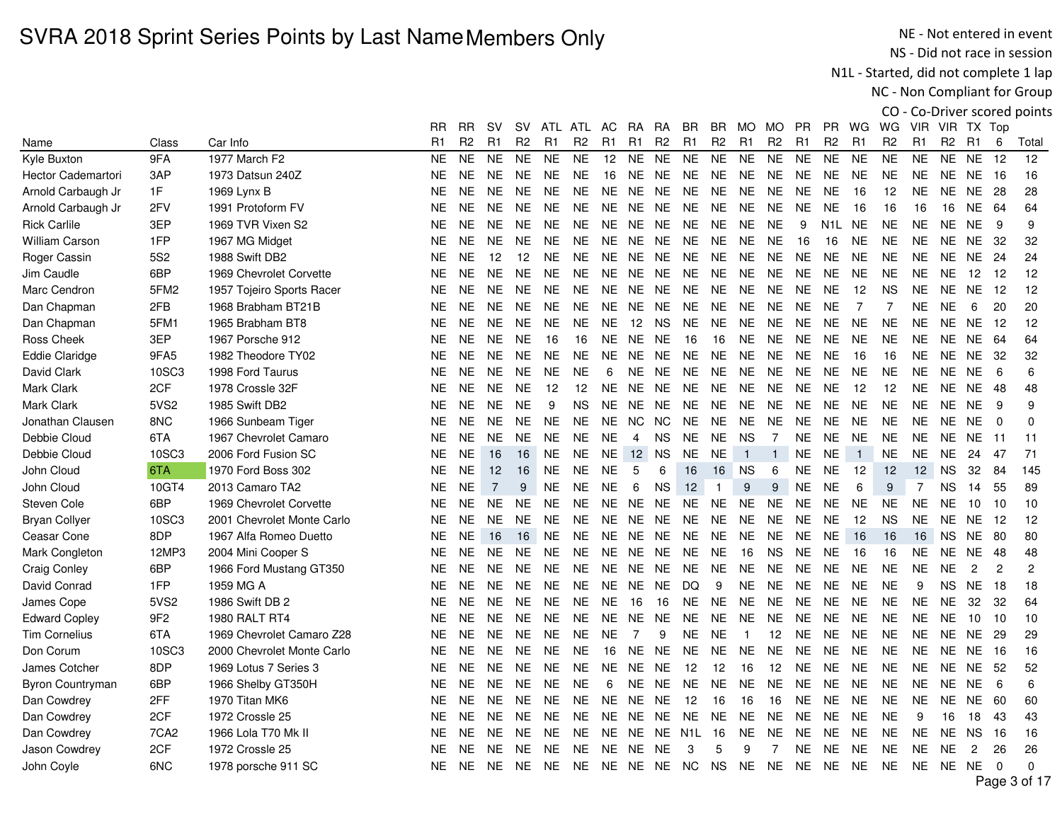NE - Not entered in event NS - Did not race in session

N1L - Started, did not complete 1 lap

NC - Non Compliant for Group

|                           |                  |                            | RR             | <b>RR</b>      | sv             | sv             | ATL            | ATL            | AC.            | RA             | RA             | BR             | BR             | MO.            | MO.            | <b>PR</b>      | PR.                 | WG             | WG               | VIR            | VIR TX Top     |                |                |          |
|---------------------------|------------------|----------------------------|----------------|----------------|----------------|----------------|----------------|----------------|----------------|----------------|----------------|----------------|----------------|----------------|----------------|----------------|---------------------|----------------|------------------|----------------|----------------|----------------|----------------|----------|
| Name                      | Class            | Car Info                   | R <sub>1</sub> | R <sub>2</sub> | R1             | R <sub>2</sub> | R <sub>1</sub> | R <sub>2</sub> | R <sub>1</sub> | R1             | R <sub>2</sub> | R <sub>1</sub> | R <sub>2</sub> | R <sub>1</sub> | R <sub>2</sub> | R <sub>1</sub> | R <sub>2</sub>      | R <sub>1</sub> | R <sub>2</sub>   | R <sub>1</sub> | R <sub>2</sub> | R1             | 6              | Total    |
| Kyle Buxton               | 9FA              | 1977 March F2              | <b>NE</b>      | <b>NE</b>      | <b>NE</b>      | <b>NE</b>      | <b>NE</b>      | <b>NE</b>      | 12             | <b>NE</b>      | <b>NE</b>      | <b>NE</b>      | <b>NE</b>      | <b>NE</b>      | <b>NE</b>      | <b>NE</b>      | <b>NE</b>           | <b>NE</b>      | <b>NE</b>        | <b>NE</b>      | <b>NE</b>      | <b>NE</b>      | 12             | 12       |
| <b>Hector Cademartori</b> | 3AP              | 1973 Datsun 240Z           | <b>NE</b>      | <b>NE</b>      | NE.            | <b>NE</b>      | <b>NE</b>      | <b>NE</b>      | 16             | NE             | <b>NE</b>      | <b>NE</b>      | <b>NE</b>      | <b>NE</b>      | <b>NE</b>      | <b>NE</b>      | <b>NE</b>           | <b>NE</b>      | <b>NE</b>        | <b>NE</b>      | NE.            | <b>NE</b>      | 16             | 16       |
| Arnold Carbaugh Jr        | 1F               | 1969 Lynx B                | <b>NE</b>      | <b>NE</b>      | NE.            | <b>NE</b>      | <b>NE</b>      | NE.            | <b>NE</b>      | <b>NE</b>      | <b>NE</b>      | <b>NE</b>      | NE.            | <b>NE</b>      | <b>NE</b>      | <b>NE</b>      | <b>NE</b>           | 16             | 12               | <b>NE</b>      | <b>NE</b>      | <b>NE</b>      | 28             | 28       |
| Arnold Carbaugh Jr        | 2FV              | 1991 Protoform FV          | <b>NE</b>      | NE.            | <b>NE</b>      | NE.            | <b>NE</b>      | NE.            | NE.            | NE             | <b>NE</b>      | <b>NE</b>      | <b>NE</b>      | <b>NE</b>      | <b>NE</b>      | <b>NE</b>      | <b>NE</b>           | 16             | 16               | 16             | 16             | <b>NE</b>      | 64             | 64       |
| <b>Rick Carlile</b>       | 3EP              | 1969 TVR Vixen S2          | <b>NE</b>      | <b>NE</b>      | <b>NE</b>      | <b>NE</b>      | <b>NE</b>      | <b>NE</b>      | <b>NE</b>      | <b>NE</b>      | <b>NE</b>      | <b>NE</b>      | <b>NE</b>      | <b>NE</b>      | <b>NE</b>      | 9              | N <sub>1</sub> L NE |                | <b>NE</b>        | <b>NE</b>      | <b>NE</b>      | <b>NE</b>      | 9              | 9        |
| <b>William Carson</b>     | 1FP              | 1967 MG Midget             | NE.            | <b>NE</b>      | NE.            | <b>NE</b>      | <b>NE</b>      | NE.            | NE.            | NE             | <b>NE</b>      | <b>NE</b>      | NE.            | NE.            | <b>NE</b>      | 16             | 16                  | <b>NE</b>      | <b>NE</b>        | <b>NE</b>      | <b>NE</b>      | <b>NE</b>      | -32            | 32       |
| Roger Cassin              | <b>5S2</b>       | 1988 Swift DB2             | <b>NE</b>      | <b>NE</b>      | 12             | 12             | <b>NE</b>      | <b>NE</b>      | <b>NE</b>      | <b>NE</b>      | <b>NE</b>      | <b>NE</b>      | <b>NE</b>      | <b>NE</b>      | <b>NE</b>      | <b>NE</b>      | <b>NE</b>           | <b>NE</b>      | <b>NE</b>        | <b>NE</b>      | NE.            | <b>NE</b>      | 24             | 24       |
| Jim Caudle                | 6BP              | 1969 Chevrolet Corvette    | <b>NE</b>      | <b>NE</b>      | <b>NE</b>      | <b>NE</b>      | <b>NE</b>      | <b>NE</b>      | <b>NE</b>      | <b>NE</b>      | <b>NE</b>      | <b>NE</b>      | <b>NE</b>      | <b>NE</b>      | <b>NE</b>      | <b>NE</b>      | <b>NE</b>           | <b>NE</b>      | <b>NE</b>        | <b>NE</b>      | NE.            | 12             | 12             | 12       |
| Marc Cendron              | 5FM <sub>2</sub> | 1957 Tojeiro Sports Racer  | <b>NE</b>      | <b>NE</b>      | NE.            | <b>NE</b>      | <b>NE</b>      | <b>NE</b>      | <b>NE</b>      | <b>NE</b>      | <b>NE</b>      | <b>NE</b>      | <b>NE</b>      | <b>NE</b>      | <b>NE</b>      | <b>NE</b>      | <b>NE</b>           | 12             | <b>NS</b>        | <b>NE</b>      | <b>NE</b>      | <b>NE</b>      | -12            | 12       |
| Dan Chapman               | 2FB              | 1968 Brabham BT21B         | <b>NE</b>      | NE.            | <b>NE</b>      | <b>NE</b>      | <b>NE</b>      | <b>NE</b>      | <b>NE</b>      | NE.            | <b>NE</b>      | <b>NE</b>      | <b>NE</b>      | <b>NE</b>      | <b>NE</b>      | <b>NE</b>      | <b>NE</b>           | $\overline{7}$ | $\overline{7}$   | <b>NE</b>      | <b>NE</b>      | 6              | 20             | 20       |
| Dan Chapman               | 5FM1             | 1965 Brabham BT8           | <b>NE</b>      | <b>NE</b>      | <b>NE</b>      | <b>NE</b>      | <b>NE</b>      | <b>NE</b>      | <b>NE</b>      | 12             | <b>NS</b>      | <b>NE</b>      | <b>NE</b>      | <b>NE</b>      | <b>NE</b>      | <b>NE</b>      | <b>NE</b>           | <b>NE</b>      | <b>NE</b>        | <b>NE</b>      | NE.            | <b>NE</b>      | 12             | 12       |
| Ross Cheek                | 3EP              | 1967 Porsche 912           | <b>NE</b>      | <b>NE</b>      | <b>NE</b>      | <b>NE</b>      | 16             | 16             | <b>NE</b>      | <b>NE</b>      | <b>NE</b>      | 16             | 16             | <b>NE</b>      | <b>NE</b>      | <b>NE</b>      | <b>NE</b>           | <b>NE</b>      | <b>NE</b>        | <b>NE</b>      | NE.            | <b>NE</b>      | 64             | 64       |
| <b>Eddie Claridge</b>     | 9FA5             | 1982 Theodore TY02         | <b>NE</b>      | <b>NE</b>      | <b>NE</b>      | NE.            | <b>NE</b>      | NE.            | <b>NE</b>      | <b>NE</b>      | <b>NE</b>      | <b>NE</b>      | <b>NE</b>      | <b>NE</b>      | <b>NE</b>      | <b>NE</b>      | <b>NE</b>           | 16             | 16               | <b>NE</b>      | <b>NE</b>      | <b>NE</b>      | -32            | 32       |
| David Clark               | 10SC3            | 1998 Ford Taurus           | <b>NE</b>      | <b>NE</b>      | NE.            | <b>NE</b>      | <b>NE</b>      | <b>NE</b>      | 6              | <b>NE</b>      | <b>NE</b>      | <b>NE</b>      | <b>NE</b>      | <b>NE</b>      | <b>NE</b>      | <b>NE</b>      | <b>NE</b>           | <b>NE</b>      | <b>NE</b>        | <b>NE</b>      | NE.            | <b>NE</b>      | 6              | 6        |
| Mark Clark                | 2CF              | 1978 Crossle 32F           | <b>NE</b>      | <b>NE</b>      | <b>NE</b>      | <b>NE</b>      | 12             | 12             | <b>NE</b>      | <b>NE</b>      | <b>NE</b>      | <b>NE</b>      | <b>NE</b>      | <b>NE</b>      | <b>NE</b>      | <b>NE</b>      | <b>NE</b>           | 12             | 12               | <b>NE</b>      | <b>NE</b>      | <b>NE</b>      | 48             | 48       |
| Mark Clark                | 5VS2             | 1985 Swift DB2             | <b>NE</b>      | <b>NE</b>      | <b>NE</b>      | <b>NE</b>      | 9              | <b>NS</b>      | <b>NE</b>      | <b>NE</b>      | <b>NE</b>      | <b>NE</b>      | <b>NE</b>      | <b>NE</b>      | <b>NE</b>      | <b>NE</b>      | <b>NE</b>           | <b>NE</b>      | <b>NE</b>        | <b>NE</b>      | <b>NE</b>      | <b>NE</b>      | 9              | 9        |
| Jonathan Clausen          | 8NC              | 1966 Sunbeam Tiger         | <b>NE</b>      | <b>NE</b>      | <b>NE</b>      | <b>NE</b>      | <b>NE</b>      | <b>NE</b>      | <b>NE</b>      | <b>NC</b>      | <b>NC</b>      | <b>NE</b>      | <b>NE</b>      | <b>NE</b>      | <b>NE</b>      | <b>NE</b>      | <b>NE</b>           | <b>NE</b>      | <b>NE</b>        | <b>NE</b>      | <b>NE</b>      | <b>NE</b>      | $\Omega$       | 0        |
| Debbie Cloud              | 6TA              | 1967 Chevrolet Camaro      | <b>NE</b>      | <b>NE</b>      | NE.            | NE.            | <b>NE</b>      | <b>NE</b>      | <b>NE</b>      | 4              | <b>NS</b>      | <b>NE</b>      | NE.            | <b>NS</b>      | $\overline{7}$ | <b>NE</b>      | <b>NE</b>           | <b>NE</b>      | <b>NE</b>        | <b>NE</b>      | <b>NE</b>      | NE.            | 11             | 11       |
| Debbie Cloud              | 10SC3            | 2006 Ford Fusion SC        | <b>NE</b>      | <b>NE</b>      | 16             | 16             | <b>NE</b>      | <b>NE</b>      | <b>NE</b>      | 12             | <b>NS</b>      | <b>NE</b>      | <b>NE</b>      | $\mathbf{1}$   | $\mathbf{1}$   | <b>NE</b>      | <b>NE</b>           | $\overline{1}$ | <b>NE</b>        | <b>NE</b>      | <b>NE</b>      | 24             | 47             | 71       |
| John Cloud                | 6TA              | 1970 Ford Boss 302         | <b>NE</b>      | <b>NE</b>      | 12             | 16             | <b>NE</b>      | <b>NE</b>      | <b>NE</b>      | 5              | 6              | 16             | 16             | <b>NS</b>      | 6              | <b>NE</b>      | <b>NE</b>           | 12             | 12               | 12             | <b>NS</b>      | 32             | 84             | 145      |
| John Cloud                | 10GT4            | 2013 Camaro TA2            | <b>NE</b>      | <b>NE</b>      | $\overline{7}$ | 9              | <b>NE</b>      | <b>NE</b>      | <b>NE</b>      | 6              | <b>NS</b>      | 12             | $\mathbf{1}$   | 9              | 9              | <b>NE</b>      | <b>NE</b>           | 6              | $\boldsymbol{9}$ | $\overline{7}$ | <b>NS</b>      | 14             | 55             | 89       |
| Steven Cole               | 6BP              | 1969 Chevrolet Corvette    | NE.            | NE.            | <b>NE</b>      | NE.            | <b>NE</b>      | NE.            | NE.            | <b>NE</b>      | <b>NE</b>      | NE.            | <b>NE</b>      | <b>NE</b>      | <b>NE</b>      | <b>NE</b>      | <b>NE</b>           | <b>NE</b>      | <b>NE</b>        | <b>NE</b>      | NE.            | 10             | 10             | 10       |
| <b>Bryan Collyer</b>      | 10SC3            | 2001 Chevrolet Monte Carlo | <b>NE</b>      | <b>NE</b>      | <b>NE</b>      | <b>NE</b>      | <b>NE</b>      | <b>NE</b>      | <b>NE</b>      | <b>NE</b>      | <b>NE</b>      | <b>NE</b>      | <b>NE</b>      | <b>NE</b>      | <b>NE</b>      | <b>NE</b>      | <b>NE</b>           | 12             | <b>NS</b>        | <b>NE</b>      | NE.            | <b>NE</b>      | 12             | 12       |
| Ceasar Cone               | 8DP              | 1967 Alfa Romeo Duetto     | <b>NE</b>      | <b>NE</b>      | 16             | 16             | <b>NE</b>      | <b>NE</b>      | <b>NE</b>      | <b>NE</b>      | <b>NE</b>      | <b>NE</b>      | <b>NE</b>      | <b>NE</b>      | <b>NE</b>      | <b>NE</b>      | <b>NE</b>           | 16             | 16               | 16             | <b>NS</b>      | <b>NE</b>      | 80             | 80       |
| Mark Congleton            | 12MP3            | 2004 Mini Cooper S         | <b>NE</b>      | NE.            | NE.            | NE.            | <b>NE</b>      | NE.            | <b>NE</b>      | <b>NE</b>      | <b>NE</b>      | <b>NE</b>      | <b>NE</b>      | 16             | <b>NS</b>      | <b>NE</b>      | <b>NE</b>           | 16             | 16               | <b>NE</b>      | <b>NE</b>      | <b>NE</b>      | 48             | 48       |
| <b>Craig Conley</b>       | 6BP              | 1966 Ford Mustang GT350    | <b>NE</b>      | <b>NE</b>      | <b>NE</b>      | <b>NE</b>      | <b>NE</b>      | <b>NE</b>      | <b>NE</b>      | <b>NE</b>      | <b>NE</b>      | <b>NE</b>      | <b>NE</b>      | <b>NE</b>      | <b>NE</b>      | <b>NE</b>      | <b>NE</b>           | <b>NE</b>      | <b>NE</b>        | <b>NE</b>      | <b>NE</b>      | $\overline{2}$ | $\overline{2}$ | 2        |
| David Conrad              | 1FP              | 1959 MG A                  | <b>NE</b>      | <b>NE</b>      | <b>NE</b>      | <b>NE</b>      | <b>NE</b>      | <b>NE</b>      | <b>NE</b>      | <b>NE</b>      | <b>NE</b>      | DQ             | 9              | <b>NE</b>      | <b>NE</b>      | <b>NE</b>      | <b>NE</b>           | <b>NE</b>      | <b>NE</b>        | 9              | <b>NS</b>      | <b>NE</b>      | 18             | 18       |
| James Cope                | 5VS2             | 1986 Swift DB 2            | <b>NE</b>      | <b>NE</b>      | <b>NE</b>      | <b>NE</b>      | <b>NE</b>      | <b>NE</b>      | <b>NE</b>      | 16             | 16             | <b>NE</b>      | <b>NE</b>      | <b>NE</b>      | <b>NE</b>      | <b>NE</b>      | <b>NE</b>           | <b>NE</b>      | <b>NE</b>        | <b>NE</b>      | <b>NE</b>      | 32             | 32             | 64       |
| <b>Edward Copley</b>      | 9F <sub>2</sub>  | <b>1980 RALT RT4</b>       | <b>NE</b>      | <b>NE</b>      | <b>NE</b>      | <b>NE</b>      | <b>NE</b>      | <b>NE</b>      | <b>NE</b>      | <b>NE</b>      | <b>NE</b>      | <b>NE</b>      | <b>NE</b>      | <b>NE</b>      | <b>NE</b>      | <b>NE</b>      | <b>NE</b>           | <b>NE</b>      | <b>NE</b>        | <b>NE</b>      | <b>NE</b>      | 10             | 10             | 10       |
| <b>Tim Cornelius</b>      | 6TA              | 1969 Chevrolet Camaro Z28  | <b>NE</b>      | <b>NE</b>      | <b>NE</b>      | <b>NE</b>      | <b>NE</b>      | <b>NE</b>      | <b>NE</b>      | $\overline{7}$ | 9              | <b>NE</b>      | <b>NE</b>      | $\mathbf{1}$   | 12             | <b>NE</b>      | <b>NE</b>           | <b>NE</b>      | <b>NE</b>        | <b>NE</b>      | NE.            | <b>NE</b>      | 29             | 29       |
| Don Corum                 | 10SC3            | 2000 Chevrolet Monte Carlo | <b>NE</b>      | <b>NE</b>      | <b>NE</b>      | <b>NE</b>      | <b>NE</b>      | <b>NE</b>      | 16             | <b>NE</b>      | <b>NE</b>      | <b>NE</b>      | <b>NE</b>      | <b>NE</b>      | <b>NE</b>      | <b>NE</b>      | <b>NE</b>           | <b>NE</b>      | <b>NE</b>        | <b>NE</b>      | <b>NE</b>      | <b>NE</b>      | 16             | 16       |
| James Cotcher             | 8DP              | 1969 Lotus 7 Series 3      | <b>NE</b>      | <b>NE</b>      | <b>NE</b>      | <b>NE</b>      | <b>NE</b>      | <b>NE</b>      | <b>NE</b>      | <b>NE</b>      | <b>NE</b>      | 12             | 12             | 16             | 12             | <b>NE</b>      | <b>NE</b>           | <b>NE</b>      | <b>NE</b>        | <b>NE</b>      | <b>NE</b>      | <b>NE</b>      | 52             | 52       |
| Byron Countryman          | 6BP              | 1966 Shelby GT350H         | <b>NE</b>      | <b>NE</b>      | <b>NE</b>      | <b>NE</b>      | <b>NE</b>      | <b>NE</b>      | 6              | <b>NE</b>      | <b>NE</b>      | <b>NE</b>      | <b>NE</b>      | <b>NE</b>      | <b>NE</b>      | <b>NE</b>      | <b>NE</b>           | <b>NE</b>      | <b>NE</b>        | <b>NE</b>      | NE.            | <b>NE</b>      | 6              | 6        |
| Dan Cowdrey               | 2FF              | 1970 Titan MK6             | <b>NE</b>      | NE.            | <b>NE</b>      | <b>NE</b>      | <b>NE</b>      | NE.            | <b>NE</b>      | <b>NE</b>      | <b>NE</b>      | 12             | 16             | 16             | 16             | <b>NE</b>      | <b>NE</b>           | <b>NE</b>      | <b>NE</b>        | <b>NE</b>      | <b>NE</b>      | NE.            | 60             | 60       |
| Dan Cowdrey               | 2CF              | 1972 Crossle 25            | <b>NE</b>      | <b>NE</b>      | <b>NE</b>      | <b>NE</b>      | <b>NE</b>      | <b>NE</b>      | <b>NE</b>      | <b>NE</b>      | <b>NE</b>      | <b>NE</b>      | <b>NE</b>      | <b>NE</b>      | <b>NE</b>      | <b>NE</b>      | <b>NE</b>           | <b>NE</b>      | <b>NE</b>        | 9              | 16             | 18             | 43             | 43       |
| Dan Cowdrey               | 7CA <sub>2</sub> | 1966 Lola T70 Mk II        | <b>NE</b>      | <b>NE</b>      | <b>NE</b>      | <b>NE</b>      | <b>NE</b>      | <b>NE</b>      | <b>NE</b>      | NE             |                | NE N1L         | 16             | <b>NE</b>      | <b>NE</b>      | <b>NE</b>      | <b>NE</b>           | <b>NE</b>      | <b>NE</b>        | <b>NE</b>      | <b>NE</b>      | <b>NS</b>      | 16             | 16       |
| Jason Cowdrey             | 2CF              | 1972 Crossle 25            | <b>NE</b>      | <b>NE</b>      | NE.            | <b>NE</b>      | <b>NE</b>      | NE.            | NE.            | NE             | <b>NE</b>      | 3              | 5              | 9              | 7              | <b>NE</b>      | <b>NE</b>           | <b>NE</b>      | <b>NE</b>        | <b>NE</b>      | <b>NE</b>      | $\overline{c}$ | 26             | 26       |
| John Coyle                | 6NC              | 1978 porsche 911 SC        | <b>NE</b>      | NE.            | NE NE          |                | <b>NE</b>      | <b>NE</b>      | <b>NE</b>      | NE NE NC       |                |                | <b>NS</b>      | <b>NE</b>      | <b>NE</b>      | <b>NE</b>      | NE.                 | <b>NE</b>      | <b>NE</b>        | <b>NE</b>      |                | NE NE          | $\Omega$       | $\Omega$ |
|                           |                  |                            |                |                |                |                |                |                |                |                |                |                |                |                |                |                |                     |                |                  |                |                |                | $\sim$         |          |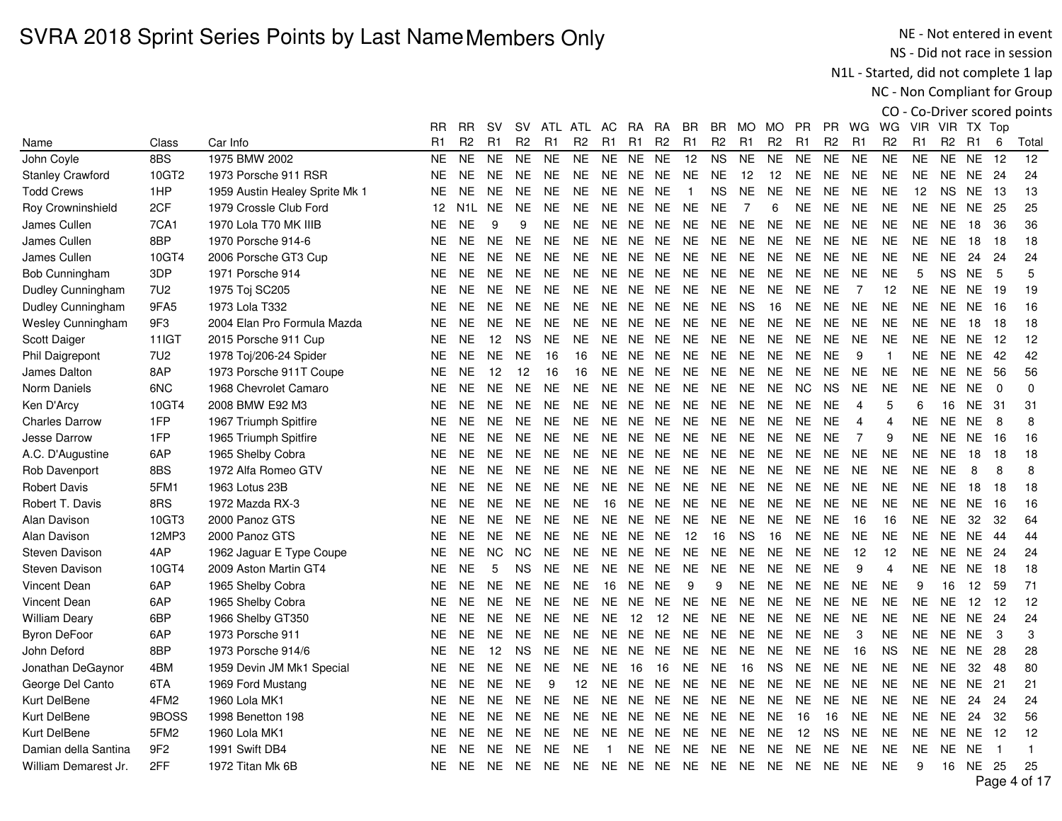NE - Not entered in event NS - Did not race in session

N1L - Started, did not complete 1 lap

NC - Non Compliant for Group

|                         |                  |                                | RR        | RR               | sv        | SV.            | ATL            | ATL            | AC.            | RA        | RA             | BR             | BR.            | MO.            | MO             | PR.            | PR.            | WG.            | WG.            | VIR.           | VIR TX Top     |           |             |              |
|-------------------------|------------------|--------------------------------|-----------|------------------|-----------|----------------|----------------|----------------|----------------|-----------|----------------|----------------|----------------|----------------|----------------|----------------|----------------|----------------|----------------|----------------|----------------|-----------|-------------|--------------|
| Name                    | Class            | Car Info                       | R1        | R <sub>2</sub>   | R1        | R <sub>2</sub> | R <sub>1</sub> | R <sub>2</sub> | R <sub>1</sub> | R1        | R <sub>2</sub> | R <sub>1</sub> | R <sub>2</sub> | R <sub>1</sub> | R <sub>2</sub> | R <sub>1</sub> | R <sub>2</sub> | R1             | R <sub>2</sub> | R <sub>1</sub> | R <sub>2</sub> | R1        | 6           | Total        |
| John Coyle              | 8BS              | 1975 BMW 2002                  | <b>NE</b> | <b>NE</b>        | <b>NE</b> | <b>NE</b>      | <b>NE</b>      | <b>NE</b>      | <b>NE</b>      | <b>NE</b> | <b>NE</b>      | 12             | <b>NS</b>      | <b>NE</b>      | <b>NE</b>      | <b>NE</b>      | <b>NE</b>      | <b>NE</b>      | <b>NE</b>      | <b>NE</b>      | <b>NE</b>      | <b>NE</b> | 12          | 12           |
| <b>Stanley Crawford</b> | 10GT2            | 1973 Porsche 911 RSR           | <b>NE</b> | <b>NE</b>        | <b>NE</b> | <b>NE</b>      | <b>NE</b>      | <b>NE</b>      | <b>NE</b>      | <b>NE</b> | <b>NE</b>      | <b>NE</b>      | <b>NE</b>      | 12             | 12             | <b>NE</b>      | <b>NE</b>      | <b>NE</b>      | <b>NE</b>      | <b>NE</b>      | <b>NE</b>      | <b>NE</b> | 24          | 24           |
| <b>Todd Crews</b>       | 1HP              | 1959 Austin Healey Sprite Mk 1 | <b>NE</b> | <b>NE</b>        | <b>NE</b> | <b>NE</b>      | <b>NE</b>      | <b>NE</b>      | <b>NE</b>      | <b>NE</b> | <b>NE</b>      | -1             | <b>NS</b>      | <b>NE</b>      | <b>NE</b>      | <b>NE</b>      | <b>NE</b>      | <b>NE</b>      | <b>NE</b>      | 12             | <b>NS</b>      | <b>NE</b> | -13         | 13           |
| Roy Crowninshield       | 2CF              | 1979 Crossle Club Ford         | 12        | N <sub>1</sub> L | <b>NE</b> | <b>NE</b>      | <b>NE</b>      | <b>NE</b>      | <b>NE</b>      | NE.       | <b>NE</b>      | <b>NE</b>      | <b>NE</b>      | $\overline{7}$ | 6              | <b>NE</b>      | <b>NE</b>      | <b>NE</b>      | <b>NE</b>      | <b>NE</b>      | <b>NE</b>      | <b>NE</b> | -25         | 25           |
| James Cullen            | 7CA1             | 1970 Lola T70 MK IIIB          | <b>NE</b> | <b>NE</b>        | 9         | 9              | <b>NE</b>      | <b>NE</b>      | <b>NE</b>      | <b>NE</b> | <b>NE</b>      | <b>NE</b>      | <b>NE</b>      | <b>NE</b>      | <b>NE</b>      | <b>NE</b>      | <b>NE</b>      | <b>NE</b>      | <b>NE</b>      | <b>NE</b>      | <b>NE</b>      | 18        | 36          | 36           |
| James Cullen            | 8BP              | 1970 Porsche 914-6             | <b>NE</b> | <b>NE</b>        | <b>NE</b> | <b>NE</b>      | <b>NE</b>      | <b>NE</b>      | <b>NE</b>      | NE.       | <b>NE</b>      | <b>NE</b>      | <b>NE</b>      | <b>NE</b>      | <b>NE</b>      | <b>NE</b>      | NE.            | <b>NE</b>      | <b>NE</b>      | <b>NE</b>      | <b>NE</b>      | 18        | 18          | 18           |
| James Cullen            | 10GT4            | 2006 Porsche GT3 Cup           | <b>NE</b> | <b>NE</b>        | <b>NE</b> | <b>NE</b>      | <b>NE</b>      | <b>NE</b>      | <b>NE</b>      | NE.       | <b>NE</b>      | <b>NE</b>      | <b>NE</b>      | <b>NE</b>      | <b>NE</b>      | <b>NE</b>      | <b>NE</b>      | <b>NE</b>      | <b>NE</b>      | <b>NE</b>      | <b>NE</b>      | 24        | 24          | 24           |
| Bob Cunningham          | 3DP              | 1971 Porsche 914               | <b>NE</b> | <b>NE</b>        | <b>NE</b> | <b>NE</b>      | <b>NE</b>      | <b>NE</b>      | <b>NE</b>      | <b>NE</b> | <b>NE</b>      | <b>NE</b>      | <b>NE</b>      | <b>NE</b>      | <b>NE</b>      | <b>NE</b>      | <b>NE</b>      | <b>NE</b>      | <b>NE</b>      | 5              | <b>NS</b>      | <b>NE</b> | 5           | 5            |
| Dudley Cunningham       | 7U <sub>2</sub>  | 1975 Toj SC205                 | <b>NE</b> | <b>NE</b>        | <b>NE</b> | <b>NE</b>      | <b>NE</b>      | <b>NE</b>      | <b>NE</b>      | <b>NE</b> | <b>NE</b>      | <b>NE</b>      | <b>NE</b>      | <b>NE</b>      | <b>NE</b>      | <b>NE</b>      | <b>NE</b>      | $\overline{7}$ | 12             | <b>NE</b>      | <b>NE</b>      | <b>NE</b> | -19         | 19           |
| Dudley Cunningham       | 9FA5             | 1973 Lola T332                 | <b>NE</b> | <b>NE</b>        | <b>NE</b> | <b>NE</b>      | <b>NE</b>      | <b>NE</b>      | <b>NE</b>      | <b>NE</b> | <b>NE</b>      | <b>NE</b>      | <b>NE</b>      | <b>NS</b>      | 16             | <b>NE</b>      | NE.            | <b>NE</b>      | <b>NE</b>      | <b>NE</b>      | <b>NE</b>      | <b>NE</b> | 16          | 16           |
| Wesley Cunningham       | 9F3              | 2004 Elan Pro Formula Mazda    | <b>NE</b> | <b>NE</b>        | <b>NE</b> | <b>NE</b>      | <b>NE</b>      | <b>NE</b>      | <b>NE</b>      | <b>NE</b> | <b>NE</b>      | <b>NE</b>      | <b>NE</b>      | <b>NE</b>      | <b>NE</b>      | <b>NE</b>      | <b>NE</b>      | <b>NE</b>      | <b>NE</b>      | <b>NE</b>      | <b>NE</b>      | 18        | 18          | 18           |
| Scott Daiger            | 11IGT            | 2015 Porsche 911 Cup           | <b>NE</b> | <b>NE</b>        | 12        | <b>NS</b>      | <b>NE</b>      | <b>NE</b>      | <b>NE</b>      | <b>NE</b> | <b>NE</b>      | <b>NE</b>      | <b>NE</b>      | <b>NE</b>      | <b>NE</b>      | <b>NE</b>      | <b>NE</b>      | <b>NE</b>      | <b>NE</b>      | <b>NE</b>      | <b>NE</b>      | <b>NE</b> | 12          | 12           |
| Phil Daigrepont         | <b>7U2</b>       | 1978 Toj/206-24 Spider         | <b>NE</b> | <b>NE</b>        | <b>NE</b> | <b>NE</b>      | 16             | 16             | <b>NE</b>      | <b>NE</b> | <b>NE</b>      | <b>NE</b>      | <b>NE</b>      | <b>NE</b>      | <b>NE</b>      | <b>NE</b>      | <b>NE</b>      | 9              | $\overline{1}$ | <b>NE</b>      | NE NE          |           | 42          | 42           |
| <b>James Dalton</b>     | 8AP              | 1973 Porsche 911T Coupe        | <b>NE</b> | <b>NE</b>        | 12        | 12             | 16             | 16             | <b>NE</b>      | NE.       | <b>NE</b>      | <b>NE</b>      | <b>NE</b>      | <b>NE</b>      | <b>NE</b>      | <b>NE</b>      | <b>NE</b>      | <b>NE</b>      | <b>NE</b>      | NE             | <b>NE</b>      | <b>NE</b> | 56          | 56           |
| Norm Daniels            | 6NC              | 1968 Chevrolet Camaro          | <b>NE</b> | <b>NE</b>        | <b>NE</b> | <b>NE</b>      | <b>NE</b>      | <b>NE</b>      | <b>NE</b>      | NE        | <b>NE</b>      | <b>NE</b>      | <b>NE</b>      | <b>NE</b>      | <b>NE</b>      | <b>NC</b>      | <b>NS</b>      | <b>NE</b>      | <b>NE</b>      | <b>NE</b>      | <b>NE</b>      | <b>NE</b> | $\mathbf 0$ | 0            |
| Ken D'Arcy              | 10GT4            | 2008 BMW E92 M3                | <b>NE</b> | <b>NE</b>        | <b>NE</b> | <b>NE</b>      | <b>NE</b>      | <b>NE</b>      | <b>NE</b>      | <b>NE</b> | <b>NE</b>      | <b>NE</b>      | <b>NE</b>      | <b>NE</b>      | <b>NE</b>      | <b>NE</b>      | <b>NE</b>      | 4              | 5              | 6              | 16             | <b>NE</b> | -31         | 31           |
| <b>Charles Darrow</b>   | 1FP              | 1967 Triumph Spitfire          | <b>NE</b> | <b>NE</b>        | <b>NE</b> | <b>NE</b>      | <b>NE</b>      | <b>NE</b>      | <b>NE</b>      | <b>NE</b> | <b>NE</b>      | <b>NE</b>      | <b>NE</b>      | <b>NE</b>      | <b>NE</b>      | <b>NE</b>      | <b>NE</b>      | $\overline{4}$ | 4              | <b>NE</b>      | <b>NE</b>      | <b>NE</b> | 8           | 8            |
| <b>Jesse Darrow</b>     | 1FP              | 1965 Triumph Spitfire          | <b>NE</b> | <b>NE</b>        | <b>NE</b> | <b>NE</b>      | <b>NE</b>      | <b>NE</b>      | <b>NE</b>      | <b>NE</b> | <b>NE</b>      | <b>NE</b>      | <b>NE</b>      | <b>NE</b>      | <b>NE</b>      | <b>NE</b>      | <b>NE</b>      | $\overline{7}$ | 9              | <b>NE</b>      | <b>NE</b>      | <b>NE</b> | 16          | 16           |
| A.C. D'Augustine        | 6AP              | 1965 Shelby Cobra              | <b>NE</b> | <b>NE</b>        | NE.       | <b>NE</b>      | <b>NE</b>      | <b>NE</b>      | <b>NE</b>      | <b>NE</b> | <b>NE</b>      | NE.            | <b>NE</b>      | <b>NE</b>      | <b>NE</b>      | <b>NE</b>      | <b>NE</b>      | <b>NE</b>      | <b>NE</b>      | <b>NE</b>      | <b>NE</b>      | 18        | 18          | 18           |
| Rob Davenport           | 8BS              | 1972 Alfa Romeo GTV            | <b>NE</b> | <b>NE</b>        | <b>NE</b> | <b>NE</b>      | <b>NE</b>      | <b>NE</b>      | <b>NE</b>      | <b>NE</b> | <b>NE</b>      | <b>NE</b>      | <b>NE</b>      | <b>NE</b>      | <b>NE</b>      | <b>NE</b>      | <b>NE</b>      | <b>NE</b>      | <b>NE</b>      | <b>NE</b>      | <b>NE</b>      | 8         | 8           | 8            |
| <b>Robert Davis</b>     | 5FM1             | 1963 Lotus 23B                 | <b>NE</b> | <b>NE</b>        | NE.       | <b>NE</b>      | <b>NE</b>      | NE.            | NE.            | NE.       | <b>NE</b>      | <b>NE</b>      | <b>NE</b>      | <b>NE</b>      | <b>NE</b>      | <b>NE</b>      | NE.            | <b>NE</b>      | <b>NE</b>      | NE.            | NE.            | 18        | 18          | 18           |
| Robert T. Davis         | 8RS              | 1972 Mazda RX-3                | <b>NE</b> | NE.              | <b>NE</b> | <b>NE</b>      | <b>NE</b>      | <b>NE</b>      | 16             | NE.       | <b>NE</b>      | <b>NE</b>      | <b>NE</b>      | <b>NE</b>      | <b>NE</b>      | <b>NE</b>      | <b>NE</b>      | <b>NE</b>      | <b>NE</b>      | <b>NE</b>      | <b>NE</b>      | <b>NE</b> | 16          | 16           |
| Alan Davison            | 10GT3            | 2000 Panoz GTS                 | <b>NE</b> | <b>NE</b>        | NE.       | <b>NE</b>      | <b>NE</b>      | <b>NE</b>      | <b>NE</b>      | <b>NE</b> | <b>NE</b>      | <b>NE</b>      | <b>NE</b>      | <b>NE</b>      | <b>NE</b>      | <b>NE</b>      | <b>NE</b>      | 16             | 16             | <b>NE</b>      | <b>NE</b>      | 32        | 32          | 64           |
| Alan Davison            | 12MP3            | 2000 Panoz GTS                 | <b>NE</b> | <b>NE</b>        | <b>NE</b> | <b>NE</b>      | <b>NE</b>      | <b>NE</b>      | <b>NE</b>      | <b>NE</b> | <b>NE</b>      | 12             | 16             | <b>NS</b>      | 16             | <b>NE</b>      | <b>NE</b>      | <b>NE</b>      | <b>NE</b>      | <b>NE</b>      | <b>NE</b>      | <b>NE</b> | 44          | 44           |
| <b>Steven Davison</b>   | 4AP              | 1962 Jaguar E Type Coupe       | <b>NE</b> | NE.              | NC.       | <b>NC</b>      | <b>NE</b>      | <b>NE</b>      | <b>NE</b>      | NE.       | <b>NE</b>      | <b>NE</b>      | <b>NE</b>      | <b>NE</b>      | <b>NE</b>      | <b>NE</b>      | <b>NE</b>      | 12             | 12             | <b>NE</b>      | <b>NE</b>      | <b>NE</b> | 24          | 24           |
| Steven Davison          | 10GT4            | 2009 Aston Martin GT4          | <b>NE</b> | <b>NE</b>        | 5         | <b>NS</b>      | <b>NE</b>      | <b>NE</b>      | <b>NE</b>      | <b>NE</b> | <b>NE</b>      | <b>NE</b>      | <b>NE</b>      | <b>NE</b>      | <b>NE</b>      | <b>NE</b>      | <b>NE</b>      | 9              | 4              | <b>NE</b>      | <b>NE</b>      | <b>NE</b> | 18          | 18           |
| Vincent Dean            | 6AP              | 1965 Shelby Cobra              | <b>NE</b> | <b>NE</b>        | <b>NE</b> | <b>NE</b>      | <b>NE</b>      | <b>NE</b>      | 16             | <b>NE</b> | <b>NE</b>      | 9              | 9              | <b>NE</b>      | <b>NE</b>      | <b>NE</b>      | <b>NE</b>      | <b>NE</b>      | <b>NE</b>      | 9              | 16             | 12        | 59          | 71           |
| Vincent Dean            | 6AP              | 1965 Shelby Cobra              | <b>NE</b> | <b>NE</b>        | <b>NE</b> | <b>NE</b>      | <b>NE</b>      | <b>NE</b>      | <b>NE</b>      | <b>NE</b> | <b>NE</b>      | <b>NE</b>      | <b>NE</b>      | <b>NE</b>      | <b>NE</b>      | <b>NE</b>      | <b>NE</b>      | <b>NE</b>      | <b>NE</b>      | <b>NE</b>      | <b>NE</b>      | 12        | -12         | 12           |
| <b>William Deary</b>    | 6BP              | 1966 Shelby GT350              | <b>NE</b> | <b>NE</b>        | <b>NE</b> | <b>NE</b>      | <b>NE</b>      | <b>NE</b>      | <b>NE</b>      | 12        | 12             | <b>NE</b>      | <b>NE</b>      | <b>NE</b>      | <b>NE</b>      | <b>NE</b>      | <b>NE</b>      | <b>NE</b>      | <b>NE</b>      | <b>NE</b>      | <b>NE</b>      | <b>NE</b> | 24          | 24           |
| <b>Byron DeFoor</b>     | 6AP              | 1973 Porsche 911               | <b>NE</b> | <b>NE</b>        | <b>NE</b> | <b>NE</b>      | <b>NE</b>      | <b>NE</b>      | <b>NE</b>      | <b>NE</b> | <b>NE</b>      | <b>NE</b>      | <b>NE</b>      | <b>NE</b>      | <b>NE</b>      | <b>NE</b>      | <b>NE</b>      | 3              | <b>NE</b>      | <b>NE</b>      | <b>NE</b>      | <b>NE</b> | -3          | 3            |
| John Deford             | 8BP              | 1973 Porsche 914/6             | <b>NE</b> | <b>NE</b>        | 12        | <b>NS</b>      | <b>NE</b>      | <b>NE</b>      | <b>NE</b>      | <b>NE</b> | <b>NE</b>      | <b>NE</b>      | <b>NE</b>      | <b>NE</b>      | <b>NE</b>      | <b>NE</b>      | <b>NE</b>      | 16             | <b>NS</b>      | <b>NE</b>      | <b>NE</b>      | <b>NE</b> | 28          | 28           |
| Jonathan DeGaynor       | 4BM              | 1959 Devin JM Mk1 Special      | <b>NE</b> | <b>NE</b>        | <b>NE</b> | <b>NE</b>      | <b>NE</b>      | <b>NE</b>      | <b>NE</b>      | 16        | 16             | <b>NE</b>      | <b>NE</b>      | 16             | <b>NS</b>      | <b>NE</b>      | NE.            | <b>NE</b>      | <b>NE</b>      | <b>NE</b>      | <b>NE</b>      | 32        | 48          | 80           |
| George Del Canto        | 6TA              | 1969 Ford Mustang              | <b>NE</b> | <b>NE</b>        | NE.       | <b>NE</b>      | 9              | 12             | <b>NE</b>      | NE.       | <b>NE</b>      | <b>NE</b>      | <b>NE</b>      | <b>NE</b>      | <b>NE</b>      | <b>NE</b>      | <b>NE</b>      | <b>NE</b>      | <b>NE</b>      | <b>NE</b>      | NE.            | <b>NE</b> | 21          | 21           |
| Kurt DelBene            | 4FM2             | 1960 Lola MK1                  | <b>NE</b> | <b>NE</b>        | <b>NE</b> | <b>NE</b>      | <b>NE</b>      | <b>NE</b>      | <b>NE</b>      | <b>NE</b> | <b>NE</b>      | <b>NE</b>      | <b>NE</b>      | <b>NE</b>      | <b>NE</b>      | <b>NE</b>      | <b>NE</b>      | <b>NE</b>      | <b>NE</b>      | <b>NE</b>      | <b>NE</b>      | 24        | 24          | 24           |
| Kurt DelBene            | 9BOSS            | 1998 Benetton 198              | <b>NE</b> | <b>NE</b>        | <b>NE</b> | <b>NE</b>      | <b>NE</b>      | <b>NE</b>      | <b>NE</b>      | NE        | <b>NE</b>      | <b>NE</b>      | <b>NE</b>      | <b>NE</b>      | <b>NE</b>      | 16             | 16             | <b>NE</b>      | <b>NE</b>      | <b>NE</b>      | <b>NE</b>      | 24        | 32          | 56           |
| Kurt DelBene            | 5FM <sub>2</sub> | 1960 Lola MK1                  | <b>NE</b> | NE.              | NE.       | <b>NE</b>      | <b>NE</b>      | <b>NE</b>      | <b>NE</b>      | NE.       | <b>NE</b>      | <b>NE</b>      | <b>NE</b>      | <b>NE</b>      | <b>NE</b>      | 12             | <b>NS</b>      | <b>NE</b>      | <b>NE</b>      | <b>NE</b>      | NE NE          |           | 12          | 12           |
| Damian della Santina    | 9F <sub>2</sub>  | 1991 Swift DB4                 | <b>NE</b> | <b>NE</b>        | NE.       | NE.            | <b>NE</b>      | <b>NE</b>      |                | NE.       | NE.            | <b>NE</b>      | <b>NE</b>      | <b>NE</b>      | <b>NE</b>      | <b>NE</b>      | <b>NE</b>      | <b>NE</b>      | <b>NE</b>      | <b>NE</b>      | <b>NE</b>      | <b>NE</b> | -1          | $\mathbf{1}$ |
| William Demarest Jr.    | 2FF              | 1972 Titan Mk 6B               | <b>NE</b> | NE.              | NE.       | <b>NE</b>      | <b>NE</b>      | <b>NE</b>      | <b>NE</b>      |           | NE NE NE       |                | <b>NE</b>      | <b>NE</b>      | <b>NE</b>      | <b>NE</b>      | <b>NE</b>      | <b>NE</b>      | <b>NE</b>      | 9              | 16             | <b>NE</b> | - 25        | 25           |
|                         |                  |                                |           |                  |           |                |                |                |                |           |                |                |                |                |                |                |                |                |                |                |                |           |             | $D = 4 - 4$  |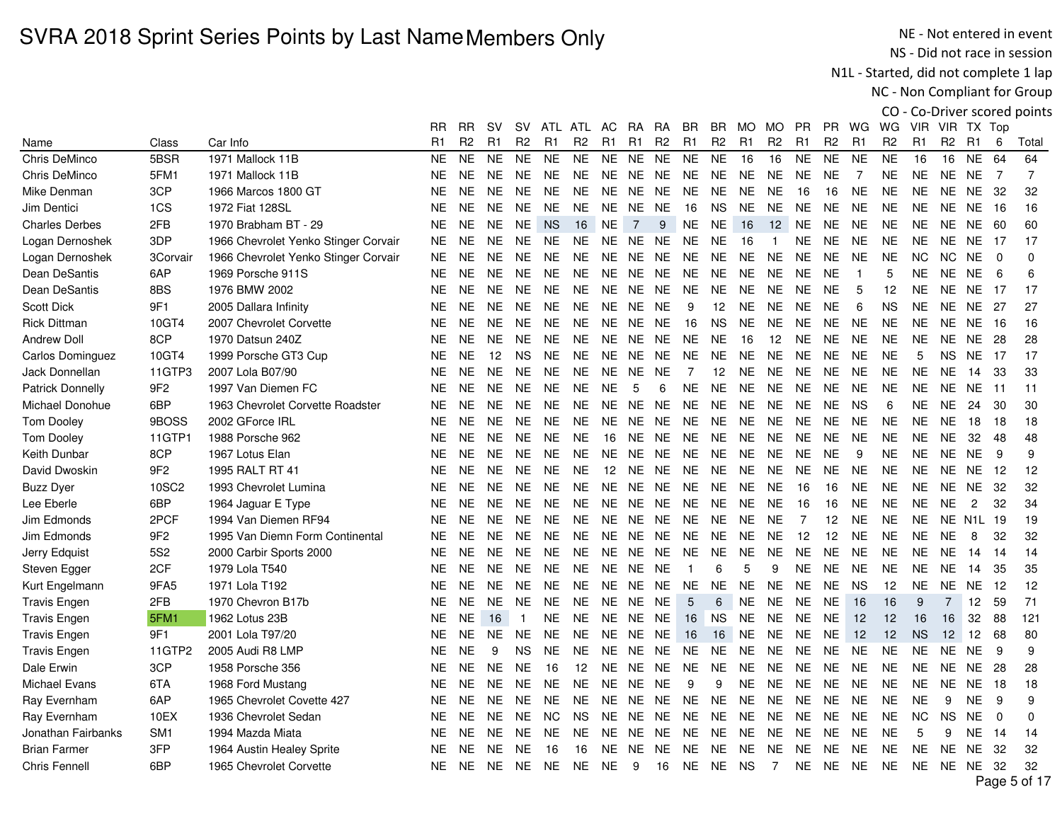NE - Not entered in event NS - Did not race in session

N1L - Started, did not complete 1 lap

NC - Non Compliant for Group

|                         |                 |                                      | RR.       | RR             | sv        | sv             |                | ATL ATL        | AC        | <b>RA</b>      | RA.            | BR.            | BR             | MO.            | MO.            | PR.            | PR.            | WG             | WG             | <b>VIR</b>     | VIR.           | TX Top           |                |                               |
|-------------------------|-----------------|--------------------------------------|-----------|----------------|-----------|----------------|----------------|----------------|-----------|----------------|----------------|----------------|----------------|----------------|----------------|----------------|----------------|----------------|----------------|----------------|----------------|------------------|----------------|-------------------------------|
| Name                    | Class           | Car Info                             | R1        | R <sub>2</sub> | R1        | R <sub>2</sub> | R <sub>1</sub> | R <sub>2</sub> | R1        | R1             | R <sub>2</sub> | R <sub>1</sub> | R <sub>2</sub> | R <sub>1</sub> | R <sub>2</sub> | R <sub>1</sub> | R <sub>2</sub> | R <sub>1</sub> | R <sub>2</sub> | R <sub>1</sub> | R <sub>2</sub> | R1               | 6              | Total                         |
| Chris DeMinco           | 5BSR            | 1971 Mallock 11B                     | <b>NE</b> | <b>NE</b>      | <b>NE</b> | <b>NE</b>      | <b>NE</b>      | <b>NE</b>      | <b>NE</b> | <b>NE</b>      | <b>NE</b>      | <b>NE</b>      | <b>NE</b>      | 16             | 16             | <b>NE</b>      | <b>NE</b>      | <b>NE</b>      | <b>NE</b>      | 16             | 16             | <b>NE</b>        | 64             | 64                            |
| Chris DeMinco           | 5FM1            | 1971 Mallock 11B                     | NE.       | <b>NE</b>      | <b>NE</b> | <b>NE</b>      | <b>NE</b>      | <b>NE</b>      | <b>NE</b> | NE             | <b>NE</b>      | <b>NE</b>      | <b>NE</b>      | <b>NE</b>      | <b>NE</b>      | <b>NE</b>      | <b>NE</b>      | 7              | <b>NE</b>      | <b>NE</b>      | <b>NE</b>      | <b>NE</b>        | $\overline{7}$ | $\overline{7}$                |
| Mike Denman             | 3CP             | 1966 Marcos 1800 GT                  | NE.       | <b>NE</b>      | <b>NE</b> | <b>NE</b>      | <b>NE</b>      | <b>NE</b>      | NE.       | <b>NE</b>      | <b>NE</b>      | <b>NE</b>      | <b>NE</b>      | <b>NE</b>      | <b>NE</b>      | 16             | 16             | <b>NE</b>      | <b>NE</b>      | <b>NE</b>      | NE.            | <b>NE</b>        | 32             | 32                            |
| Jim Dentici             | 1CS             | 1972 Fiat 128SL                      | NE.       | <b>NE</b>      | <b>NE</b> | <b>NE</b>      | <b>NE</b>      | <b>NE</b>      | NE.       | <b>NE</b>      | <b>NE</b>      | 16             | <b>NS</b>      | <b>NE</b>      | <b>NE</b>      | <b>NE</b>      | <b>NE</b>      | <b>NE</b>      | <b>NE</b>      | <b>NE</b>      | NE.            | <b>NE</b>        | -16            | 16                            |
| <b>Charles Derbes</b>   | 2FB             | 1970 Brabham BT - 29                 | NE.       | <b>NE</b>      | <b>NE</b> | <b>NE</b>      | <b>NS</b>      | 16             | <b>NE</b> | $\overline{7}$ | 9              | $N\mathsf{E}$  | <b>NE</b>      | 16             | 12             | <b>NE</b>      | <b>NE</b>      | <b>NE</b>      | <b>NE</b>      | <b>NE</b>      | <b>NE</b>      | NE               | -60            | 60                            |
| Logan Dernoshek         | 3DP             | 1966 Chevrolet Yenko Stinger Corvair | NE.       | <b>NE</b>      | <b>NE</b> | NE.            | <b>NE</b>      | <b>NE</b>      |           | NE NE NE       |                | <b>NE</b>      | <b>NE</b>      | 16             |                | <b>NE</b>      | <b>NE</b>      | <b>NE</b>      | <b>NE</b>      | <b>NE</b>      | NE.            | <b>NE</b>        | 17             | 17                            |
| Logan Dernoshek         | 3Corvair        | 1966 Chevrolet Yenko Stinger Corvair | NE.       | <b>NE</b>      | <b>NE</b> | <b>NE</b>      | <b>NE</b>      | <b>NE</b>      | <b>NE</b> | <b>NE</b>      | <b>NE</b>      | <b>NE</b>      | <b>NE</b>      | <b>NE</b>      | <b>NE</b>      | <b>NE</b>      | <b>NE</b>      | <b>NE</b>      | <b>NE</b>      | <b>NC</b>      | NC.            | <b>NE</b>        | $\Omega$       | $\Omega$                      |
| Dean DeSantis           | 6AP             | 1969 Porsche 911S                    | NE.       | <b>NE</b>      | <b>NE</b> | <b>NE</b>      | <b>NE</b>      | <b>NE</b>      | <b>NE</b> | <b>NE</b>      | <b>NE</b>      | <b>NE</b>      | <b>NE</b>      | <b>NE</b>      | <b>NE</b>      | <b>NE</b>      | <b>NE</b>      | $\overline{1}$ | 5              | <b>NE</b>      | <b>NE</b>      | <b>NE</b>        | 6              | 6                             |
| Dean DeSantis           | 8BS             | 1976 BMW 2002                        | NE.       | <b>NE</b>      | <b>NE</b> | <b>NE</b>      | NE.            | <b>NE</b>      | NE.       | NE.            | NE.            | <b>NE</b>      | <b>NE</b>      | <b>NE</b>      | <b>NE</b>      | <b>NE</b>      | <b>NE</b>      | 5              | 12             | <b>NE</b>      | NE.            | <b>NE</b>        | -17            | 17                            |
| <b>Scott Dick</b>       | 9F1             | 2005 Dallara Infinity                | NE.       | <b>NE</b>      | <b>NE</b> | <b>NE</b>      | <b>NE</b>      | <b>NE</b>      | NE.       | <b>NE</b>      | <b>NE</b>      | 9              | 12             | <b>NE</b>      | <b>NE</b>      | <b>NE</b>      | <b>NE</b>      | 6              | <b>NS</b>      | <b>NE</b>      | NE.            | <b>NE</b>        | 27             | 27                            |
| <b>Rick Dittman</b>     | 10GT4           | 2007 Chevrolet Corvette              | <b>NE</b> | <b>NE</b>      | <b>NE</b> | <b>NE</b>      | <b>NE</b>      | <b>NE</b>      | <b>NE</b> | <b>NE</b>      | <b>NE</b>      | 16             | <b>NS</b>      | <b>NE</b>      | <b>NE</b>      | <b>NE</b>      | <b>NE</b>      | <b>NE</b>      | <b>NE</b>      | <b>NE</b>      | <b>NE</b>      | <b>NE</b>        | 16             | 16                            |
| <b>Andrew Doll</b>      | 8CP             | 1970 Datsun 240Z                     | NE.       | <b>NE</b>      | <b>NE</b> | <b>NE</b>      | <b>NE</b>      | <b>NE</b>      | <b>NE</b> | <b>NE</b>      | <b>NE</b>      | <b>NE</b>      | <b>NE</b>      | 16             | 12             | <b>NE</b>      | <b>NE</b>      | <b>NE</b>      | <b>NE</b>      | <b>NE</b>      | <b>NE</b>      | <b>NE</b>        | 28             | 28                            |
| Carlos Dominguez        | 10GT4           | 1999 Porsche GT3 Cup                 | <b>NE</b> | <b>NE</b>      | 12        | <b>NS</b>      | <b>NE</b>      | <b>NE</b>      | <b>NE</b> | NE.            | <b>NE</b>      | <b>NE</b>      | <b>NE</b>      | <b>NE</b>      | <b>NE</b>      | <b>NE</b>      | <b>NE</b>      | <b>NE</b>      | <b>NE</b>      | 5              | <b>NS</b>      | <b>NE</b>        | 17             | 17                            |
| Jack Donnellan          | 11GTP3          | 2007 Lola B07/90                     | NE.       | <b>NE</b>      | <b>NE</b> | <b>NE</b>      | <b>NE</b>      | <b>NE</b>      | <b>NE</b> | <b>NE</b>      | <b>NE</b>      | $\overline{7}$ | 12             | <b>NE</b>      | <b>NE</b>      | <b>NE</b>      | <b>NE</b>      | <b>NE</b>      | <b>NE</b>      | <b>NE</b>      | NE.            | 14               | 33             | 33                            |
| <b>Patrick Donnelly</b> | 9F <sub>2</sub> | 1997 Van Diemen FC                   | <b>NE</b> | <b>NE</b>      | <b>NE</b> | <b>NE</b>      | <b>NE</b>      | <b>NE</b>      | <b>NE</b> | 5              | 6              | <b>NE</b>      | <b>NE</b>      | <b>NE</b>      | <b>NE</b>      | <b>NE</b>      | <b>NE</b>      | <b>NE</b>      | <b>NE</b>      | <b>NE</b>      | NE.            | <b>NE</b>        | 11             | 11                            |
| Michael Donohue         | 6BP             | 1963 Chevrolet Corvette Roadster     | <b>NE</b> | <b>NE</b>      | <b>NE</b> | <b>NE</b>      | <b>NE</b>      | <b>NE</b>      | NE.       | <b>NE</b>      | <b>NE</b>      | <b>NE</b>      | <b>NE</b>      | <b>NE</b>      | <b>NE</b>      | <b>NE</b>      | <b>NE</b>      | <b>NS</b>      | 6              | <b>NE</b>      | <b>NE</b>      | 24               | 30             | 30                            |
| <b>Tom Dooley</b>       | 9BOSS           | 2002 GForce IRL                      | NE.       | <b>NE</b>      | <b>NE</b> | NE.            | <b>NE</b>      | <b>NE</b>      | <b>NE</b> | NE             | <b>NE</b>      | <b>NE</b>      | <b>NE</b>      | <b>NE</b>      | <b>NE</b>      | <b>NE</b>      | <b>NE</b>      | <b>NE</b>      | <b>NE</b>      | <b>NE</b>      | <b>NE</b>      | 18               | 18             | 18                            |
| <b>Tom Dooley</b>       | 11GTP1          | 1988 Porsche 962                     | NE.       | <b>NE</b>      | <b>NE</b> | NE.            | <b>NE</b>      | <b>NE</b>      | 16        | <b>NE</b>      | <b>NE</b>      | <b>NE</b>      | <b>NE</b>      | <b>NE</b>      | <b>NE</b>      | <b>NE</b>      | <b>NE</b>      | <b>NE</b>      | <b>NE</b>      | <b>NE</b>      | <b>NE</b>      | 32               | 48             | 48                            |
| Keith Dunbar            | 8CP             | 1967 Lotus Elan                      | <b>NE</b> | <b>NE</b>      | <b>NE</b> | <b>NE</b>      | <b>NE</b>      | <b>NE</b>      | <b>NE</b> | <b>NE</b>      | <b>NE</b>      | <b>NE</b>      | <b>NE</b>      | <b>NE</b>      | <b>NE</b>      | <b>NE</b>      | <b>NE</b>      | 9              | <b>NE</b>      | <b>NE</b>      | <b>NE</b>      | <b>NE</b>        | 9              | 9                             |
| David Dwoskin           | 9F <sub>2</sub> | 1995 RALT RT 41                      | NE.       | <b>NE</b>      | <b>NE</b> | <b>NE</b>      | <b>NE</b>      | <b>NE</b>      | 12        | <b>NE</b>      | <b>NE</b>      | <b>NE</b>      | <b>NE</b>      | <b>NE</b>      | <b>NE</b>      | <b>NE</b>      | <b>NE</b>      | <b>NE</b>      | <b>NE</b>      | <b>NE</b>      | <b>NE</b>      | <b>NE</b>        | 12             | 12                            |
| <b>Buzz Dyer</b>        | 10SC2           | 1993 Chevrolet Lumina                | <b>NE</b> | <b>NE</b>      | <b>NE</b> | NE.            | <b>NE</b>      | <b>NE</b>      | <b>NE</b> | NE NE          |                | <b>NE</b>      | <b>NE</b>      | <b>NE</b>      | <b>NE</b>      | 16             | 16             | <b>NE</b>      | <b>NE</b>      | <b>NE</b>      | <b>NE</b>      | <b>NE</b>        | 32             | 32                            |
| Lee Eberle              | 6BP             | 1964 Jaguar E Type                   | NE.       | <b>NE</b>      | <b>NE</b> | NE.            | <b>NE</b>      | <b>NE</b>      | NE.       | NE NE          |                | <b>NE</b>      | <b>NE</b>      | <b>NE</b>      | <b>NE</b>      | 16             | 16             | <b>NE</b>      | <b>NE</b>      | <b>NE</b>      | NE.            | $\overline{c}$   | 32             | 34                            |
| Jim Edmonds             | 2PCF            | 1994 Van Diemen RF94                 | <b>NE</b> | <b>NE</b>      | <b>NE</b> | <b>NE</b>      | <b>NE</b>      | <b>NE</b>      | <b>NE</b> | <b>NE</b>      | <b>NE</b>      | <b>NE</b>      | <b>NE</b>      | <b>NE</b>      | <b>NE</b>      | $\overline{7}$ | 12             | <b>NE</b>      | <b>NE</b>      | <b>NE</b>      |                | <b>NE N1L 19</b> |                | 19                            |
| Jim Edmonds             | 9F <sub>2</sub> | 1995 Van Diemn Form Continental      | NE.       | <b>NE</b>      | <b>NE</b> | <b>NE</b>      | <b>NE</b>      | <b>NE</b>      | <b>NE</b> | NE             | <b>NE</b>      | <b>NE</b>      | <b>NE</b>      | <b>NE</b>      | <b>NE</b>      | 12             | 12             | <b>NE</b>      | <b>NE</b>      | <b>NE</b>      | <b>NE</b>      | 8                | 32             | 32                            |
| Jerry Edquist           | 5S <sub>2</sub> | 2000 Carbir Sports 2000              | NE.       | <b>NE</b>      | <b>NE</b> | NE.            | <b>NE</b>      | <b>NE</b>      | NE.       | NE.            | <b>NE</b>      | <b>NE</b>      | <b>NE</b>      | <b>NE</b>      | <b>NE</b>      | <b>NE</b>      | <b>NE</b>      | <b>NE</b>      | <b>NE</b>      | <b>NE</b>      | <b>NE</b>      | 14               | -14            | 14                            |
| Steven Egger            | 2CF             | 1979 Lola T540                       | NE.       | <b>NE</b>      | <b>NE</b> | <b>NE</b>      | <b>NE</b>      | <b>NE</b>      | NE.       | <b>NE</b>      | <b>NE</b>      | $\overline{1}$ | 6              | 5              | 9              | <b>NE</b>      | <b>NE</b>      | <b>NE</b>      | <b>NE</b>      | <b>NE</b>      | <b>NE</b>      | 14               | 35             | 35                            |
| Kurt Engelmann          | 9FA5            | 1971 Lola T192                       | <b>NE</b> | <b>NE</b>      | <b>NE</b> | NE.            | <b>NE</b>      | <b>NE</b>      | <b>NE</b> | <b>NE</b>      | <b>NE</b>      | <b>NE</b>      | <b>NE</b>      | <b>NE</b>      | <b>NE</b>      | <b>NE</b>      | <b>NE</b>      | <b>NS</b>      | 12             | <b>NE</b>      | <b>NE</b>      | <b>NE</b>        | 12             | 12                            |
| <b>Travis Engen</b>     | 2FB             | 1970 Chevron B17b                    | <b>NE</b> | <b>NE</b>      | <b>NE</b> | <b>NE</b>      | <b>NE</b>      | <b>NE</b>      | NE.       | NE.            | <b>NE</b>      | 5              | 6              | <b>NE</b>      | <b>NE</b>      | <b>NE</b>      | <b>NE</b>      | 16             | 16             | 9              | $\overline{7}$ | 12               | 59             | 71                            |
| <b>Travis Engen</b>     | 5FM1            | 1962 Lotus 23B                       | NE.       | <b>NE</b>      | 16        | $\overline{1}$ | <b>NE</b>      | <b>NE</b>      | <b>NE</b> | NE NE          |                | 16             | <b>NS</b>      | <b>NE</b>      | <b>NE</b>      | <b>NE</b>      | <b>NE</b>      | 12             | 12             | 16             | 16             | 32               | 88             | 121                           |
| <b>Travis Engen</b>     | 9F1             | 2001 Lola T97/20                     | NE.       | <b>NE</b>      | <b>NE</b> | <b>NE</b>      | <b>NE</b>      | <b>NE</b>      | <b>NE</b> | NE NE          |                | 16             | 16             | <b>NE</b>      | <b>NE</b>      | <b>NE</b>      | <b>NE</b>      | 12             | 12             | <b>NS</b>      | 12             | 12               | 68             | 80                            |
| <b>Travis Engen</b>     | 11GTP2          | 2005 Audi R8 LMP                     | <b>NE</b> | <b>NE</b>      | 9         | <b>NS</b>      | <b>NE</b>      | <b>NE</b>      | <b>NE</b> | <b>NE</b>      | <b>NE</b>      | <b>NE</b>      | <b>NE</b>      | <b>NE</b>      | <b>NE</b>      | <b>NE</b>      | <b>NE</b>      | <b>NE</b>      | <b>NE</b>      | <b>NE</b>      | <b>NE</b>      | <b>NE</b>        | 9              | 9                             |
| Dale Erwin              | 3CP             | 1958 Porsche 356                     | NE.       | <b>NE</b>      | <b>NE</b> | <b>NE</b>      | 16             | 12             | <b>NE</b> | <b>NE</b>      | <b>NE</b>      | <b>NE</b>      | <b>NE</b>      | <b>NE</b>      | <b>NE</b>      | <b>NE</b>      | <b>NE</b>      | <b>NE</b>      | <b>NE</b>      | <b>NE</b>      | <b>NE</b>      | <b>NE</b>        | -28            | 28                            |
| <b>Michael Evans</b>    | 6TA             | 1968 Ford Mustang                    | NE.       | <b>NE</b>      | <b>NE</b> | <b>NE</b>      | <b>NE</b>      | <b>NE</b>      | <b>NE</b> | NE             | <b>NE</b>      | 9              | 9              | <b>NE</b>      | <b>NE</b>      | <b>NE</b>      | <b>NE</b>      | <b>NE</b>      | <b>NE</b>      | <b>NE</b>      | <b>NE</b>      | <b>NE</b>        | 18             | 18                            |
| Ray Evernham            | 6AP             | 1965 Chevrolet Covette 427           | NE.       | <b>NE</b>      | <b>NE</b> | NE.            | <b>NE</b>      | <b>NE</b>      | <b>NE</b> | <b>NE</b>      | <b>NE</b>      | <b>NE</b>      | <b>NE</b>      | <b>NE</b>      | <b>NE</b>      | <b>NE</b>      | <b>NE</b>      | <b>NE</b>      | <b>NE</b>      | <b>NE</b>      | 9              | <b>NE</b>        | 9              | 9                             |
| Ray Evernham            | 10EX            | 1936 Chevrolet Sedan                 | <b>NE</b> | <b>NE</b>      | <b>NE</b> | <b>NE</b>      | <b>NC</b>      | <b>NS</b>      | <b>NE</b> | <b>NE</b>      | <b>NE</b>      | <b>NE</b>      | <b>NE</b>      | <b>NE</b>      | <b>NE</b>      | <b>NE</b>      | <b>NE</b>      | <b>NE</b>      | <b>NE</b>      | <b>NC</b>      | <b>NS</b>      | <b>NE</b>        | $\mathbf 0$    | $\mathbf 0$                   |
| Jonathan Fairbanks      | SM <sub>1</sub> | 1994 Mazda Miata                     | NE.       | <b>NE</b>      | <b>NE</b> | <b>NE</b>      | <b>NE</b>      | <b>NE</b>      | <b>NE</b> | NE NE          |                | <b>NE</b>      | <b>NE</b>      | <b>NE</b>      | <b>NE</b>      | <b>NE</b>      | <b>NE</b>      | <b>NE</b>      | <b>NE</b>      | 5              | 9              | <b>NE</b>        | -14            | 14                            |
| <b>Brian Farmer</b>     | 3FP             | 1964 Austin Healey Sprite            | NE.       | <b>NE</b>      | <b>NE</b> | <b>NE</b>      | 16             | 16             | NE.       | <b>NE</b>      | <b>NE</b>      | <b>NE</b>      | <b>NE</b>      | <b>NE</b>      | <b>NE</b>      | <b>NE</b>      | <b>NE</b>      | <b>NE</b>      | <b>NE</b>      | <b>NE</b>      | <b>NE</b>      | <b>NE</b>        | 32             | 32                            |
| <b>Chris Fennell</b>    | 6BP             | 1965 Chevrolet Corvette              | NE.       | <b>NE</b>      | NE.       | NE.            | <b>NE</b>      | <b>NE</b>      | <b>NE</b> | 9              | 16             | <b>NE</b>      | <b>NE</b>      | <b>NS</b>      | $\overline{7}$ | <b>NE</b>      | <b>NE</b>      | <b>NE</b>      | <b>NE</b>      | <b>NE</b>      |                | <b>NE NE 32</b>  |                | 32                            |
|                         |                 |                                      |           |                |           |                |                |                |           |                |                |                |                |                |                |                |                |                |                |                |                | <sub>n</sub>     |                | $\mathbf{r}$ and $\mathbf{r}$ |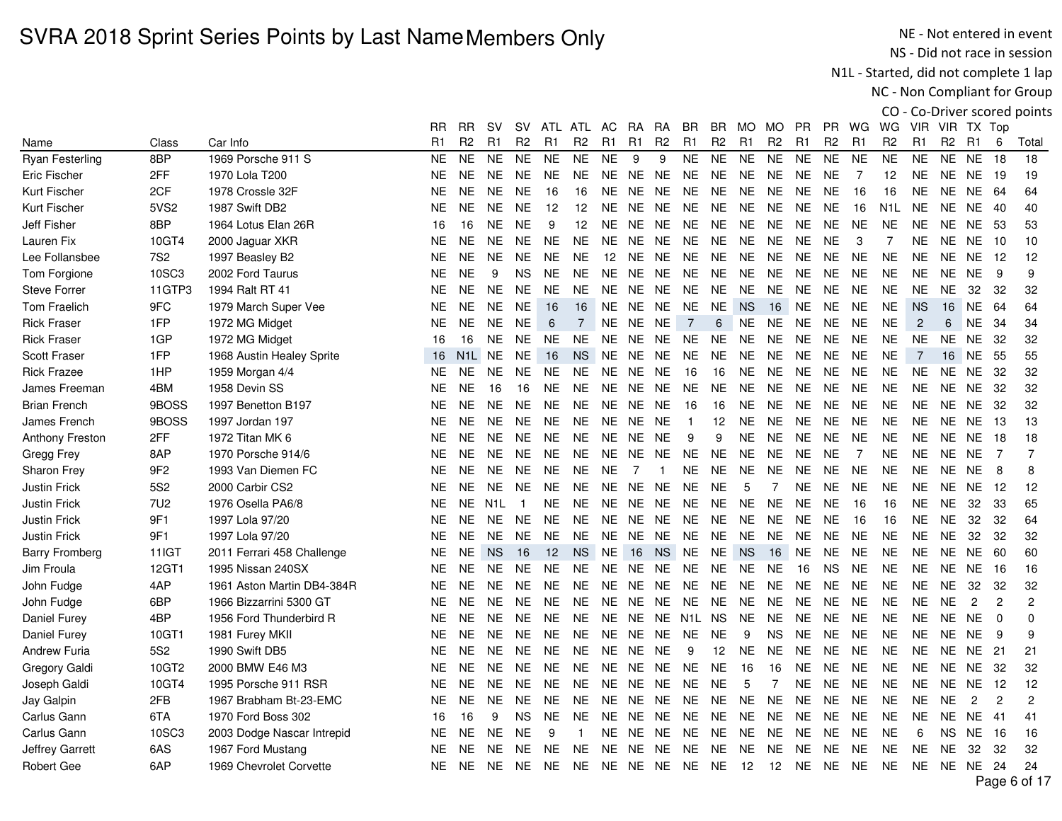NE - Not entered in event NS - Did not race in session

N1L - Started, did not complete 1 lap

NC - Non Compliant for Group

|                        |                 |                            | RR.       | RR.            | sv                  | SV.            |                | ATL ATL        | AC.       | <b>RA</b> | RA.            | BR.            | BR             | MO.            | MO.            | PR.            | <b>PR</b>      | WG             | WG.              | VIR.           | VIR TX Top     |                |                |                |
|------------------------|-----------------|----------------------------|-----------|----------------|---------------------|----------------|----------------|----------------|-----------|-----------|----------------|----------------|----------------|----------------|----------------|----------------|----------------|----------------|------------------|----------------|----------------|----------------|----------------|----------------|
| Name                   | Class           | Car Info                   | R1        | R <sub>2</sub> | R1                  | R <sub>2</sub> | R <sub>1</sub> | R <sub>2</sub> | R1        | R1        | R <sub>2</sub> | R <sub>1</sub> | R <sub>2</sub> | R <sub>1</sub> | R <sub>2</sub> | R <sub>1</sub> | R <sub>2</sub> | R1             | R <sub>2</sub>   | R <sub>1</sub> | R <sub>2</sub> | R1             | 6              | Total          |
| <b>Ryan Festerling</b> | 8BP             | 1969 Porsche 911 S         | <b>NE</b> | <b>NE</b>      | <b>NE</b>           | <b>NE</b>      | <b>NE</b>      | <b>NE</b>      | <b>NE</b> | 9         | 9              | <b>NE</b>      | <b>NE</b>      | <b>NE</b>      | <b>NE</b>      | <b>NE</b>      | <b>NE</b>      | <b>NE</b>      | <b>NE</b>        | <b>NE</b>      | <b>NE</b>      | <b>NE</b>      | 18             | 18             |
| Eric Fischer           | 2FF             | 1970 Lola T200             | <b>NE</b> | <b>NE</b>      | <b>NE</b>           | <b>NE</b>      | <b>NE</b>      | <b>NE</b>      | <b>NE</b> | <b>NE</b> | <b>NE</b>      | <b>NE</b>      | <b>NE</b>      | <b>NE</b>      | <b>NE</b>      | <b>NE</b>      | <b>NE</b>      | 7              | 12               | <b>NE</b>      | <b>NE</b>      | <b>NE</b>      | 19             | 19             |
| Kurt Fischer           | 2CF             | 1978 Crossle 32F           | <b>NE</b> | <b>NE</b>      | <b>NE</b>           | <b>NE</b>      | 16             | 16             | <b>NE</b> | NE.       | <b>NE</b>      | <b>NE</b>      | <b>NE</b>      | <b>NE</b>      | <b>NE</b>      | <b>NE</b>      | <b>NE</b>      | 16             | 16               | <b>NE</b>      | <b>NE</b>      | <b>NE</b>      | 64             | 64             |
| Kurt Fischer           | 5VS2            | 1987 Swift DB2             | <b>NE</b> | <b>NE</b>      | <b>NE</b>           | <b>NE</b>      | 12             | 12             | <b>NE</b> | <b>NE</b> | <b>NE</b>      | <b>NE</b>      | <b>NE</b>      | <b>NE</b>      | <b>NE</b>      | <b>NE</b>      | <b>NE</b>      | 16             | N <sub>1</sub> L | <b>NE</b>      | <b>NE</b>      | <b>NE</b>      | 40             | 40             |
| <b>Jeff Fisher</b>     | 8BP             | 1964 Lotus Elan 26R        | 16        | 16             | <b>NE</b>           | <b>NE</b>      | 9              | 12             | <b>NE</b> | NE NE     |                | <b>NE</b>      | <b>NE</b>      | <b>NE</b>      | <b>NE</b>      | <b>NE</b>      | <b>NE</b>      | <b>NE</b>      | <b>NE</b>        | NE.            | <b>NE</b>      | <b>NE</b>      | -53            | 53             |
| Lauren Fix             | 10GT4           | 2000 Jaguar XKR            | <b>NE</b> | <b>NE</b>      | NE.                 | NE.            | <b>NE</b>      | <b>NE</b>      | NE.       | NE NE     |                | <b>NE</b>      | <b>NE</b>      | <b>NE</b>      | <b>NE</b>      | <b>NE</b>      | <b>NE</b>      | 3              | $\overline{7}$   | <b>NE</b>      | <b>NE</b>      | <b>NE</b>      | 10             | 10             |
| Lee Follansbee         | 7S <sub>2</sub> | 1997 Beasley B2            | <b>NE</b> | <b>NE</b>      | <b>NE</b>           | NE.            | <b>NE</b>      | <b>NE</b>      | 12        | <b>NE</b> | <b>NE</b>      | <b>NE</b>      | <b>NE</b>      | <b>NE</b>      | <b>NE</b>      | <b>NE</b>      | <b>NE</b>      | <b>NE</b>      | <b>NE</b>        | <b>NE</b>      | <b>NE</b>      | <b>NE</b>      | -12            | 12             |
| Tom Forgione           | 10SC3           | 2002 Ford Taurus           | <b>NE</b> | <b>NE</b>      | 9                   | <b>NS</b>      | <b>NE</b>      | <b>NE</b>      | <b>NE</b> | <b>NE</b> | NE.            | <b>NE</b>      | <b>NE</b>      | <b>NE</b>      | <b>NE</b>      | <b>NE</b>      | <b>NE</b>      | <b>NE</b>      | <b>NE</b>        | <b>NE</b>      | <b>NE</b>      | <b>NE</b>      | 9              | 9              |
| <b>Steve Forrer</b>    | 11GTP3          | 1994 Ralt RT 41            | <b>NE</b> | <b>NE</b>      | <b>NE</b>           | <b>NE</b>      | <b>NE</b>      | <b>NE</b>      | <b>NE</b> | NE        | <b>NE</b>      | <b>NE</b>      | <b>NE</b>      | <b>NE</b>      | <b>NE</b>      | <b>NE</b>      | <b>NE</b>      | <b>NE</b>      | <b>NE</b>        | <b>NE</b>      | <b>NE</b>      | 32             | -32            | 32             |
| <b>Tom Fraelich</b>    | 9FC             | 1979 March Super Vee       | <b>NE</b> | <b>NE</b>      | <b>NE</b>           | NE.            | 16             | 16             | NE.       | NE.       | <b>NE</b>      | <b>NE</b>      | <b>NE</b>      | <b>NS</b>      | 16             | <b>NE</b>      | <b>NE</b>      | <b>NE</b>      | <b>NE</b>        | <b>NS</b>      | 16             | <b>NE</b>      | 64             | 64             |
| <b>Rick Fraser</b>     | 1FP             | 1972 MG Midget             | <b>NE</b> | <b>NE</b>      | <b>NE</b>           | <b>NE</b>      | 6              | 7              | <b>NE</b> | <b>NE</b> | <b>NE</b>      | $\overline{7}$ | 6              | <b>NE</b>      | <b>NE</b>      | <b>NE</b>      | <b>NE</b>      | <b>NE</b>      | <b>NE</b>        | 2              | 6              | <b>NE</b>      | 34             | 34             |
| <b>Rick Fraser</b>     | 1GP             | 1972 MG Midget             | 16        | 16             | <b>NE</b>           | <b>NE</b>      | <b>NE</b>      | <b>NE</b>      | <b>NE</b> | <b>NE</b> | <b>NE</b>      | <b>NE</b>      | <b>NE</b>      | <b>NE</b>      | <b>NE</b>      | <b>NE</b>      | <b>NE</b>      | <b>NE</b>      | <b>NE</b>        | <b>NE</b>      | <b>NE</b>      | <b>NE</b>      | 32             | 32             |
| Scott Fraser           | 1FP             | 1968 Austin Healey Sprite  | 16        |                | N <sub>1</sub> L NE | <b>NE</b>      | 16             | <b>NS</b>      | NE.       |           | NE NE          | <b>NE</b>      | NE.            | <b>NE</b>      | <b>NE</b>      | <b>NE</b>      | <b>NE</b>      | <b>NE</b>      | <b>NE</b>        | $\overline{7}$ | 16             | <b>NE</b>      | 55             | 55             |
| <b>Rick Frazee</b>     | 1HP             | 1959 Morgan 4/4            | <b>NE</b> | <b>NE</b>      | <b>NE</b>           | NE.            | NE.            | <b>NE</b>      | NE.       | <b>NE</b> | <b>NE</b>      | 16             | 16             | <b>NE</b>      | <b>NE</b>      | <b>NE</b>      | <b>NE</b>      | <b>NE</b>      | <b>NE</b>        | <b>NE</b>      | NE.            | NE.            | -32            | 32             |
| James Freeman          | 4BM             | 1958 Devin SS              | <b>NE</b> | <b>NE</b>      | 16                  | 16             | <b>NE</b>      | <b>NE</b>      | <b>NE</b> | NE        | <b>NE</b>      | <b>NE</b>      | <b>NE</b>      | <b>NE</b>      | <b>NE</b>      | <b>NE</b>      | <b>NE</b>      | <b>NE</b>      | <b>NE</b>        | <b>NE</b>      | <b>NE</b>      | <b>NE</b>      | 32             | 32             |
| <b>Brian French</b>    | 9BOSS           | 1997 Benetton B197         | <b>NE</b> | <b>NE</b>      | <b>NE</b>           | <b>NE</b>      | <b>NE</b>      | <b>NE</b>      | <b>NE</b> | NE        | <b>NE</b>      | 16             | 16             | <b>NE</b>      | <b>NE</b>      | <b>NE</b>      | <b>NE</b>      | <b>NE</b>      | <b>NE</b>        | NE.            | <b>NE</b>      | <b>NE</b>      | -32            | 32             |
| James French           | 9BOSS           | 1997 Jordan 197            | <b>NE</b> | <b>NE</b>      | <b>NE</b>           | NE.            | <b>NE</b>      | <b>NE</b>      | <b>NE</b> | NE.       | <b>NE</b>      | $\overline{1}$ | 12             | <b>NE</b>      | <b>NE</b>      | <b>NE</b>      | <b>NE</b>      | <b>NE</b>      | <b>NE</b>        | <b>NE</b>      | <b>NE</b>      | NE.            | -13            | 13             |
| Anthony Freston        | 2FF             | 1972 Titan MK 6            | <b>NE</b> | <b>NE</b>      | <b>NE</b>           | <b>NE</b>      | <b>NE</b>      | <b>NE</b>      | <b>NE</b> | <b>NE</b> | <b>NE</b>      | 9              | 9              | <b>NE</b>      | <b>NE</b>      | <b>NE</b>      | <b>NE</b>      | <b>NE</b>      | <b>NE</b>        | <b>NE</b>      | <b>NE</b>      | <b>NE</b>      | 18             | 18             |
| Gregg Frey             | 8AP             | 1970 Porsche 914/6         | <b>NE</b> | <b>NE</b>      | <b>NE</b>           | <b>NE</b>      | <b>NE</b>      | <b>NE</b>      | <b>NE</b> | NE.       | <b>NE</b>      | <b>NE</b>      | <b>NE</b>      | <b>NE</b>      | <b>NE</b>      | <b>NE</b>      | <b>NE</b>      | $\overline{7}$ | <b>NE</b>        | <b>NE</b>      | <b>NE</b>      | <b>NE</b>      | $\overline{7}$ | $\overline{7}$ |
| Sharon Frey            | 9F <sub>2</sub> | 1993 Van Diemen FC         | <b>NE</b> | <b>NE</b>      | <b>NE</b>           | <b>NE</b>      | <b>NE</b>      | <b>NE</b>      | <b>NE</b> | -7        | -1             | <b>NE</b>      | NE.            | <b>NE</b>      | <b>NE</b>      | <b>NE</b>      | <b>NE</b>      | <b>NE</b>      | <b>NE</b>        | <b>NE</b>      | <b>NE</b>      | <b>NE</b>      | 8              | 8              |
| Justin Frick           | 5S <sub>2</sub> | 2000 Carbir CS2            | <b>NE</b> | <b>NE</b>      | NE.                 | NE.            | NE.            | <b>NE</b>      | <b>NE</b> | <b>NE</b> | NE.            | <b>NE</b>      | <b>NE</b>      | 5              | $\overline{7}$ | <b>NE</b>      | <b>NE</b>      | <b>NE</b>      | <b>NE</b>        | <b>NE</b>      | NE.            | NE.            | -12            | 12             |
| <b>Justin Frick</b>    | 7U <sub>2</sub> | 1976 Osella PA6/8          | <b>NE</b> | <b>NE</b>      | N1L                 | -1             | <b>NE</b>      | <b>NE</b>      | NE.       |           | NE NE          | <b>NE</b>      | <b>NE</b>      | <b>NE</b>      | <b>NE</b>      | <b>NE</b>      | <b>NE</b>      | 16             | 16               | NE.            | <b>NE</b>      | 32             | 33             | 65             |
| Justin Frick           | 9F1             | 1997 Lola 97/20            | <b>NE</b> | <b>NE</b>      | <b>NE</b>           | NE.            | <b>NE</b>      | <b>NE</b>      | <b>NE</b> | NE.       | <b>NE</b>      | <b>NE</b>      | <b>NE</b>      | <b>NE</b>      | <b>NE</b>      | <b>NE</b>      | <b>NE</b>      | 16             | 16               | <b>NE</b>      | <b>NE</b>      | 32             | 32             | 64             |
| <b>Justin Frick</b>    | 9F1             | 1997 Lola 97/20            | <b>NE</b> | <b>NE</b>      | NE.                 | NE.            | NE.            | <b>NE</b>      | <b>NE</b> | NE.       | NE.            | <b>NE</b>      | <b>NE</b>      | <b>NE</b>      | <b>NE</b>      | <b>NE</b>      | <b>NE</b>      | <b>NE</b>      | <b>NE</b>        | <b>NE</b>      | <b>NE</b>      | 32             | -32            | 32             |
| <b>Barry Fromberg</b>  | <b>11IGT</b>    | 2011 Ferrari 458 Challenge | <b>NE</b> | <b>NE</b>      | <b>NS</b>           | 16             | 12             | <b>NS</b>      | <b>NE</b> | 16        | <b>NS</b>      | <b>NE</b>      | <b>NE</b>      | <b>NS</b>      | 16             | <b>NE</b>      | <b>NE</b>      | <b>NE</b>      | <b>NE</b>        | <b>NE</b>      | <b>NE</b>      | <b>NE</b>      | 60             | 60             |
| Jim Froula             | 12GT1           | 1995 Nissan 240SX          | <b>NE</b> | <b>NE</b>      | <b>NE</b>           | NE.            | <b>NE</b>      | <b>NE</b>      | NE.       | NE.       | NE.            | <b>NE</b>      | <b>NE</b>      | NE             | <b>NE</b>      | 16             | <b>NS</b>      | <b>NE</b>      | <b>NE</b>        | <b>NE</b>      | NE.            | <b>NE</b>      | 16             | 16             |
| John Fudge             | 4AP             | 1961 Aston Martin DB4-384R | <b>NE</b> | <b>NE</b>      | <b>NE</b>           | NE.            | <b>NE</b>      | <b>NE</b>      | <b>NE</b> | NE.       | <b>NE</b>      | <b>NE</b>      | NE.            | <b>NE</b>      | <b>NE</b>      | <b>NE</b>      | <b>NE</b>      | <b>NE</b>      | <b>NE</b>        | <b>NE</b>      | <b>NE</b>      | 32             | 32             | 32             |
| John Fudge             | 6BP             | 1966 Bizzarrini 5300 GT    | <b>NE</b> | <b>NE</b>      | <b>NE</b>           | <b>NE</b>      | <b>NE</b>      | <b>NE</b>      | <b>NE</b> | NE NE     |                | <b>NE</b>      | <b>NE</b>      | <b>NE</b>      | <b>NE</b>      | <b>NE</b>      | <b>NE</b>      | <b>NE</b>      | <b>NE</b>        | <b>NE</b>      | <b>NE</b>      | $\overline{c}$ | $\overline{2}$ | $\overline{c}$ |
| <b>Daniel Furey</b>    | 4BP             | 1956 Ford Thunderbird R    | <b>NE</b> | <b>NE</b>      | NE.                 | <b>NE</b>      | <b>NE</b>      | <b>NE</b>      | NE.       |           |                | NE NE N1L      | <b>NS</b>      | <b>NE</b>      | <b>NE</b>      | <b>NE</b>      | <b>NE</b>      | <b>NE</b>      | <b>NE</b>        | NE.            | <b>NE</b>      | <b>NE</b>      | $\Omega$       | 0              |
| <b>Daniel Furey</b>    | 10GT1           | 1981 Furey MKII            | <b>NE</b> | <b>NE</b>      | <b>NE</b>           | NE.            | <b>NE</b>      | <b>NE</b>      | NE.       |           | NE NE          | <b>NE</b>      | <b>NE</b>      | 9              | <b>NS</b>      | <b>NE</b>      | <b>NE</b>      | <b>NE</b>      | <b>NE</b>        | <b>NE</b>      | <b>NE</b>      | <b>NE</b>      | 9              | 9              |
| <b>Andrew Furia</b>    | <b>5S2</b>      | 1990 Swift DB5             | <b>NE</b> | <b>NE</b>      | <b>NE</b>           | NE.            | NE.            | <b>NE</b>      | <b>NE</b> | NE.       | <b>NE</b>      | 9              | 12             | <b>NE</b>      | <b>NE</b>      | <b>NE</b>      | <b>NE</b>      | <b>NE</b>      | <b>NE</b>        | <b>NE</b>      | NE.            | NE.            | 21             | 21             |
| Gregory Galdi          | 10GT2           | 2000 BMW E46 M3            | <b>NE</b> | <b>NE</b>      | <b>NE</b>           | <b>NE</b>      | <b>NE</b>      | <b>NE</b>      | <b>NE</b> | NE        | <b>NE</b>      | <b>NE</b>      | <b>NE</b>      | 16             | 16             | <b>NE</b>      | <b>NE</b>      | <b>NE</b>      | <b>NE</b>        | NE.            | <b>NE</b>      | <b>NE</b>      | 32             | 32             |
| Joseph Galdi           | 10GT4           | 1995 Porsche 911 RSR       | <b>NE</b> | <b>NE</b>      | NE.                 | NE.            | NE.            | <b>NE</b>      | NE.       | NE.       | NE.            | <b>NE</b>      | <b>NE</b>      | 5              | 7              | <b>NE</b>      | <b>NE</b>      | <b>NE</b>      | <b>NE</b>        | <b>NE</b>      | <b>NE</b>      | NE.            | -12            | 12             |
| Jay Galpin             | 2FB             | 1967 Brabham Bt-23-EMC     | <b>NE</b> | <b>NE</b>      | NE.                 | NE.            | NE.            | <b>NE</b>      | NE.       | NE.       | NE.            | <b>NE</b>      | <b>NE</b>      | <b>NE</b>      | <b>NE</b>      | <b>NE</b>      | <b>NE</b>      | <b>NE</b>      | <b>NE</b>        | <b>NE</b>      | <b>NE</b>      | $\overline{c}$ | $\overline{c}$ | $\overline{2}$ |
| Carlus Gann            | 6TA             | 1970 Ford Boss 302         | 16        | 16             | 9                   | <b>NS</b>      | <b>NE</b>      | <b>NE</b>      | <b>NE</b> | <b>NE</b> | <b>NE</b>      | <b>NE</b>      | <b>NE</b>      | <b>NE</b>      | <b>NE</b>      | <b>NE</b>      | <b>NE</b>      | <b>NE</b>      | <b>NE</b>        | NE.            | <b>NE</b>      | <b>NE</b>      | 41             | 41             |
| Carlus Gann            | 10SC3           | 2003 Dodge Nascar Intrepid | NE        | <b>NE</b>      | <b>NE</b>           | <b>NE</b>      | 9              | -1             | NE.       | NE NE     |                | <b>NE</b>      | <b>NE</b>      | <b>NE</b>      | <b>NE</b>      | <b>NE</b>      | NE             | <b>NE</b>      | <b>NE</b>        | 6              | <b>NS</b>      | <b>NE</b>      | -16            | 16             |
| Jeffrey Garrett        | 6AS             | 1967 Ford Mustang          | <b>NE</b> | <b>NE</b>      | NE.                 | NE.            | NE.            | <b>NE</b>      | NE.       | NE        | NE.            | <b>NE</b>      | <b>NE</b>      | NE.            | <b>NE</b>      | <b>NE</b>      | <b>NE</b>      | <b>NE</b>      | <b>NE</b>        | <b>NE</b>      | <b>NE</b>      | 32             | 32             | 32             |
| <b>Robert Gee</b>      | 6AP             | 1969 Chevrolet Corvette    | <b>NE</b> | <b>NE</b>      | NE.                 | NE.            | <b>NE</b>      | <b>NE</b>      |           |           | NE NE NE NE    |                | <b>NE</b>      | -12            | 12             | <b>NE</b>      | <b>NE</b>      | NE             | <b>NE</b>        | <b>NE</b>      |                | NE NE 24       |                | 24             |
|                        |                 |                            |           |                |                     |                |                |                |           |           |                |                |                |                |                |                |                |                |                  |                |                |                |                | D 0 . 1 47     |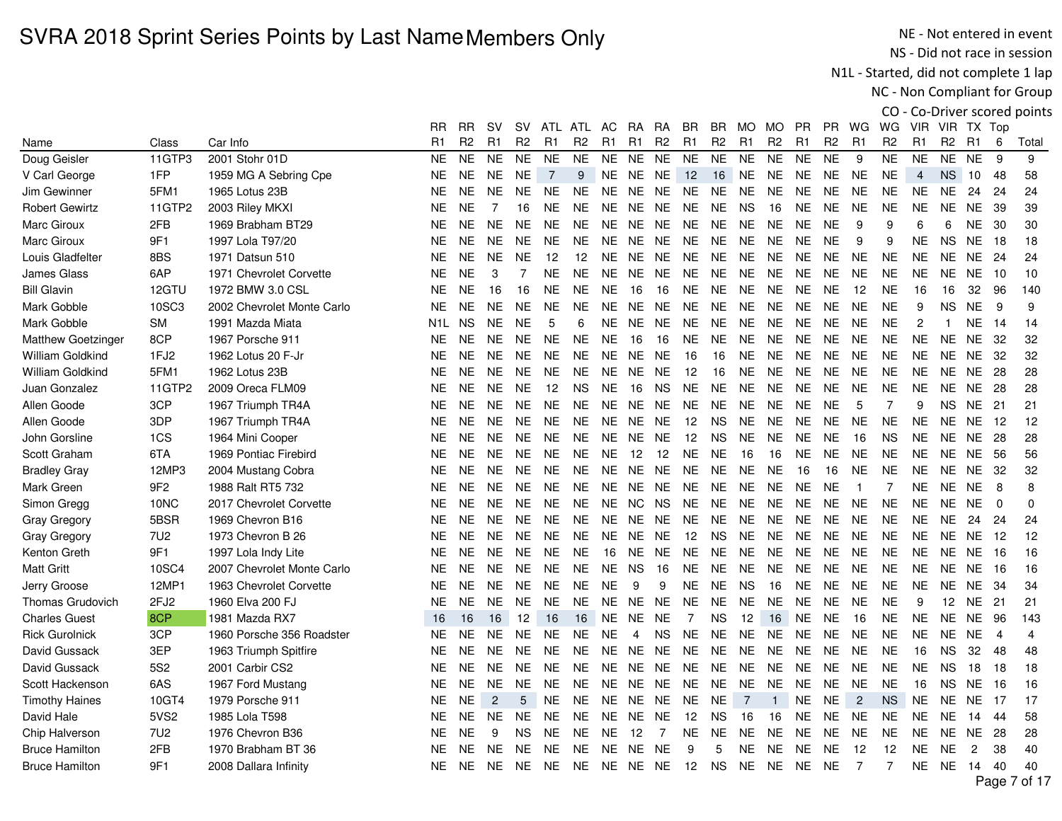NE - Not entered in event NS - Did not race in session

N1L - Started, did not complete 1 lap

NC - Non Compliant for Group

|                       |                 |                            | RR        | RR.            | sv             | sv             | ATL               | ATL            | AC.            | RA        | RA             | BR             | BR.            | MO.            | MO             | <b>PR</b> | <b>PR</b>      | WG             | WG             | VIR            | VIR TX Top     |                |                |             |
|-----------------------|-----------------|----------------------------|-----------|----------------|----------------|----------------|-------------------|----------------|----------------|-----------|----------------|----------------|----------------|----------------|----------------|-----------|----------------|----------------|----------------|----------------|----------------|----------------|----------------|-------------|
| Name                  | Class           | Car Info                   | R1        | R <sub>2</sub> | R <sub>1</sub> | R <sub>2</sub> | R <sub>1</sub>    | R <sub>2</sub> | R <sub>1</sub> | R1        | R <sub>2</sub> | R <sub>1</sub> | R <sub>2</sub> | R <sub>1</sub> | R <sub>2</sub> | R1        | R <sub>2</sub> | R <sub>1</sub> | R <sub>2</sub> | R <sub>1</sub> | R <sub>2</sub> | R <sub>1</sub> | 6              | Total       |
| Doug Geisler          | 11GTP3          | 2001 Stohr 01D             | <b>NE</b> | <b>NE</b>      | <b>NE</b>      | <b>NE</b>      | <b>NE</b>         | <b>NE</b>      | <b>NE</b>      | <b>NE</b> | <b>NE</b>      | <b>NE</b>      | <b>NE</b>      | <b>NE</b>      | <b>NE</b>      | <b>NE</b> | <b>NE</b>      | 9              | <b>NE</b>      | <b>NE</b>      | <b>NE</b>      | <b>NE</b>      | 9              | 9           |
| V Carl George         | 1FP             | 1959 MG A Sebring Cpe      | <b>NE</b> | NE.            | NE.            | <b>NE</b>      | $\overline{7}$    | 9              | <b>NE</b>      | <b>NE</b> | <b>NE</b>      | 12             | 16             | <b>NE</b>      | <b>NE</b>      | <b>NE</b> | NE.            | <b>NE</b>      | <b>NE</b>      | 4              | <b>NS</b>      | 10             | 48             | 58          |
| Jim Gewinner          | 5FM1            | 1965 Lotus 23B             | <b>NE</b> | <b>NE</b>      | NE.            | NE.            | <b>NE</b>         | NE.            | NE.            | NE.       | NE.            | NE.            | <b>NE</b>      | <b>NE</b>      | <b>NE</b>      | <b>NE</b> | NE.            | <b>NE</b>      | <b>NE</b>      | <b>NE</b>      | NE.            | 24             | 24             | 24          |
| <b>Robert Gewirtz</b> | 11GTP2          | 2003 Riley MKXI            | <b>NE</b> | <b>NE</b>      | $\overline{7}$ | 16             | <b>NE</b>         | <b>NE</b>      | <b>NE</b>      | <b>NE</b> | <b>NE</b>      | <b>NE</b>      | <b>NE</b>      | <b>NS</b>      | 16             | <b>NE</b> | <b>NE</b>      | <b>NE</b>      | <b>NE</b>      | <b>NE</b>      | <b>NE</b>      | <b>NE</b>      | 39             | 39          |
| <b>Marc Giroux</b>    | 2FB             | 1969 Brabham BT29          | <b>NE</b> | NE.            | <b>NE</b>      | NE.            | <b>NE</b>         | <b>NE</b>      | <b>NE</b>      | <b>NE</b> | <b>NE</b>      | <b>NE</b>      | <b>NE</b>      | <b>NE</b>      | <b>NE</b>      | <b>NE</b> | <b>NE</b>      | 9              | 9              | 6              | 6              | <b>NE</b>      | -30            | 30          |
| Marc Giroux           | 9F1             | 1997 Lola T97/20           | <b>NE</b> | NE.            | <b>NE</b>      | <b>NE</b>      | <b>NE</b>         | <b>NE</b>      | NE.            | <b>NE</b> | <b>NE</b>      | <b>NE</b>      | <b>NE</b>      | <b>NE</b>      | <b>NE</b>      | <b>NE</b> | <b>NE</b>      | 9              | 9              | <b>NE</b>      | NS.            | <b>NE</b>      | - 18           | 18          |
| Louis Gladfelter      | 8BS             | 1971 Datsun 510            | <b>NE</b> | NE.            | <b>NE</b>      | <b>NE</b>      | 12                | 12             | NE.            | NE        | <b>NE</b>      | <b>NE</b>      | <b>NE</b>      | <b>NE</b>      | <b>NE</b>      | <b>NE</b> | NE.            | <b>NE</b>      | <b>NE</b>      | <b>NE</b>      | NE.            | NE.            | 24             | 24          |
| James Glass           | 6AP             | 1971 Chevrolet Corvette    | <b>NE</b> | <b>NE</b>      | 3              | 7              | <b>NE</b>         | NE.            | <b>NE</b>      | NE.       | <b>NE</b>      | NE.            | <b>NE</b>      | <b>NE</b>      | <b>NE</b>      | <b>NE</b> | NE.            | <b>NE</b>      | <b>NE</b>      | <b>NE</b>      | NE.            | <b>NE</b>      | 10             | 10          |
| <b>Bill Glavin</b>    | 12GTU           | 1972 BMW 3.0 CSL           | <b>NE</b> | <b>NE</b>      | 16             | 16             | <b>NE</b>         | <b>NE</b>      | <b>NE</b>      | 16        | 16             | <b>NE</b>      | <b>NE</b>      | <b>NE</b>      | <b>NE</b>      | <b>NE</b> | <b>NE</b>      | 12             | <b>NE</b>      | 16             | 16             | 32             | 96             | 140         |
| Mark Gobble           | 10SC3           | 2002 Chevrolet Monte Carlo | <b>NE</b> | NE.            | <b>NE</b>      | <b>NE</b>      | <b>NE</b>         | NE.            | NE.            | <b>NE</b> | <b>NE</b>      | <b>NE</b>      | <b>NE</b>      | <b>NE</b>      | <b>NE</b>      | <b>NE</b> | NE.            | NE.            | <b>NE</b>      | 9              | <b>NS</b>      | <b>NE</b>      | 9              | 9           |
| Mark Gobble           | SM              | 1991 Mazda Miata           | N1L       | NS.            | <b>NE</b>      | <b>NE</b>      | 5                 | 6              | <b>NE</b>      | <b>NE</b> | <b>NE</b>      | <b>NE</b>      | <b>NE</b>      | <b>NE</b>      | <b>NE</b>      | <b>NE</b> | NE.            | <b>NE</b>      | <b>NE</b>      | 2              | $\mathbf{1}$   | <b>NE</b>      | 14             | 14          |
| Matthew Goetzinger    | 8CP             | 1967 Porsche 911           | <b>NE</b> | <b>NE</b>      | <b>NE</b>      | <b>NE</b>      | <b>NE</b>         | <b>NE</b>      | <b>NE</b>      | 16        | 16             | <b>NE</b>      | <b>NE</b>      | <b>NE</b>      | <b>NE</b>      | <b>NE</b> | <b>NE</b>      | <b>NE</b>      | <b>NE</b>      | <b>NE</b>      | <b>NE</b>      | <b>NE</b>      | 32             | 32          |
| William Goldkind      | 1FJ2            | 1962 Lotus 20 F-Jr         | <b>NE</b> | <b>NE</b>      | NE.            | <b>NE</b>      | <b>NE</b>         | <b>NE</b>      | <b>NE</b>      | <b>NE</b> | <b>NE</b>      | 16             | 16             | <b>NE</b>      | <b>NE</b>      | <b>NE</b> | <b>NE</b>      | <b>NE</b>      | <b>NE</b>      | <b>NE</b>      | NE.            | <b>NE</b>      | -32            | 32          |
| William Goldkind      | 5FM1            | 1962 Lotus 23B             | <b>NE</b> | NE.            | <b>NE</b>      | <b>NE</b>      | <b>NE</b>         | <b>NE</b>      | <b>NE</b>      | <b>NE</b> | <b>NE</b>      | 12             | 16             | <b>NE</b>      | <b>NE</b>      | <b>NE</b> | <b>NE</b>      | <b>NE</b>      | <b>NE</b>      | <b>NE</b>      | NE.            | <b>NE</b>      | 28             | 28          |
| Juan Gonzalez         | 11GTP2          | 2009 Oreca FLM09           | <b>NE</b> | <b>NE</b>      | NE.            | <b>NE</b>      | $12 \overline{ }$ | <b>NS</b>      | <b>NE</b>      | 16        | <b>NS</b>      | <b>NE</b>      | <b>NE</b>      | <b>NE</b>      | <b>NE</b>      | <b>NE</b> | <b>NE</b>      | <b>NE</b>      | <b>NE</b>      | <b>NE</b>      | <b>NE</b>      | <b>NE</b>      | 28             | 28          |
| Allen Goode           | 3CP             | 1967 Triumph TR4A          | NE        | NE.            | <b>NE</b>      | <b>NE</b>      | <b>NE</b>         | <b>NE</b>      | <b>NE</b>      | <b>NE</b> | NE.            | <b>NE</b>      | <b>NE</b>      | <b>NE</b>      | <b>NE</b>      | <b>NE</b> | <b>NE</b>      | 5              | 7              | 9              | NS.            | <b>NE</b>      | 21             | 21          |
| Allen Goode           | 3DP             | 1967 Triumph TR4A          | <b>NE</b> | <b>NE</b>      | <b>NE</b>      | <b>NE</b>      | <b>NE</b>         | <b>NE</b>      | <b>NE</b>      | <b>NE</b> | <b>NE</b>      | 12             | <b>NS</b>      | <b>NE</b>      | <b>NE</b>      | <b>NE</b> | <b>NE</b>      | <b>NE</b>      | <b>NE</b>      | <b>NE</b>      | <b>NE</b>      | <b>NE</b>      | -12            | 12          |
| John Gorsline         | 1CS             | 1964 Mini Cooper           | <b>NE</b> | NE.            | NE.            | <b>NE</b>      | <b>NE</b>         | NE.            | <b>NE</b>      | <b>NE</b> | NE.            | 12             | <b>NS</b>      | <b>NE</b>      | <b>NE</b>      | <b>NE</b> | NE.            | 16             | <b>NS</b>      | <b>NE</b>      | NE.            | <b>NE</b>      | 28             | 28          |
| Scott Graham          | 6TA             | 1969 Pontiac Firebird      | <b>NE</b> | <b>NE</b>      | <b>NE</b>      | <b>NE</b>      | <b>NE</b>         | <b>NE</b>      | <b>NE</b>      | 12        | 12             | <b>NE</b>      | <b>NE</b>      | 16             | 16             | <b>NE</b> | NE.            | <b>NE</b>      | <b>NE</b>      | <b>NE</b>      | <b>NE</b>      | <b>NE</b>      | 56             | 56          |
| <b>Bradley Gray</b>   | 12MP3           | 2004 Mustang Cobra         | <b>NE</b> | <b>NE</b>      | <b>NE</b>      | <b>NE</b>      | <b>NE</b>         | <b>NE</b>      | <b>NE</b>      | <b>NE</b> | <b>NE</b>      | <b>NE</b>      | <b>NE</b>      | <b>NE</b>      | <b>NE</b>      | 16        | 16             | <b>NE</b>      | <b>NE</b>      | <b>NE</b>      | NE.            | <b>NE</b>      | 32             | 32          |
| Mark Green            | 9F2             | 1988 Ralt RT5 732          | <b>NE</b> | NE.            | NE.            | NE.            | <b>NE</b>         | <b>NE</b>      | <b>NE</b>      | NE.       | NE.            | <b>NE</b>      | <b>NE</b>      | <b>NE</b>      | <b>NE</b>      | <b>NE</b> | <b>NE</b>      | $\mathbf{1}$   | 7              | NE.            | <b>NE</b>      | <b>NE</b>      | 8              | 8           |
| Simon Gregg           | 10NC            | 2017 Chevrolet Corvette    | <b>NE</b> | <b>NE</b>      | NE.            | NE.            | <b>NE</b>         | <b>NE</b>      | <b>NE</b>      | NC.       | <b>NS</b>      | <b>NE</b>      | <b>NE</b>      | <b>NE</b>      | <b>NE</b>      | <b>NE</b> | <b>NE</b>      | <b>NE</b>      | <b>NE</b>      | <b>NE</b>      | NE             | <b>NE</b>      | $\Omega$       | $\mathbf 0$ |
| Gray Gregory          | 5BSR            | 1969 Chevron B16           | <b>NE</b> | NE.            | NE.            | NE.            | <b>NE</b>         | <b>NE</b>      | <b>NE</b>      | NE.       | <b>NE</b>      | <b>NE</b>      | <b>NE</b>      | <b>NE</b>      | <b>NE</b>      | <b>NE</b> | NE.            | <b>NE</b>      | <b>NE</b>      | <b>NE</b>      | NE.            | 24             | 24             | 24          |
| <b>Gray Gregory</b>   | <b>7U2</b>      | 1973 Chevron B 26          | <b>NE</b> | <b>NE</b>      | <b>NE</b>      | <b>NE</b>      | <b>NE</b>         | <b>NE</b>      | <b>NE</b>      | <b>NE</b> | <b>NE</b>      | 12             | <b>NS</b>      | <b>NE</b>      | <b>NE</b>      | <b>NE</b> | <b>NE</b>      | <b>NE</b>      | <b>NE</b>      | <b>NE</b>      | <b>NE</b>      | <b>NE</b>      | 12             | 12          |
| Kenton Greth          | 9F1             | 1997 Lola Indy Lite        | <b>NE</b> | <b>NE</b>      | <b>NE</b>      | <b>NE</b>      | <b>NE</b>         | <b>NE</b>      | 16             | <b>NE</b> | <b>NE</b>      | <b>NE</b>      | <b>NE</b>      | <b>NE</b>      | <b>NE</b>      | <b>NE</b> | <b>NE</b>      | <b>NE</b>      | <b>NE</b>      | <b>NE</b>      | NE.            | <b>NE</b>      | -16            | 16          |
| <b>Matt Gritt</b>     | 10SC4           | 2007 Chevrolet Monte Carlo | <b>NE</b> | NE.            | <b>NE</b>      | <b>NE</b>      | <b>NE</b>         | <b>NE</b>      | NE.            | <b>NS</b> | 16             | <b>NE</b>      | <b>NE</b>      | NE.            | <b>NE</b>      | NE.       | NE.            | NE.            | <b>NE</b>      | NE.            | NE.            | NE.            | - 16           | 16          |
| Jerry Groose          | 12MP1           | 1963 Chevrolet Corvette    | <b>NE</b> | <b>NE</b>      | <b>NE</b>      | <b>NE</b>      | <b>NE</b>         | NE.            | <b>NE</b>      | 9         | 9              | <b>NE</b>      | <b>NE</b>      | <b>NS</b>      | 16             | <b>NE</b> | NE.            | <b>NE</b>      | <b>NE</b>      | <b>NE</b>      | <b>NE</b>      | <b>NE</b>      | 34             | 34          |
| Thomas Grudovich      | 2FJ2            | 1960 Elva 200 FJ           | <b>NE</b> | <b>NE</b>      | <b>NE</b>      | <b>NE</b>      | <b>NE</b>         | <b>NE</b>      | <b>NE</b>      | <b>NE</b> | <b>NE</b>      | <b>NE</b>      | <b>NE</b>      | <b>NE</b>      | <b>NE</b>      | <b>NE</b> | <b>NE</b>      | <b>NE</b>      | <b>NE</b>      | 9              | 12             | <b>NE</b>      | 21             | 21          |
| <b>Charles Guest</b>  | 8CP             | 1981 Mazda RX7             | 16        | 16             | 16             | 12             | 16                | 16             | <b>NE</b>      | NE        | <b>NE</b>      | $\overline{7}$ | <b>NS</b>      | 12             | 16             | <b>NE</b> | <b>NE</b>      | 16             | <b>NE</b>      | <b>NE</b>      | <b>NE</b>      | <b>NE</b>      | 96             | 143         |
| <b>Rick Gurolnick</b> | 3CP             | 1960 Porsche 356 Roadster  | <b>NE</b> | <b>NE</b>      | NE.            | <b>NE</b>      | <b>NE</b>         | NE.            | <b>NE</b>      | 4         | <b>NS</b>      | <b>NE</b>      | <b>NE</b>      | <b>NE</b>      | <b>NE</b>      | NE.       | <b>NE</b>      | <b>NE</b>      | <b>NE</b>      | <b>NE</b>      | NE.            | <b>NE</b>      | $\overline{4}$ | 4           |
| David Gussack         | 3EP             | 1963 Triumph Spitfire      | <b>NE</b> | NE.            | NE.            | NE.            | <b>NE</b>         | <b>NE</b>      | NE.            | NE.       | <b>NE</b>      | <b>NE</b>      | <b>NE</b>      | <b>NE</b>      | <b>NE</b>      | <b>NE</b> | NE.            | NE.            | <b>NE</b>      | 16             | NS.            | 32             | 48             | 48          |
| David Gussack         | 5S <sub>2</sub> | 2001 Carbir CS2            | <b>NE</b> | <b>NE</b>      | <b>NE</b>      | <b>NE</b>      | <b>NE</b>         | <b>NE</b>      | <b>NE</b>      | NE        | <b>NE</b>      | <b>NE</b>      | <b>NE</b>      | <b>NE</b>      | <b>NE</b>      | <b>NE</b> | NE.            | <b>NE</b>      | <b>NE</b>      | <b>NE</b>      | <b>NS</b>      | 18             | 18             | 18          |
| Scott Hackenson       | 6AS             | 1967 Ford Mustang          | <b>NE</b> | <b>NE</b>      | <b>NE</b>      | <b>NE</b>      | <b>NE</b>         | <b>NE</b>      | <b>NE</b>      | <b>NE</b> | <b>NE</b>      | <b>NE</b>      | <b>NE</b>      | <b>NE</b>      | <b>NE</b>      | <b>NE</b> | NE.            | <b>NE</b>      | <b>NE</b>      | 16             | <b>NS</b>      | <b>NE</b>      | 16             | 16          |
| <b>Timothy Haines</b> | 10GT4           | 1979 Porsche 911           | <b>NE</b> | <b>NE</b>      | $\mathbf{2}$   | $\overline{5}$ | <b>NE</b>         | <b>NE</b>      | <b>NE</b>      | <b>NE</b> | NE             | <b>NE</b>      | <b>NE</b>      | $\overline{7}$ | $\overline{1}$ | <b>NE</b> | <b>NE</b>      | $\overline{c}$ | <b>NS</b>      | <b>NE</b>      | <b>NE</b>      | <b>NE</b>      | -17            | 17          |
| David Hale            | 5VS2            | 1985 Lola T598             | <b>NE</b> | <b>NE</b>      | <b>NE</b>      | <b>NE</b>      | <b>NE</b>         | NE.            | NE.            | NE.       | <b>NE</b>      | 12             | <b>NS</b>      | 16             | 16             | <b>NE</b> | NE.            | <b>NE</b>      | <b>NE</b>      | <b>NE</b>      | <b>NE</b>      | 14             | 44             | 58          |
| Chip Halverson        | 7U2             | 1976 Chevron B36           | <b>NE</b> | <b>NE</b>      | 9              | <b>NS</b>      | <b>NE</b>         | <b>NE</b>      | <b>NE</b>      | 12        | 7              | <b>NE</b>      | <b>NE</b>      | <b>NE</b>      | <b>NE</b>      | <b>NE</b> | NE.            | <b>NE</b>      | <b>NE</b>      | <b>NE</b>      | NE.            | <b>NE</b>      | 28             | 28          |
| <b>Bruce Hamilton</b> | 2FB             | 1970 Brabham BT 36         | <b>NE</b> | NE.            | <b>NE</b>      | <b>NE</b>      | <b>NE</b>         | <b>NE</b>      | <b>NE</b>      | <b>NE</b> | <b>NE</b>      | 9              | 5              | <b>NE</b>      | <b>NE</b>      | <b>NE</b> | <b>NE</b>      | 12             | 12             | <b>NE</b>      | <b>NE</b>      | $\overline{c}$ | 38             | 40          |
| <b>Bruce Hamilton</b> | 9F1             | 2008 Dallara Infinity      | NE.       | NE.            | NE NE          |                | NE.               | <b>NE</b>      | <b>NE</b>      | NE NE     |                | 12             | <b>NS</b>      | <b>NE</b>      | <b>NE</b>      | NE.       | <b>NE</b>      | $\overline{7}$ | $\overline{7}$ |                | NE NE          | -14            | 40             | 40          |
|                       |                 |                            |           |                |                |                |                   |                |                |           |                |                |                |                |                |           |                |                |                |                |                |                |                |             |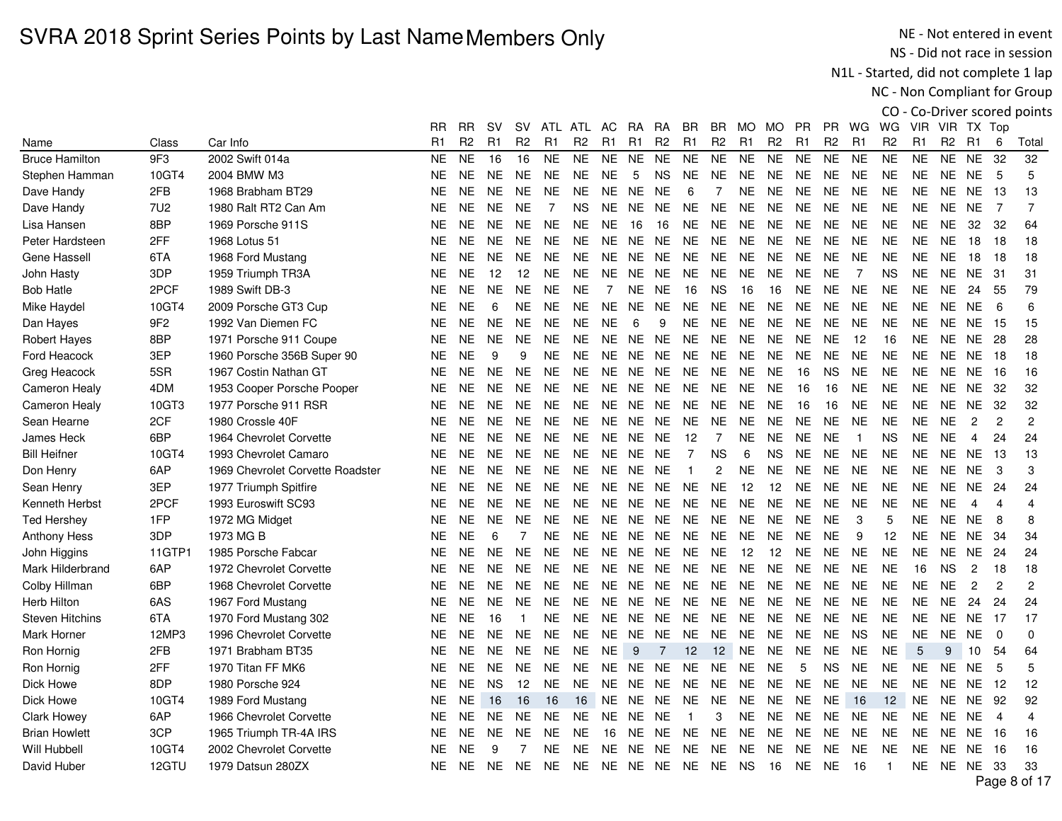NE - Not entered in event NS - Did not race in session

N1L - Started, did not complete 1 lap

NC - Non Compliant for Group

|                        |                 |                                  | <b>RR</b>      | RR.            | sv             | sv             | ATL            | ATL            | AC.            | RA             | RA             | BR             | BR             | MO.             | MO.            | PR             | PR.            | WG             | WG                | VIR            |                | VIR TX Top      |                |                |
|------------------------|-----------------|----------------------------------|----------------|----------------|----------------|----------------|----------------|----------------|----------------|----------------|----------------|----------------|----------------|-----------------|----------------|----------------|----------------|----------------|-------------------|----------------|----------------|-----------------|----------------|----------------|
| Name                   | Class           | Car Info                         | R <sub>1</sub> | R <sub>2</sub> | R <sub>1</sub> | R <sub>2</sub> | R <sub>1</sub> | R <sub>2</sub> | R <sub>1</sub> | R <sub>1</sub> | R <sub>2</sub> | R <sub>1</sub> | R <sub>2</sub> | R <sub>1</sub>  | R <sub>2</sub> | R <sub>1</sub> | R <sub>2</sub> | R1             | R <sub>2</sub>    | R <sub>1</sub> | R <sub>2</sub> | R1              | 6              | Total          |
| <b>Bruce Hamilton</b>  | 9F3             | 2002 Swift 014a                  | <b>NE</b>      | <b>NE</b>      | 16             | 16             | <b>NE</b>      | <b>NE</b>      | <b>NE</b>      | NE.            | <b>NE</b>      | <b>NE</b>      | <b>NE</b>      | <b>NE</b>       | <b>NE</b>      | <b>NE</b>      | <b>NE</b>      | <b>NE</b>      | <b>NE</b>         | <b>NE</b>      | <b>NE</b>      | <b>NE</b>       | 32             | 32             |
| Stephen Hamman         | 10GT4           | 2004 BMW M3                      | <b>NE</b>      | <b>NE</b>      | NE.            | <b>NE</b>      | <b>NE</b>      | <b>NE</b>      | <b>NE</b>      | 5              | <b>NS</b>      | <b>NE</b>      | <b>NE</b>      | <b>NE</b>       | <b>NE</b>      | <b>NE</b>      | <b>NE</b>      | <b>NE</b>      | <b>NE</b>         | <b>NE</b>      | <b>NE</b>      | <b>NE</b>       | 5              | 5              |
| Dave Handy             | 2FB             | 1968 Brabham BT29                | <b>NE</b>      | <b>NE</b>      | <b>NE</b>      | <b>NE</b>      | <b>NE</b>      | <b>NE</b>      | <b>NE</b>      | NE             | <b>NE</b>      | 6              | 7              | <b>NE</b>       | <b>NE</b>      | NE.            | <b>NE</b>      | <b>NE</b>      | <b>NE</b>         | <b>NE</b>      | <b>NE</b>      | <b>NE</b>       | -13            | 13             |
| Dave Handy             | <b>7U2</b>      | 1980 Ralt RT2 Can Am             | <b>NE</b>      | <b>NE</b>      | <b>NE</b>      | <b>NE</b>      | $\overline{7}$ | <b>NS</b>      | NE.            | NE.            | <b>NE</b>      | <b>NE</b>      | <b>NE</b>      | <b>NE</b>       | <b>NE</b>      | <b>NE</b>      | <b>NE</b>      | <b>NE</b>      | <b>NE</b>         | <b>NE</b>      | <b>NE</b>      | <b>NE</b>       | $\overline{7}$ | $\overline{7}$ |
| Lisa Hansen            | 8BP             | 1969 Porsche 911S                | <b>NE</b>      | <b>NE</b>      | <b>NE</b>      | <b>NE</b>      | <b>NE</b>      | <b>NE</b>      | <b>NE</b>      | 16             | 16             | <b>NE</b>      | <b>NE</b>      | <b>NE</b>       | <b>NE</b>      | <b>NE</b>      | <b>NE</b>      | <b>NE</b>      | <b>NE</b>         | <b>NE</b>      | <b>NE</b>      | 32              | 32             | 64             |
| Peter Hardsteen        | 2FF             | 1968 Lotus 51                    | NE.            | NE.            | NE.            | <b>NE</b>      | NE.            | NE.            | NE.            | NE             | <b>NE</b>      | NE.            | <b>NE</b>      | <b>NE</b>       | <b>NE</b>      | <b>NE</b>      | <b>NE</b>      | <b>NE</b>      | <b>NE</b>         | <b>NE</b>      | <b>NE</b>      | 18              | 18             | 18             |
| Gene Hassell           | 6TA             | 1968 Ford Mustang                | <b>NE</b>      | <b>NE</b>      | NE.            | <b>NE</b>      | <b>NE</b>      | NE.            | <b>NE</b>      | NE             | <b>NE</b>      | <b>NE</b>      | <b>NE</b>      | <b>NE</b>       | <b>NE</b>      | <b>NE</b>      | <b>NE</b>      | <b>NE</b>      | <b>NE</b>         | <b>NE</b>      | <b>NE</b>      | 18              | 18             | 18             |
| John Hasty             | 3DP             | 1959 Triumph TR3A                | NE             | <b>NE</b>      | 12             | 12             | <b>NE</b>      | <b>NE</b>      | <b>NE</b>      | NE.            | <b>NE</b>      | <b>NE</b>      | NE.            | <b>NE</b>       | <b>NE</b>      | <b>NE</b>      | <b>NE</b>      | $\overline{7}$ | <b>NS</b>         | <b>NE</b>      | <b>NE</b>      | NE.             | -31            | 31             |
| <b>Bob Hatle</b>       | 2PCF            | 1989 Swift DB-3                  | <b>NE</b>      | <b>NE</b>      | <b>NE</b>      | <b>NE</b>      | <b>NE</b>      | <b>NE</b>      | $\overline{7}$ | NE             | <b>NE</b>      | 16             | <b>NS</b>      | 16              | 16             | <b>NE</b>      | <b>NE</b>      | <b>NE</b>      | <b>NE</b>         | <b>NE</b>      | <b>NE</b>      | 24              | -55            | 79             |
| Mike Haydel            | 10GT4           | 2009 Porsche GT3 Cup             | <b>NE</b>      | <b>NE</b>      | 6              | NE.            | <b>NE</b>      | NE.            | <b>NE</b>      | NE.            | <b>NE</b>      | <b>NE</b>      | <b>NE</b>      | <b>NE</b>       | <b>NE</b>      | <b>NE</b>      | <b>NE</b>      | <b>NE</b>      | <b>NE</b>         | <b>NE</b>      | <b>NE</b>      | <b>NE</b>       | 6              | 6              |
| Dan Hayes              | 9F <sub>2</sub> | 1992 Van Diemen FC               | <b>NE</b>      | <b>NE</b>      | <b>NE</b>      | <b>NE</b>      | <b>NE</b>      | <b>NE</b>      | <b>NE</b>      | 6              | 9              | <b>NE</b>      | <b>NE</b>      | <b>NE</b>       | <b>NE</b>      | <b>NE</b>      | <b>NE</b>      | <b>NE</b>      | <b>NE</b>         | <b>NE</b>      | <b>NE</b>      | <b>NE</b>       | -15            | 15             |
| Robert Hayes           | 8BP             | 1971 Porsche 911 Coupe           | <b>NE</b>      | <b>NE</b>      | <b>NE</b>      | <b>NE</b>      | <b>NE</b>      | <b>NE</b>      | <b>NE</b>      | <b>NE</b>      | <b>NE</b>      | <b>NE</b>      | <b>NE</b>      | <b>NE</b>       | <b>NE</b>      | <b>NE</b>      | <b>NE</b>      | 12             | 16                | <b>NE</b>      | <b>NE</b>      | <b>NE</b>       | 28             | 28             |
| Ford Heacock           | 3EP             | 1960 Porsche 356B Super 90       | <b>NE</b>      | <b>NE</b>      | 9              | 9              | <b>NE</b>      | <b>NE</b>      | <b>NE</b>      | NE NE          |                | <b>NE</b>      | <b>NE</b>      | <b>NE</b>       | <b>NE</b>      | <b>NE</b>      | <b>NE</b>      | <b>NE</b>      | <b>NE</b>         | <b>NE</b>      |                | NE NE           | - 18           | 18             |
| Greg Heacock           | 5SR             | 1967 Costin Nathan GT            | <b>NE</b>      | <b>NE</b>      | <b>NE</b>      | NE.            | <b>NE</b>      | <b>NE</b>      | NE.            | NE.            | <b>NE</b>      | <b>NE</b>      | <b>NE</b>      | <b>NE</b>       | <b>NE</b>      | 16             | <b>NS</b>      | <b>NE</b>      | <b>NE</b>         | <b>NE</b>      | NE.            | <b>NE</b>       | 16             | 16             |
| <b>Cameron Healy</b>   | 4DM             | 1953 Cooper Porsche Pooper       | <b>NE</b>      | <b>NE</b>      | <b>NE</b>      | <b>NE</b>      | <b>NE</b>      | <b>NE</b>      | <b>NE</b>      | NE.            | <b>NE</b>      | <b>NE</b>      | <b>NE</b>      | <b>NE</b>       | <b>NE</b>      | 16             | 16             | <b>NE</b>      | <b>NE</b>         | <b>NE</b>      | <b>NE</b>      | <b>NE</b>       | 32             | 32             |
| <b>Cameron Healy</b>   | 10GT3           | 1977 Porsche 911 RSR             | <b>NE</b>      | <b>NE</b>      | <b>NE</b>      | <b>NE</b>      | <b>NE</b>      | <b>NE</b>      | <b>NE</b>      | NE.            | <b>NE</b>      | <b>NE</b>      | <b>NE</b>      | <b>NE</b>       | <b>NE</b>      | 16             | 16             | <b>NE</b>      | <b>NE</b>         | <b>NE</b>      | <b>NE</b>      | <b>NE</b>       | -32            | 32             |
| Sean Hearne            | 2CF             | 1980 Crossle 40F                 | <b>NE</b>      | <b>NE</b>      | NE.            | NE.            | <b>NE</b>      | NE.            | NE.            | NE.            | <b>NE</b>      | <b>NE</b>      | <b>NE</b>      | <b>NE</b>       | <b>NE</b>      | <b>NE</b>      | <b>NE</b>      | <b>NE</b>      | <b>NE</b>         | <b>NE</b>      | <b>NE</b>      | $\overline{c}$  | $\overline{c}$ | $\overline{c}$ |
| James Heck             | 6BP             | 1964 Chevrolet Corvette          | <b>NE</b>      | <b>NE</b>      | <b>NE</b>      | <b>NE</b>      | <b>NE</b>      | <b>NE</b>      | <b>NE</b>      | <b>NE</b>      | <b>NE</b>      | 12             | $\overline{7}$ | <b>NE</b>       | <b>NE</b>      | <b>NE</b>      | <b>NE</b>      | $\overline{1}$ | <b>NS</b>         | <b>NE</b>      | <b>NE</b>      | 4               | 24             | 24             |
| <b>Bill Heifner</b>    | 10GT4           | 1993 Chevrolet Camaro            | <b>NE</b>      | <b>NE</b>      | <b>NE</b>      | <b>NE</b>      | <b>NE</b>      | <b>NE</b>      | <b>NE</b>      | NE.            | <b>NE</b>      | $\overline{7}$ | <b>NS</b>      | $6\phantom{1}6$ | <b>NS</b>      | <b>NE</b>      | <b>NE</b>      | <b>NE</b>      | <b>NE</b>         | <b>NE</b>      | <b>NE</b>      | <b>NE</b>       | 13             | 13             |
| Don Henry              | 6AP             | 1969 Chevrolet Corvette Roadster | <b>NE</b>      | <b>NE</b>      | NE.            | NE.            | <b>NE</b>      | NE.            | NE.            | NE NE          |                |                | $\overline{c}$ | <b>NE</b>       | <b>NE</b>      | <b>NE</b>      | <b>NE</b>      | <b>NE</b>      | <b>NE</b>         | <b>NE</b>      | <b>NE</b>      | <b>NE</b>       | 3              | 3              |
| Sean Henry             | 3EP             | 1977 Triumph Spitfire            | NE.            | <b>NE</b>      | NE.            | <b>NE</b>      | <b>NE</b>      | <b>NE</b>      | <b>NE</b>      | <b>NE</b>      | <b>NE</b>      | <b>NE</b>      | <b>NE</b>      | 12              | 12             | <b>NE</b>      | <b>NE</b>      | NE.            | <b>NE</b>         | NE.            | NE.            | NE.             | -24            | 24             |
| Kenneth Herbst         | 2PCF            | 1993 Euroswift SC93              | <b>NE</b>      | <b>NE</b>      | NE.            | <b>NE</b>      | NE.            | NE.            | NE.            | NE             | <b>NE</b>      | <b>NE</b>      | <b>NE</b>      | <b>NE</b>       | <b>NE</b>      | <b>NE</b>      | <b>NE</b>      | <b>NE</b>      | <b>NE</b>         | <b>NE</b>      | <b>NE</b>      | 4               | $\overline{4}$ | 4              |
| <b>Ted Hershey</b>     | 1FP             | 1972 MG Midget                   | <b>NE</b>      | <b>NE</b>      | NE.            | <b>NE</b>      | <b>NE</b>      | NE.            | <b>NE</b>      | NE.            | <b>NE</b>      | <b>NE</b>      | <b>NE</b>      | <b>NE</b>       | <b>NE</b>      | <b>NE</b>      | <b>NE</b>      | 3              | 5                 | <b>NE</b>      | <b>NE</b>      | <b>NE</b>       | 8              | 8              |
| <b>Anthony Hess</b>    | 3DP             | 1973 MG B                        | <b>NE</b>      | <b>NE</b>      | 6              | 7              | NE.            | NE.            | NE.            | <b>NE</b>      | <b>NE</b>      | <b>NE</b>      | <b>NE</b>      | <b>NE</b>       | <b>NE</b>      | <b>NE</b>      | <b>NE</b>      | 9              | 12                | <b>NE</b>      | <b>NE</b>      | NE.             | -34            | 34             |
| John Higgins           | 11GTP1          | 1985 Porsche Fabcar              | <b>NE</b>      | <b>NE</b>      | <b>NE</b>      | <b>NE</b>      | <b>NE</b>      | <b>NE</b>      | <b>NE</b>      | <b>NE</b>      | <b>NE</b>      | <b>NE</b>      | <b>NE</b>      | 12              | 12             | <b>NE</b>      | <b>NE</b>      | <b>NE</b>      | <b>NE</b>         | <b>NE</b>      | <b>NE</b>      | <b>NE</b>       | 24             | 24             |
| Mark Hilderbrand       | 6AP             | 1972 Chevrolet Corvette          | <b>NE</b>      | <b>NE</b>      | NE.            | NE.            | <b>NE</b>      | NE.            | NE.            | NE.            | <b>NE</b>      | <b>NE</b>      | <b>NE</b>      | <b>NE</b>       | <b>NE</b>      | <b>NE</b>      | <b>NE</b>      | <b>NE</b>      | <b>NE</b>         | 16             | <b>NS</b>      | $\overline{c}$  | 18             | 18             |
| Colby Hillman          | 6BP             | 1968 Chevrolet Corvette          | <b>NE</b>      | <b>NE</b>      | NE.            | <b>NE</b>      | <b>NE</b>      | NE.            | NE.            | NE.            | <b>NE</b>      | NE.            | <b>NE</b>      | <b>NE</b>       | <b>NE</b>      | <b>NE</b>      | <b>NE</b>      | <b>NE</b>      | <b>NE</b>         | <b>NE</b>      | <b>NE</b>      | $\overline{c}$  | $\overline{c}$ | $\overline{c}$ |
| Herb Hilton            | 6AS             | 1967 Ford Mustang                | <b>NE</b>      | <b>NE</b>      | <b>NE</b>      | <b>NE</b>      | <b>NE</b>      | <b>NE</b>      | <b>NE</b>      | NE NE          |                | <b>NE</b>      | <b>NE</b>      | <b>NE</b>       | <b>NE</b>      | <b>NE</b>      | <b>NE</b>      | <b>NE</b>      | <b>NE</b>         | <b>NE</b>      | <b>NE</b>      | 24              | 24             | 24             |
| <b>Steven Hitchins</b> | 6TA             | 1970 Ford Mustang 302            | NE.            | <b>NE</b>      | 16             | $\mathbf{1}$   | <b>NE</b>      | NE.            | NE.            | NE NE          |                | <b>NE</b>      | <b>NE</b>      | <b>NE</b>       | <b>NE</b>      | <b>NE</b>      | <b>NE</b>      | <b>NE</b>      | <b>NE</b>         | <b>NE</b>      | NE.            | NE              | 17             | 17             |
| Mark Horner            | 12MP3           | 1996 Chevrolet Corvette          | <b>NE</b>      | <b>NE</b>      | <b>NE</b>      | NE.            | <b>NE</b>      | NE.            | NE.            | NE.            | <b>NE</b>      | NE.            | <b>NE</b>      | <b>NE</b>       | <b>NE</b>      | <b>NE</b>      | <b>NE</b>      | <b>NS</b>      | <b>NE</b>         | <b>NE</b>      | <b>NE</b>      | <b>NE</b>       | $\Omega$       | 0              |
| Ron Hornig             | 2FB             | 1971 Brabham BT35                | <b>NE</b>      | <b>NE</b>      | NE.            | NE             | <b>NE</b>      | <b>NE</b>      | <b>NE</b>      | 9              | 7              | 12             | 12             | <b>NE</b>       | <b>NE</b>      | <b>NE</b>      | <b>NE</b>      | <b>NE</b>      | <b>NE</b>         | 5              | 9              | 10              | 54             | 64             |
| Ron Hornig             | 2FF             | 1970 Titan FF MK6                | <b>NE</b>      | <b>NE</b>      | <b>NE</b>      | <b>NE</b>      | <b>NE</b>      | <b>NE</b>      | <b>NE</b>      | NE             | <b>NE</b>      | <b>NE</b>      | <b>NE</b>      | <b>NE</b>       | <b>NE</b>      | 5              | <b>NS</b>      | <b>NE</b>      | <b>NE</b>         | <b>NE</b>      | <b>NE</b>      | <b>NE</b>       | 5              | 5              |
| Dick Howe              | 8DP             | 1980 Porsche 924                 | <b>NE</b>      | <b>NE</b>      | <b>NS</b>      | 12             | <b>NE</b>      | NE.            | <b>NE</b>      | NE.            | <b>NE</b>      | <b>NE</b>      | <b>NE</b>      | <b>NE</b>       | <b>NE</b>      | <b>NE</b>      | <b>NE</b>      | <b>NE</b>      | <b>NE</b>         | <b>NE</b>      | <b>NE</b>      | NE.             | 12             | 12             |
| Dick Howe              | 10GT4           | 1989 Ford Mustang                | NE.            | <b>NE</b>      | 16             | 16             | 16             | 16             | NE.            | NE.            | <b>NE</b>      | <b>NE</b>      | <b>NE</b>      | <b>NE</b>       | <b>NE</b>      | <b>NE</b>      | <b>NE</b>      | 16             | $12 \overline{ }$ | <b>NE</b>      | <b>NE</b>      | <b>NE</b>       | 92             | 92             |
| Clark Howey            | 6AP             | 1966 Chevrolet Corvette          | <b>NE</b>      | <b>NE</b>      | <b>NE</b>      | <b>NE</b>      | <b>NE</b>      | <b>NE</b>      | <b>NE</b>      | NE             | <b>NE</b>      | $\overline{1}$ | 3              | <b>NE</b>       | <b>NE</b>      | <b>NE</b>      | <b>NE</b>      | <b>NE</b>      | <b>NE</b>         | <b>NE</b>      | <b>NE</b>      | <b>NE</b>       | $\overline{4}$ | 4              |
| <b>Brian Howlett</b>   | 3CP             | 1965 Triumph TR-4A IRS           | <b>NE</b>      | <b>NE</b>      | <b>NE</b>      | <b>NE</b>      | <b>NE</b>      | <b>NE</b>      | 16             | NE NE          |                | <b>NE</b>      | <b>NE</b>      | <b>NE</b>       | <b>NE</b>      | NE             | <b>NE</b>      | <b>NE</b>      | <b>NE</b>         | <b>NE</b>      | NE.            | NE.             | - 16           | 16             |
| Will Hubbell           | 10GT4           | 2002 Chevrolet Corvette          | <b>NE</b>      | <b>NE</b>      | 9              | $\overline{7}$ | <b>NE</b>      | <b>NE</b>      | NE.            | NE.            | <b>NE</b>      | <b>NE</b>      | NE.            | <b>NE</b>       | <b>NE</b>      | <b>NE</b>      | <b>NE</b>      | NE.            | <b>NE</b>         | <b>NE</b>      | NE.            | NE.             | -16            | 16             |
| David Huber            | 12GTU           | 1979 Datsun 280ZX                | <b>NE</b>      | NE.            | <b>NE</b>      | NE.            | <b>NE</b>      | NE.            |                |                | NE NE NE       | NE             | NE             | <b>NS</b>       | 16             | <b>NE</b>      | <b>NE</b>      | -16            | $\overline{1}$    | <b>NE</b>      |                | <b>NE NE 33</b> |                | 33             |
|                        |                 |                                  |                |                |                |                |                |                |                |                |                |                |                |                 |                |                |                |                |                   |                |                |                 |                | $D - 220$      |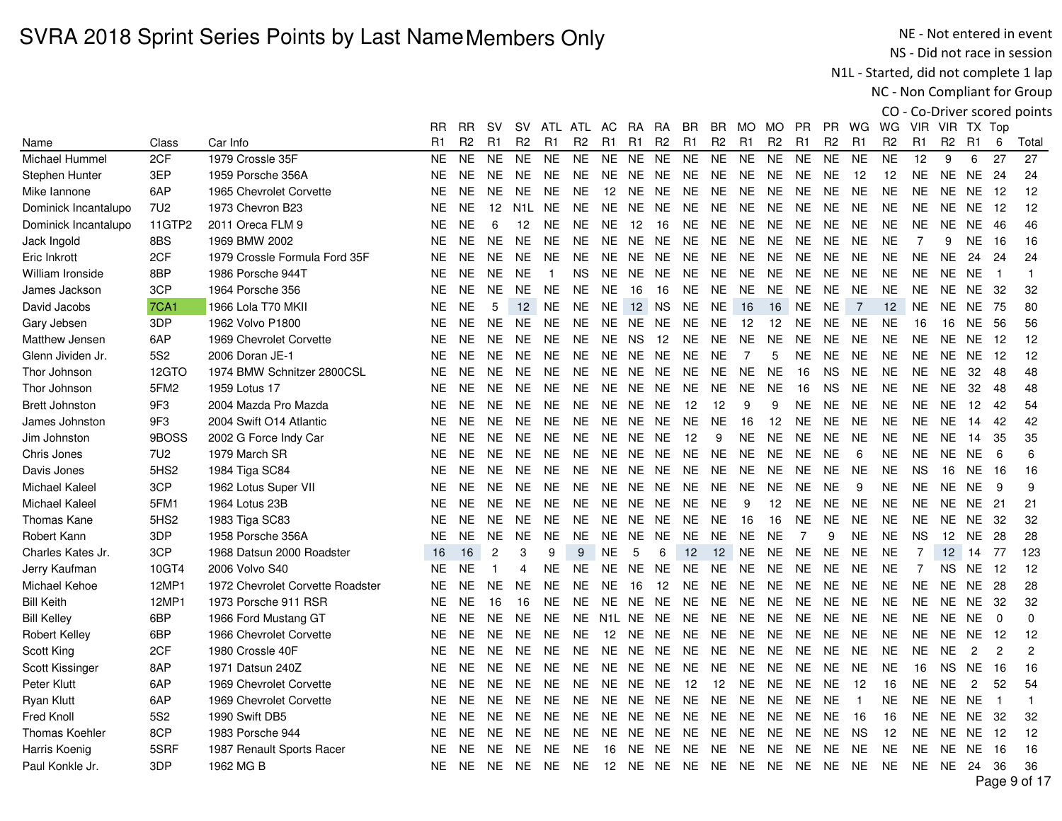NE - Not entered in event NS - Did not race in session

N1L - Started, did not complete 1 lap

NC - Non Compliant for Group

|                       |                  |                                  | RR        | RR             | sv             | SV.              | ATL            | ATL            | AC.                 | RA        | RA             | BR             | BR             | MO.            | MO.               | PR             | PR.            | WG.            | WG.               | VIR.           |                | VIR TX Top     |                |                |
|-----------------------|------------------|----------------------------------|-----------|----------------|----------------|------------------|----------------|----------------|---------------------|-----------|----------------|----------------|----------------|----------------|-------------------|----------------|----------------|----------------|-------------------|----------------|----------------|----------------|----------------|----------------|
| Name                  | Class            | Car Info                         | R1        | R <sub>2</sub> | R1             | R <sub>2</sub>   | R <sub>1</sub> | R <sub>2</sub> | R1                  | R1        | R <sub>2</sub> | R <sub>1</sub> | R <sub>2</sub> | R <sub>1</sub> | R <sub>2</sub>    | R1             | R <sub>2</sub> | R <sub>1</sub> | R2                | R <sub>1</sub> | R <sub>2</sub> | R <sub>1</sub> | 6              | Total          |
| Michael Hummel        | 2CF              | 1979 Crossle 35F                 | <b>NE</b> | <b>NE</b>      | <b>NE</b>      | <b>NE</b>        | <b>NE</b>      | <b>NE</b>      | <b>NE</b>           | NE.       | <b>NE</b>      | <b>NE</b>      | <b>NE</b>      | <b>NE</b>      | <b>NE</b>         | <b>NE</b>      | <b>NE</b>      | <b>NE</b>      | <b>NE</b>         | 12             | 9              | 6              | 27             | 27             |
| <b>Stephen Hunter</b> | 3EP              | 1959 Porsche 356A                | <b>NE</b> | <b>NE</b>      | NE.            | <b>NE</b>        | <b>NE</b>      | <b>NE</b>      | <b>NE</b>           | <b>NE</b> | <b>NE</b>      | <b>NE</b>      | <b>NE</b>      | <b>NE</b>      | <b>NE</b>         | <b>NE</b>      | <b>NE</b>      | 12             | 12                | <b>NE</b>      | <b>NE</b>      | <b>NE</b>      | 24             | 24             |
| Mike lannone          | 6AP              | 1965 Chevrolet Corvette          | <b>NE</b> | <b>NE</b>      | <b>NE</b>      | <b>NE</b>        | <b>NE</b>      | <b>NE</b>      | 12                  | NE        | <b>NE</b>      | <b>NE</b>      | <b>NE</b>      | <b>NE</b>      | <b>NE</b>         | <b>NE</b>      | <b>NE</b>      | <b>NE</b>      | <b>NE</b>         | <b>NE</b>      | <b>NE</b>      | <b>NE</b>      | -12            | 12             |
| Dominick Incantalupo  | 7U <sub>2</sub>  | 1973 Chevron B23                 | <b>NE</b> | <b>NE</b>      | 12             | N <sub>1</sub> L | <b>NE</b>      | <b>NE</b>      | <b>NE</b>           | <b>NE</b> | <b>NE</b>      | <b>NE</b>      | <b>NE</b>      | <b>NE</b>      | <b>NE</b>         | <b>NE</b>      | <b>NE</b>      | <b>NE</b>      | <b>NE</b>         | <b>NE</b>      | <b>NE</b>      | <b>NE</b>      | 12             | 12             |
| Dominick Incantalupo  | 11GTP2           | 2011 Oreca FLM 9                 | <b>NE</b> | <b>NE</b>      | 6              | 12               | <b>NE</b>      | <b>NE</b>      | <b>NE</b>           | 12        | 16             | <b>NE</b>      | <b>NE</b>      | <b>NE</b>      | <b>NE</b>         | <b>NE</b>      | NE.            | <b>NE</b>      | <b>NE</b>         | <b>NE</b>      | <b>NE</b>      | <b>NE</b>      | -46            | 46             |
| Jack Ingold           | 8BS              | 1969 BMW 2002                    | <b>NE</b> | NE.            | <b>NE</b>      | <b>NE</b>        | <b>NE</b>      | <b>NE</b>      | <b>NE</b>           | NE.       | <b>NE</b>      | <b>NE</b>      | NE.            | <b>NE</b>      | <b>NE</b>         | <b>NE</b>      | <b>NE</b>      | <b>NE</b>      | <b>NE</b>         | $\overline{7}$ | 9              | NE.            | -16            | 16             |
| Eric Inkrott          | 2CF              | 1979 Crossle Formula Ford 35F    | <b>NE</b> | <b>NE</b>      | <b>NE</b>      | <b>NE</b>        | <b>NE</b>      | <b>NE</b>      | <b>NE</b>           | NE.       | <b>NE</b>      | <b>NE</b>      | <b>NE</b>      | <b>NE</b>      | <b>NE</b>         | <b>NE</b>      | <b>NE</b>      | <b>NE</b>      | <b>NE</b>         | <b>NE</b>      | <b>NE</b>      | 24             | 24             | 24             |
| William Ironside      | 8BP              | 1986 Porsche 944T                | <b>NE</b> | <b>NE</b>      | <b>NE</b>      | <b>NE</b>        | $\overline{1}$ | <b>NS</b>      | <b>NE</b>           | NE.       | <b>NE</b>      | <b>NE</b>      | <b>NE</b>      | <b>NE</b>      | <b>NE</b>         | <b>NE</b>      | <b>NE</b>      | <b>NE</b>      | <b>NE</b>         | <b>NE</b>      | <b>NE</b>      | NE.            | $\overline{1}$ | $\mathbf{1}$   |
| James Jackson         | 3CP              | 1964 Porsche 356                 | <b>NE</b> | <b>NE</b>      | <b>NE</b>      | <b>NE</b>        | <b>NE</b>      | <b>NE</b>      | <b>NE</b>           | 16        | 16             | <b>NE</b>      | <b>NE</b>      | <b>NE</b>      | <b>NE</b>         | <b>NE</b>      | <b>NE</b>      | <b>NE</b>      | <b>NE</b>         | <b>NE</b>      | <b>NE</b>      | <b>NE</b>      | -32            | 32             |
| David Jacobs          | <b>7CA1</b>      | 1966 Lola T70 MKII               | <b>NE</b> | <b>NE</b>      | 5              | 12               | <b>NE</b>      | <b>NE</b>      | <b>NE</b>           | 12        | <b>NS</b>      | <b>NE</b>      | <b>NE</b>      | 16             | 16                | <b>NE</b>      | <b>NE</b>      | $\overline{7}$ | 12                | <b>NE</b>      | <b>NE</b>      | <b>NE</b>      | 75             | 80             |
| Gary Jebsen           | 3DP              | 1962 Volvo P1800                 | <b>NE</b> | <b>NE</b>      | <b>NE</b>      | <b>NE</b>        | <b>NE</b>      | <b>NE</b>      | <b>NE</b>           | NE.       | <b>NE</b>      | <b>NE</b>      | <b>NE</b>      | 12             | 12                | <b>NE</b>      | <b>NE</b>      | <b>NE</b>      | <b>NE</b>         | 16             | 16             | <b>NE</b>      | 56             | 56             |
| Matthew Jensen        | 6AP              | 1969 Chevrolet Corvette          | <b>NE</b> | <b>NE</b>      | <b>NE</b>      | <b>NE</b>        | <b>NE</b>      | <b>NE</b>      | <b>NE</b>           | <b>NS</b> | 12             | <b>NE</b>      | <b>NE</b>      | <b>NE</b>      | <b>NE</b>         | <b>NE</b>      | <b>NE</b>      | <b>NE</b>      | <b>NE</b>         | <b>NE</b>      | <b>NE</b>      | <b>NE</b>      | -12            | 12             |
| Glenn Jividen Jr.     | <b>5S2</b>       | 2006 Doran JE-1                  | <b>NE</b> | <b>NE</b>      | <b>NE</b>      | <b>NE</b>        | <b>NE</b>      | <b>NE</b>      | <b>NE</b>           | <b>NE</b> | <b>NE</b>      | <b>NE</b>      | <b>NE</b>      | $\overline{7}$ | 5                 | <b>NE</b>      | NE.            | <b>NE</b>      | <b>NE</b>         | <b>NE</b>      | NE.            | <b>NE</b>      | 12             | 12             |
| Thor Johnson          | 12GTO            | 1974 BMW Schnitzer 2800CSL       | <b>NE</b> | NE.            | <b>NE</b>      | <b>NE</b>        | <b>NE</b>      | <b>NE</b>      | <b>NE</b>           | <b>NE</b> | <b>NE</b>      | <b>NE</b>      | <b>NE</b>      | <b>NE</b>      | <b>NE</b>         | 16             | <b>NS</b>      | <b>NE</b>      | <b>NE</b>         | <b>NE</b>      | <b>NE</b>      | 32             | 48             | 48             |
| Thor Johnson          | 5FM2             | 1959 Lotus 17                    | <b>NE</b> | NE.            | NE.            | <b>NE</b>        | <b>NE</b>      | <b>NE</b>      | <b>NE</b>           | NE        | <b>NE</b>      | <b>NE</b>      | <b>NE</b>      | <b>NE</b>      | <b>NE</b>         | 16             | <b>NS</b>      | <b>NE</b>      | <b>NE</b>         | <b>NE</b>      | <b>NE</b>      | 32             | 48             | 48             |
| <b>Brett Johnston</b> | 9F3              | 2004 Mazda Pro Mazda             | <b>NE</b> | <b>NE</b>      | <b>NE</b>      | <b>NE</b>        | <b>NE</b>      | <b>NE</b>      | <b>NE</b>           | <b>NE</b> | <b>NE</b>      | 12             | 12             | 9              | 9                 | <b>NE</b>      | <b>NE</b>      | <b>NE</b>      | <b>NE</b>         | <b>NE</b>      | <b>NE</b>      | 12             | 42             | 54             |
| James Johnston        | 9F3              | 2004 Swift O14 Atlantic          | <b>NE</b> | <b>NE</b>      | <b>NE</b>      | <b>NE</b>        | <b>NE</b>      | <b>NE</b>      | <b>NE</b>           | NE        | <b>NE</b>      | <b>NE</b>      | <b>NE</b>      | 16             | 12                | <b>NE</b>      | <b>NE</b>      | <b>NE</b>      | <b>NE</b>         | <b>NE</b>      | <b>NE</b>      | 14             | 42             | 42             |
| Jim Johnston          | 9BOSS            | 2002 G Force Indy Car            | <b>NE</b> | <b>NE</b>      | <b>NE</b>      | <b>NE</b>        | <b>NE</b>      | <b>NE</b>      | <b>NE</b>           | NE.       | <b>NE</b>      | 12             | 9              | <b>NE</b>      | <b>NE</b>         | <b>NE</b>      | <b>NE</b>      | <b>NE</b>      | <b>NE</b>         | <b>NE</b>      | <b>NE</b>      | 14             | 35             | 35             |
| Chris Jones           | <b>7U2</b>       | 1979 March SR                    | <b>NE</b> | <b>NE</b>      | NE.            | <b>NE</b>        | <b>NE</b>      | <b>NE</b>      | NE.                 | <b>NE</b> | <b>NE</b>      | <b>NE</b>      | <b>NE</b>      | <b>NE</b>      | <b>NE</b>         | <b>NE</b>      | <b>NE</b>      | 6              | <b>NE</b>         | <b>NE</b>      | <b>NE</b>      | <b>NE</b>      | 6              | 6              |
| Davis Jones           | 5HS <sub>2</sub> | 1984 Tiga SC84                   | <b>NE</b> | <b>NE</b>      | <b>NE</b>      | <b>NE</b>        | <b>NE</b>      | <b>NE</b>      | <b>NE</b>           | NE        | <b>NE</b>      | <b>NE</b>      | <b>NE</b>      | <b>NE</b>      | <b>NE</b>         | <b>NE</b>      | <b>NE</b>      | <b>NE</b>      | <b>NE</b>         | <b>NS</b>      | 16             | <b>NE</b>      | -16            | 16             |
| <b>Michael Kaleel</b> | 3CP              | 1962 Lotus Super VII             | <b>NE</b> | <b>NE</b>      | <b>NE</b>      | <b>NE</b>        | <b>NE</b>      | <b>NE</b>      | NE.                 | NE        | <b>NE</b>      | <b>NE</b>      | <b>NE</b>      | <b>NE</b>      | <b>NE</b>         | <b>NE</b>      | <b>NE</b>      | 9              | <b>NE</b>         | <b>NE</b>      | <b>NE</b>      | <b>NE</b>      | 9              | 9              |
| Michael Kaleel        | 5FM1             | 1964 Lotus 23B                   | <b>NE</b> | <b>NE</b>      | <b>NE</b>      | <b>NE</b>        | <b>NE</b>      | <b>NE</b>      | <b>NE</b>           | NE.       | <b>NE</b>      | <b>NE</b>      | <b>NE</b>      | 9              | $12 \overline{ }$ | <b>NE</b>      | <b>NE</b>      | <b>NE</b>      | <b>NE</b>         | <b>NE</b>      | NE             | NE.            | 21             | 21             |
| Thomas Kane           | 5HS <sub>2</sub> | 1983 Tiga SC83                   | <b>NE</b> | <b>NE</b>      | NE.            | <b>NE</b>        | <b>NE</b>      | <b>NE</b>      | <b>NE</b>           | NE.       | NE.            | <b>NE</b>      | <b>NE</b>      | 16             | 16                | <b>NE</b>      | <b>NE</b>      | <b>NE</b>      | <b>NE</b>         | <b>NE</b>      | <b>NE</b>      | NE.            | -32            | 32             |
| Robert Kann           | 3DP              | 1958 Porsche 356A                | <b>NE</b> | <b>NE</b>      | <b>NE</b>      | <b>NE</b>        | <b>NE</b>      | <b>NE</b>      | <b>NE</b>           | NE        | <b>NE</b>      | <b>NE</b>      | <b>NE</b>      | <b>NE</b>      | <b>NE</b>         | $\overline{7}$ | 9              | <b>NE</b>      | <b>NE</b>         | <b>NS</b>      | 12             | <b>NE</b>      | 28             | 28             |
| Charles Kates Jr.     | 3CP              | 1968 Datsun 2000 Roadster        | 16        | 16             | $\overline{c}$ | 3                | 9              | 9              | <b>NE</b>           | 5         | 6              | 12             | 12             | <b>NE</b>      | <b>NE</b>         | <b>NE</b>      | <b>NE</b>      | <b>NE</b>      | <b>NE</b>         | 7              | 12             | 14             | 77             | 123            |
| Jerry Kaufman         | 10GT4            | 2006 Volvo S40                   | <b>NE</b> | <b>NE</b>      | $\mathbf{1}$   | $\overline{4}$   | <b>NE</b>      | <b>NE</b>      | <b>NE</b>           | <b>NE</b> | <b>NE</b>      | <b>NE</b>      | <b>NE</b>      | <b>NE</b>      | <b>NE</b>         | <b>NE</b>      | <b>NE</b>      | <b>NE</b>      | <b>NE</b>         | 7              | NS.            | <b>NE</b>      | -12            | 12             |
| Michael Kehoe         | 12MP1            | 1972 Chevrolet Corvette Roadster | <b>NE</b> | <b>NE</b>      | <b>NE</b>      | <b>NE</b>        | <b>NE</b>      | <b>NE</b>      | <b>NE</b>           | 16        | 12             | <b>NE</b>      | <b>NE</b>      | <b>NE</b>      | <b>NE</b>         | <b>NE</b>      | <b>NE</b>      | <b>NE</b>      | <b>NE</b>         | <b>NE</b>      | <b>NE</b>      | <b>NE</b>      | -28            | 28             |
| <b>Bill Keith</b>     | 12MP1            | 1973 Porsche 911 RSR             | <b>NE</b> | <b>NE</b>      | 16             | 16               | <b>NE</b>      | <b>NE</b>      | <b>NE</b>           | <b>NE</b> | <b>NE</b>      | <b>NE</b>      | <b>NE</b>      | <b>NE</b>      | <b>NE</b>         | <b>NE</b>      | <b>NE</b>      | <b>NE</b>      | <b>NE</b>         | <b>NE</b>      | <b>NE</b>      | <b>NE</b>      | -32            | 32             |
| <b>Bill Kelley</b>    | 6BP              | 1966 Ford Mustang GT             | <b>NE</b> | NE.            | NE.            | <b>NE</b>        | <b>NE</b>      | NE.            | N <sub>1</sub> L NE |           | <b>NE</b>      | <b>NE</b>      | <b>NE</b>      | <b>NE</b>      | <b>NE</b>         | <b>NE</b>      | <b>NE</b>      | <b>NE</b>      | <b>NE</b>         | <b>NE</b>      | NE.            | <b>NE</b>      | $\Omega$       | 0              |
| Robert Kelley         | 6BP              | 1966 Chevrolet Corvette          | <b>NE</b> | NE             | <b>NE</b>      | <b>NE</b>        | <b>NE</b>      | <b>NE</b>      | 12                  | <b>NE</b> | <b>NE</b>      | <b>NE</b>      | <b>NE</b>      | <b>NE</b>      | <b>NE</b>         | <b>NE</b>      | <b>NE</b>      | <b>NE</b>      | <b>NE</b>         | <b>NE</b>      | <b>NE</b>      | <b>NE</b>      | -12            | 12             |
| Scott King            | 2CF              | 1980 Crossle 40F                 | <b>NE</b> | <b>NE</b>      | <b>NE</b>      | <b>NE</b>        | <b>NE</b>      | <b>NE</b>      | <b>NE</b>           | <b>NE</b> | <b>NE</b>      | <b>NE</b>      | <b>NE</b>      | <b>NE</b>      | <b>NE</b>         | <b>NE</b>      | <b>NE</b>      | <b>NE</b>      | <b>NE</b>         | <b>NE</b>      | <b>NE</b>      | $\overline{c}$ | $\overline{c}$ | $\overline{c}$ |
| Scott Kissinger       | 8AP              | 1971 Datsun 240Z                 | <b>NE</b> | NE.            | <b>NE</b>      | <b>NE</b>        | <b>NE</b>      | <b>NE</b>      | <b>NE</b>           | NE.       | <b>NE</b>      | <b>NE</b>      | <b>NE</b>      | <b>NE</b>      | <b>NE</b>         | <b>NE</b>      | NE.            | NE.            | <b>NE</b>         | 16             | NS.            | <b>NE</b>      | 16             | 16             |
| Peter Klutt           | 6AP              | 1969 Chevrolet Corvette          | <b>NE</b> | <b>NE</b>      | NE.            | NE.              | <b>NE</b>      | NE.            | <b>NE</b>           | NE.       | <b>NE</b>      | 12             | 12             | NE.            | <b>NE</b>         | <b>NE</b>      | <b>NE</b>      | 12             | 16                | <b>NE</b>      | <b>NE</b>      | $\overline{2}$ | 52             | 54             |
| <b>Ryan Klutt</b>     | 6AP              | 1969 Chevrolet Corvette          | <b>NE</b> | <b>NE</b>      | <b>NE</b>      | <b>NE</b>        | <b>NE</b>      | <b>NE</b>      | <b>NE</b>           | <b>NE</b> | <b>NE</b>      | <b>NE</b>      | <b>NE</b>      | <b>NE</b>      | <b>NE</b>         | <b>NE</b>      | <b>NE</b>      | $\overline{1}$ | <b>NE</b>         | <b>NE</b>      | <b>NE</b>      | <b>NE</b>      | $\overline{1}$ | $\mathbf{1}$   |
| Fred Knoll            | 5S <sub>2</sub>  | 1990 Swift DB5                   | <b>NE</b> | <b>NE</b>      | <b>NE</b>      | <b>NE</b>        | <b>NE</b>      | <b>NE</b>      | <b>NE</b>           | NE        | <b>NE</b>      | <b>NE</b>      | <b>NE</b>      | <b>NE</b>      | <b>NE</b>         | <b>NE</b>      | <b>NE</b>      | 16             | 16                | <b>NE</b>      | <b>NE</b>      | NE             | -32            | 32             |
| Thomas Koehler        | 8CP              | 1983 Porsche 944                 | <b>NE</b> | <b>NE</b>      | <b>NE</b>      | <b>NE</b>        | <b>NE</b>      | <b>NE</b>      | <b>NE</b>           | NE.       | <b>NE</b>      | <b>NE</b>      | NE.            | <b>NE</b>      | <b>NE</b>         | <b>NE</b>      | <b>NE</b>      | <b>NS</b>      | $12 \overline{ }$ | <b>NE</b>      |                | NE NE          | - 12           | 12             |
| Harris Koenig         | 5SRF             | 1987 Renault Sports Racer        | <b>NE</b> | <b>NE</b>      | NE.            | NE.              | <b>NE</b>      | <b>NE</b>      | 16                  | NE.       | <b>NE</b>      | <b>NE</b>      | <b>NE</b>      | NE.            | <b>NE</b>         | <b>NE</b>      | <b>NE</b>      | <b>NE</b>      | <b>NE</b>         | <b>NE</b>      | <b>NE</b>      | NE.            | -16            | 16             |
| Paul Konkle Jr.       | 3DP              | 1962 MG B                        | <b>NE</b> | <b>NE</b>      | <b>NE</b>      | <b>NE</b>        | <b>NE</b>      | <b>NE</b>      | 12                  |           | NE NE NE       |                | <b>NE</b>      | <b>NE</b>      | <b>NE</b>         | <b>NE</b>      | <b>NE</b>      | <b>NE</b>      | <b>NE</b>         | <b>NE</b>      | <b>NE</b>      | 24             | 36             | 36             |
|                       |                  |                                  |           |                |                |                  |                |                |                     |           |                |                |                |                |                   |                |                |                |                   |                |                |                |                | $D = 0.647$    |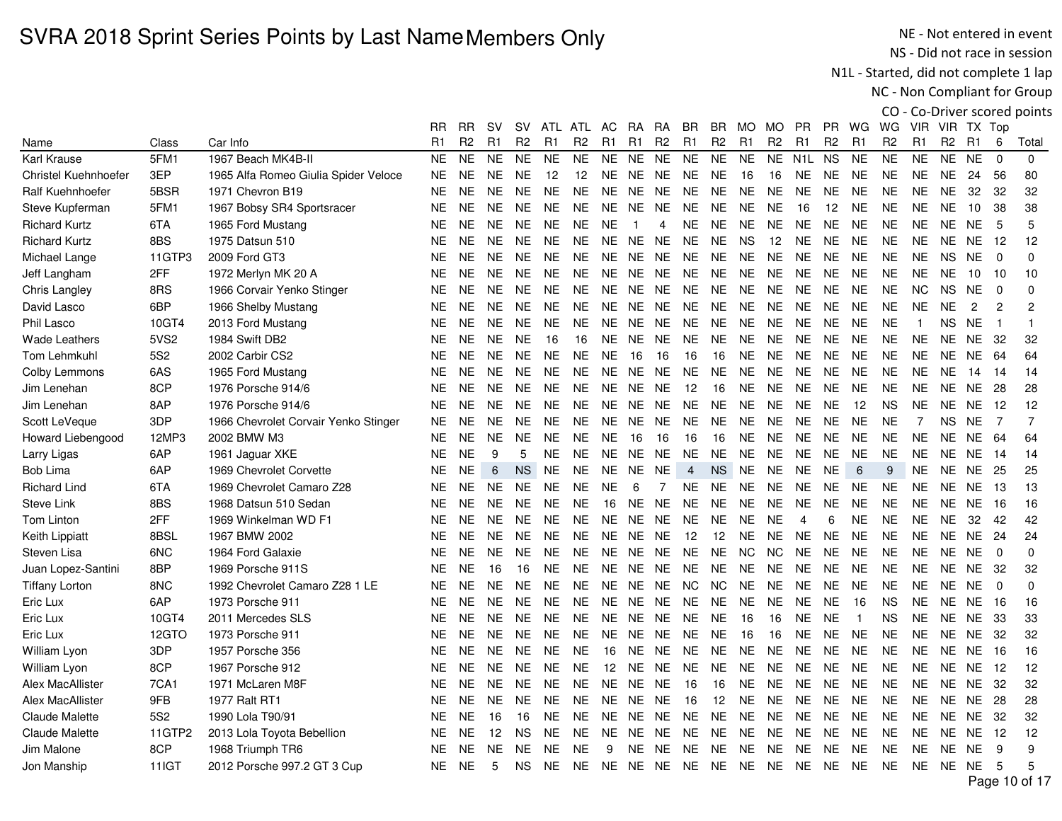NE - Not entered in event NS - Did not race in session

N1L - Started, did not complete 1 lap

NC - Non Compliant for Group

|                       |              |                                      | RR             | RR             | sv             | SV.            | ATL            | ATL            | AC.            | <b>RA</b>      | RA             | BR             | BR             | MO.            | MO.            | PR.              | PR             | WG             | WG             | <b>VIR</b>     |                | VIR TX Top     |                |                |
|-----------------------|--------------|--------------------------------------|----------------|----------------|----------------|----------------|----------------|----------------|----------------|----------------|----------------|----------------|----------------|----------------|----------------|------------------|----------------|----------------|----------------|----------------|----------------|----------------|----------------|----------------|
| Name                  | Class        | Car Info                             | R <sub>1</sub> | R <sub>2</sub> | R <sub>1</sub> | R <sub>2</sub> | R <sub>1</sub> | R <sub>2</sub> | R <sub>1</sub> | R <sub>1</sub> | R <sub>2</sub> | R <sub>1</sub> | R <sub>2</sub> | R <sub>1</sub> | R <sub>2</sub> | R <sub>1</sub>   | R <sub>2</sub> | R <sub>1</sub> | R <sub>2</sub> | R <sub>1</sub> | R <sub>2</sub> | R1             | 6              | Total          |
| Karl Krause           | 5FM1         | 1967 Beach MK4B-II                   | <b>NE</b>      | <b>NE</b>      | <b>NE</b>      | <b>NE</b>      | <b>NE</b>      | <b>NE</b>      | <b>NE</b>      | <b>NE</b>      | <b>NE</b>      | <b>NE</b>      | <b>NE</b>      | <b>NE</b>      | <b>NE</b>      | N <sub>1</sub> L | <b>NS</b>      | <b>NE</b>      | <b>NE</b>      | <b>NE</b>      | <b>NE</b>      | <b>NE</b>      | $\Omega$       | $\Omega$       |
| Christel Kuehnhoefer  | 3EP          | 1965 Alfa Romeo Giulia Spider Veloce | <b>NE</b>      | NE.            | <b>NE</b>      | <b>NE</b>      | 12             | 12             | <b>NE</b>      | <b>NE</b>      | <b>NE</b>      | <b>NE</b>      | <b>NE</b>      | 16             | 16             | <b>NE</b>        | <b>NE</b>      | <b>NE</b>      | <b>NE</b>      | <b>NE</b>      | <b>NE</b>      | 24             | 56             | 80             |
| Ralf Kuehnhoefer      | 5BSR         | 1971 Chevron B19                     | <b>NE</b>      | <b>NE</b>      | <b>NE</b>      | <b>NE</b>      | <b>NE</b>      | <b>NE</b>      | <b>NE</b>      | <b>NE</b>      | <b>NE</b>      | <b>NE</b>      | <b>NE</b>      | <b>NE</b>      | <b>NE</b>      | <b>NE</b>        | <b>NE</b>      | <b>NE</b>      | <b>NE</b>      | <b>NE</b>      | <b>NE</b>      | 32             | 32             | 32             |
| Steve Kupferman       | 5FM1         | 1967 Bobsy SR4 Sportsracer           | <b>NE</b>      | <b>NE</b>      | NE.            | <b>NE</b>      | <b>NE</b>      | <b>NE</b>      | NE.            | NE NE          |                | <b>NE</b>      | <b>NE</b>      | <b>NE</b>      | <b>NE</b>      | 16               | 12             | <b>NE</b>      | <b>NE</b>      | NE.            | <b>NE</b>      | 10             | 38             | 38             |
| <b>Richard Kurtz</b>  | 6TA          | 1965 Ford Mustang                    | <b>NE</b>      | NE.            | NE.            | <b>NE</b>      | <b>NE</b>      | NE.            | <b>NE</b>      | $\overline{1}$ | 4              | <b>NE</b>      | NE.            | NE.            | <b>NE</b>      | <b>NE</b>        | <b>NE</b>      | <b>NE</b>      | <b>NE</b>      | NE.            | <b>NE</b>      | <b>NE</b>      | 5              | 5              |
| <b>Richard Kurtz</b>  | 8BS          | 1975 Datsun 510                      | <b>NE</b>      | <b>NE</b>      | <b>NE</b>      | <b>NE</b>      | <b>NE</b>      | <b>NE</b>      | <b>NE</b>      | <b>NE</b>      | <b>NE</b>      | <b>NE</b>      | <b>NE</b>      | <b>NS</b>      | 12             | <b>NE</b>        | <b>NE</b>      | <b>NE</b>      | <b>NE</b>      | <b>NE</b>      | <b>NE</b>      | NE             | -12            | 12             |
| Michael Lange         | 11GTP3       | 2009 Ford GT3                        | <b>NE</b>      | <b>NE</b>      | <b>NE</b>      | <b>NE</b>      | <b>NE</b>      | <b>NE</b>      | NE.            | NE NE          |                | <b>NE</b>      | <b>NE</b>      | <b>NE</b>      | <b>NE</b>      | <b>NE</b>        | <b>NE</b>      | <b>NE</b>      | <b>NE</b>      | <b>NE</b>      | <b>NS</b>      | <b>NE</b>      | $\Omega$       | $\Omega$       |
| Jeff Langham          | 2FF          | 1972 Merlyn MK 20 A                  | <b>NE</b>      | <b>NE</b>      | NE.            | <b>NE</b>      | <b>NE</b>      | NE.            | NE.            | NE.            | <b>NE</b>      | <b>NE</b>      | <b>NE</b>      | <b>NE</b>      | <b>NE</b>      | <b>NE</b>        | <b>NE</b>      | <b>NE</b>      | <b>NE</b>      | <b>NE</b>      | <b>NE</b>      | 10             | 10             | 10             |
| Chris Langley         | 8RS          | 1966 Corvair Yenko Stinger           | <b>NE</b>      | <b>NE</b>      | <b>NE</b>      | <b>NE</b>      | <b>NE</b>      | <b>NE</b>      | <b>NE</b>      | <b>NE</b>      | <b>NE</b>      | <b>NE</b>      | <b>NE</b>      | <b>NE</b>      | <b>NE</b>      | <b>NE</b>        | <b>NE</b>      | <b>NE</b>      | <b>NE</b>      | <b>NC</b>      | <b>NS</b>      | <b>NE</b>      | $\Omega$       | $\mathbf 0$    |
| David Lasco           | 6BP          | 1966 Shelby Mustang                  | <b>NE</b>      | <b>NE</b>      | <b>NE</b>      | <b>NE</b>      | <b>NE</b>      | <b>NE</b>      | <b>NE</b>      | NE NE          |                | <b>NE</b>      | <b>NE</b>      | <b>NE</b>      | <b>NE</b>      | <b>NE</b>        | <b>NE</b>      | <b>NE</b>      | <b>NE</b>      | <b>NE</b>      | <b>NE</b>      | $\overline{2}$ | $\overline{c}$ | $\overline{2}$ |
| Phil Lasco            | 10GT4        | 2013 Ford Mustang                    | <b>NE</b>      | <b>NE</b>      | <b>NE</b>      | <b>NE</b>      | <b>NE</b>      | <b>NE</b>      | <b>NE</b>      | NE NE          |                | <b>NE</b>      | <b>NE</b>      | <b>NE</b>      | <b>NE</b>      | <b>NE</b>        | <b>NE</b>      | <b>NE</b>      | <b>NE</b>      | $\mathbf{1}$   | <b>NS</b>      | <b>NE</b>      | $\overline{1}$ |                |
| <b>Wade Leathers</b>  | 5VS2         | 1984 Swift DB2                       | <b>NE</b>      | <b>NE</b>      | <b>NE</b>      | <b>NE</b>      | 16             | 16             | NE.            | NE.            | <b>NE</b>      | <b>NE</b>      | <b>NE</b>      | <b>NE</b>      | <b>NE</b>      | <b>NE</b>        | <b>NE</b>      | <b>NE</b>      | <b>NE</b>      | <b>NE</b>      | <b>NE</b>      | NE.            | 32             | 32             |
| Tom Lehmkuhl          | <b>5S2</b>   | 2002 Carbir CS2                      | <b>NE</b>      | <b>NE</b>      | <b>NE</b>      | <b>NE</b>      | <b>NE</b>      | <b>NE</b>      | <b>NE</b>      | 16             | 16             | 16             | 16             | <b>NE</b>      | <b>NE</b>      | <b>NE</b>        | <b>NE</b>      | <b>NE</b>      | <b>NE</b>      | <b>NE</b>      | <b>NE</b>      | NE.            | 64             | 64             |
| Colby Lemmons         | 6AS          | 1965 Ford Mustang                    | <b>NE</b>      | <b>NE</b>      | NE.            | <b>NE</b>      | <b>NE</b>      | <b>NE</b>      | <b>NE</b>      | <b>NE</b>      | <b>NE</b>      | <b>NE</b>      | <b>NE</b>      | <b>NE</b>      | <b>NE</b>      | <b>NE</b>        | <b>NE</b>      | <b>NE</b>      | <b>NE</b>      | <b>NE</b>      | <b>NE</b>      | 14             | 14             | 14             |
| Jim Lenehan           | 8CP          | 1976 Porsche 914/6                   | <b>NE</b>      | <b>NE</b>      | <b>NE</b>      | <b>NE</b>      | <b>NE</b>      | <b>NE</b>      | <b>NE</b>      | <b>NE</b>      | <b>NE</b>      | 12             | 16             | <b>NE</b>      | <b>NE</b>      | <b>NE</b>        | <b>NE</b>      | <b>NE</b>      | <b>NE</b>      | <b>NE</b>      | <b>NE</b>      | <b>NE</b>      | 28             | 28             |
| Jim Lenehan           | 8AP          | 1976 Porsche 914/6                   | <b>NE</b>      | <b>NE</b>      | <b>NE</b>      | <b>NE</b>      | <b>NE</b>      | <b>NE</b>      | <b>NE</b>      | <b>NE</b>      | <b>NE</b>      | <b>NE</b>      | <b>NE</b>      | <b>NE</b>      | <b>NE</b>      | <b>NE</b>        | <b>NE</b>      | 12             | <b>NS</b>      | <b>NE</b>      | <b>NE</b>      | <b>NE</b>      | 12             | 12             |
| Scott LeVeque         | 3DP          | 1966 Chevrolet Corvair Yenko Stinger | <b>NE</b>      | <b>NE</b>      | NE.            | <b>NE</b>      | <b>NE</b>      | <b>NE</b>      | NE.            | NE NE          |                | <b>NE</b>      | <b>NE</b>      | <b>NE</b>      | <b>NE</b>      | <b>NE</b>        | <b>NE</b>      | <b>NE</b>      | <b>NE</b>      | $\overline{7}$ | <b>NS</b>      | <b>NE</b>      | $\overline{7}$ | $\overline{7}$ |
| Howard Liebengood     | 12MP3        | 2002 BMW M3                          | <b>NE</b>      | NE.            | NE.            | <b>NE</b>      | <b>NE</b>      | NE.            | <b>NE</b>      | 16             | 16             | 16             | 16             | NE.            | <b>NE</b>      | <b>NE</b>        | <b>NE</b>      | <b>NE</b>      | <b>NE</b>      | NE.            | NE.            | NE 64          |                | 64             |
| Larry Ligas           | 6AP          | 1961 Jaguar XKE                      | <b>NE</b>      | <b>NE</b>      | 9              | 5              | <b>NE</b>      | NE.            | <b>NE</b>      | NE             | <b>NE</b>      | <b>NE</b>      | <b>NE</b>      | <b>NE</b>      | <b>NE</b>      | <b>NE</b>        | <b>NE</b>      | <b>NE</b>      | <b>NE</b>      | <b>NE</b>      | <b>NE</b>      | NE             | -14            | 14             |
| <b>Bob Lima</b>       | 6AP          | 1969 Chevrolet Corvette              | <b>NE</b>      | <b>NE</b>      | 6              | <b>NS</b>      | <b>NE</b>      | <b>NE</b>      | <b>NE</b>      | <b>NE</b>      | <b>NE</b>      | $\overline{4}$ | <b>NS</b>      | <b>NE</b>      | <b>NE</b>      | <b>NE</b>        | <b>NE</b>      | $\,6\,$        | 9              | <b>NE</b>      | <b>NE</b>      | NE             | 25             | 25             |
| <b>Richard Lind</b>   | 6TA          | 1969 Chevrolet Camaro Z28            | <b>NE</b>      | <b>NE</b>      | NE.            | <b>NE</b>      | <b>NE</b>      | <b>NE</b>      | <b>NE</b>      | 6              | $\overline{7}$ | <b>NE</b>      | <b>NE</b>      | <b>NE</b>      | <b>NE</b>      | <b>NE</b>        | <b>NE</b>      | <b>NE</b>      | <b>NE</b>      | <b>NE</b>      | <b>NE</b>      | <b>NE</b>      | -13            | 13             |
| <b>Steve Link</b>     | 8BS          | 1968 Datsun 510 Sedan                | <b>NE</b>      | <b>NE</b>      | <b>NE</b>      | <b>NE</b>      | <b>NE</b>      | <b>NE</b>      | 16             | <b>NE</b>      | <b>NE</b>      | <b>NE</b>      | <b>NE</b>      | <b>NE</b>      | <b>NE</b>      | <b>NE</b>        | <b>NE</b>      | <b>NE</b>      | <b>NE</b>      | <b>NE</b>      | <b>NE</b>      | NE.            | 16             | 16             |
| Tom Linton            | 2FF          | 1969 Winkelman WD F1                 | <b>NE</b>      | <b>NE</b>      | <b>NE</b>      | <b>NE</b>      | <b>NE</b>      | <b>NE</b>      | <b>NE</b>      | <b>NE</b>      | <b>NE</b>      | <b>NE</b>      | <b>NE</b>      | <b>NE</b>      | <b>NE</b>      | $\overline{4}$   | 6              | <b>NE</b>      | <b>NE</b>      | <b>NE</b>      | <b>NE</b>      | 32             | 42             | 42             |
| Keith Lippiatt        | 8BSL         | 1967 BMW 2002                        | <b>NE</b>      | <b>NE</b>      | <b>NE</b>      | <b>NE</b>      | <b>NE</b>      | <b>NE</b>      | <b>NE</b>      | NE NE          |                | 12             | 12             | <b>NE</b>      | <b>NE</b>      | <b>NE</b>        | <b>NE</b>      | <b>NE</b>      | <b>NE</b>      | <b>NE</b>      |                | NE NE 24       |                | 24             |
| Steven Lisa           | 6NC          | 1964 Ford Galaxie                    | <b>NE</b>      | <b>NE</b>      | <b>NE</b>      | NE.            | <b>NE</b>      | NE.            | NE.            | <b>NE</b>      | <b>NE</b>      | <b>NE</b>      | <b>NE</b>      | NC.            | NC.            | <b>NE</b>        | <b>NE</b>      | <b>NE</b>      | <b>NE</b>      | <b>NE</b>      | <b>NE</b>      | <b>NE</b>      | $\Omega$       | $\mathbf 0$    |
| Juan Lopez-Santini    | 8BP          | 1969 Porsche 911S                    | <b>NE</b>      | <b>NE</b>      | 16             | 16             | <b>NE</b>      | NE.            | <b>NE</b>      | NE             | <b>NE</b>      | <b>NE</b>      | <b>NE</b>      | <b>NE</b>      | <b>NE</b>      | <b>NE</b>        | <b>NE</b>      | <b>NE</b>      | <b>NE</b>      | <b>NE</b>      | <b>NE</b>      | NE.            | 32             | 32             |
| <b>Tiffany Lorton</b> | 8NC          | 1992 Chevrolet Camaro Z28 1 LE       | <b>NE</b>      | <b>NE</b>      | <b>NE</b>      | <b>NE</b>      | <b>NE</b>      | <b>NE</b>      | <b>NE</b>      | NE NE          |                | NC.            | <b>NC</b>      | <b>NE</b>      | <b>NE</b>      | <b>NE</b>        | <b>NE</b>      | <b>NE</b>      | <b>NE</b>      | <b>NE</b>      | <b>NE</b>      | <b>NE</b>      | 0              | $\mathbf 0$    |
| Eric Lux              | 6AP          | 1973 Porsche 911                     | <b>NE</b>      | <b>NE</b>      | <b>NE</b>      | <b>NE</b>      | <b>NE</b>      | <b>NE</b>      | <b>NE</b>      | <b>NE</b>      | <b>NE</b>      | <b>NE</b>      | <b>NE</b>      | <b>NE</b>      | <b>NE</b>      | <b>NE</b>        | <b>NE</b>      | 16             | <b>NS</b>      | <b>NE</b>      | NE.            | NE.            | 16             | 16             |
| Eric Lux              | 10GT4        | 2011 Mercedes SLS                    | <b>NE</b>      | <b>NE</b>      | <b>NE</b>      | <b>NE</b>      | <b>NE</b>      | <b>NE</b>      | <b>NE</b>      | <b>NE</b>      | <b>NE</b>      | <b>NE</b>      | <b>NE</b>      | 16             | 16             | <b>NE</b>        | <b>NE</b>      | $\overline{1}$ | <b>NS</b>      | <b>NE</b>      | <b>NE</b>      | NE.            | -33            | 33             |
| Eric Lux              | 12GTO        | 1973 Porsche 911                     | <b>NE</b>      | NE.            | NE.            | <b>NE</b>      | <b>NE</b>      | <b>NE</b>      | NE.            | NE NE          |                | <b>NE</b>      | <b>NE</b>      | 16             | 16             | <b>NE</b>        | <b>NE</b>      | <b>NE</b>      | <b>NE</b>      | <b>NE</b>      | <b>NE</b>      | NE.            | -32            | 32             |
| William Lyon          | 3DP          | 1957 Porsche 356                     | NE.            | <b>NE</b>      | NE.            | <b>NE</b>      | <b>NE</b>      | NE.            | 16             | NE.            | <b>NE</b>      | <b>NE</b>      | <b>NE</b>      | <b>NE</b>      | <b>NE</b>      | <b>NE</b>        | <b>NE</b>      | <b>NE</b>      | <b>NE</b>      | <b>NE</b>      |                | NE NE          | 16             | 16             |
| William Lyon          | 8CP          | 1967 Porsche 912                     | <b>NE</b>      | <b>NE</b>      | <b>NE</b>      | <b>NE</b>      | <b>NE</b>      | <b>NE</b>      | 12             | <b>NE</b>      | <b>NE</b>      | <b>NE</b>      | <b>NE</b>      | <b>NE</b>      | <b>NE</b>      | <b>NE</b>        | <b>NE</b>      | <b>NE</b>      | <b>NE</b>      | <b>NE</b>      | <b>NE</b>      | NE             | -12            | 12             |
| Alex MacAllister      | 7CA1         | 1971 McLaren M8F                     | <b>NE</b>      | <b>NE</b>      | <b>NE</b>      | <b>NE</b>      | <b>NE</b>      | <b>NE</b>      | NE.            | NE.            | <b>NE</b>      | 16             | 16             | <b>NE</b>      | <b>NE</b>      | <b>NE</b>        | <b>NE</b>      | <b>NE</b>      | <b>NE</b>      | <b>NE</b>      | <b>NE</b>      | NE             | -32            | 32             |
| Alex MacAllister      | 9FB          | 1977 Ralt RT1                        | <b>NE</b>      | <b>NE</b>      | NE.            | <b>NE</b>      | <b>NE</b>      | <b>NE</b>      | <b>NE</b>      | <b>NE</b>      | <b>NE</b>      | 16             | 12             | <b>NE</b>      | <b>NE</b>      | <b>NE</b>        | <b>NE</b>      | <b>NE</b>      | <b>NE</b>      | <b>NE</b>      | <b>NE</b>      | <b>NE</b>      | 28             | 28             |
| Claude Malette        | <b>5S2</b>   | 1990 Lola T90/91                     | <b>NE</b>      | <b>NE</b>      | 16             | 16             | <b>NE</b>      | <b>NE</b>      | <b>NE</b>      | NE             | <b>NE</b>      | <b>NE</b>      | <b>NE</b>      | <b>NE</b>      | <b>NE</b>      | <b>NE</b>        | <b>NE</b>      | <b>NE</b>      | <b>NE</b>      | <b>NE</b>      | <b>NE</b>      | <b>NE</b>      | -32            | 32             |
| <b>Claude Malette</b> | 11GTP2       | 2013 Lola Toyota Bebellion           | <b>NE</b>      | <b>NE</b>      | 12             | <b>NS</b>      | <b>NE</b>      | <b>NE</b>      | <b>NE</b>      | <b>NE</b>      | <b>NE</b>      | <b>NE</b>      | <b>NE</b>      | <b>NE</b>      | <b>NE</b>      | <b>NE</b>        | <b>NE</b>      | <b>NE</b>      | <b>NE</b>      | <b>NE</b>      | <b>NE</b>      | <b>NE</b>      | 12             | 12             |
| Jim Malone            | 8CP          | 1968 Triumph TR6                     | <b>NE</b>      | <b>NE</b>      | <b>NE</b>      | <b>NE</b>      | <b>NE</b>      | <b>NE</b>      | 9              | <b>NE</b>      | <b>NE</b>      | <b>NE</b>      | <b>NE</b>      | <b>NE</b>      | <b>NE</b>      | <b>NE</b>        | <b>NE</b>      | <b>NE</b>      | <b>NE</b>      | <b>NE</b>      | <b>NE</b>      | <b>NE</b>      | 9              | 9              |
| Jon Manship           | <b>11IGT</b> | 2012 Porsche 997.2 GT 3 Cup          | NE.            | <b>NE</b>      | 5              | <b>NS</b>      | <b>NE</b>      | <b>NE</b>      |                |                |                | NE NE NE NE    | <b>NE</b>      | <b>NE</b>      | <b>NE</b>      | NE.              | <b>NE</b>      | <b>NE</b>      | <b>NE</b>      | NE.            | NE NE          |                | 5              | 5              |
|                       |              |                                      |                |                |                |                |                |                |                |                |                |                |                |                |                |                  |                |                |                |                |                |                |                | Page 10 of 17  |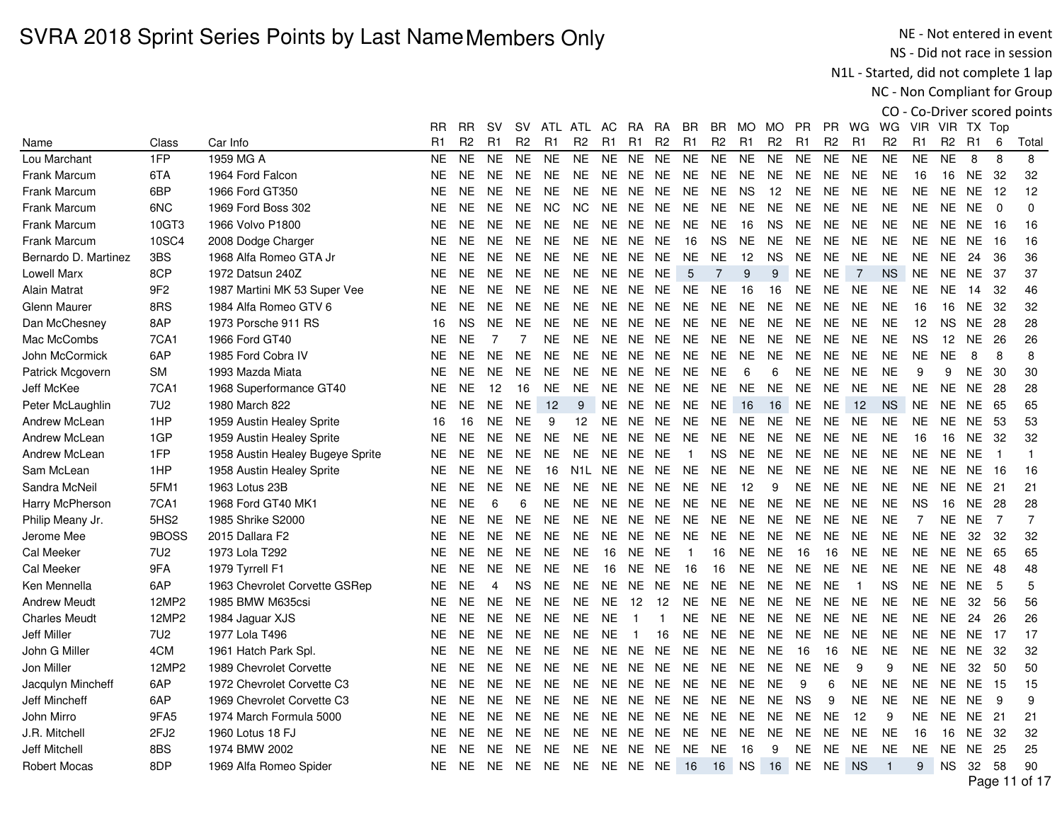NE - Not entered in event NS - Did not race in session

N1L - Started, did not complete 1 lap

NC - Non Compliant for Group

|                      |                  |                                  | RR             | RR             | <b>SV</b>      | sv             | ATL       | ATL               | AC             | <b>RA</b>      | RA             | BR             | BR.            | MO.            | MO.            | PR.            | PR.            | WG             | WG.            | <b>VIR</b>     |                | VIR TX Top     |                |                |
|----------------------|------------------|----------------------------------|----------------|----------------|----------------|----------------|-----------|-------------------|----------------|----------------|----------------|----------------|----------------|----------------|----------------|----------------|----------------|----------------|----------------|----------------|----------------|----------------|----------------|----------------|
| Name                 | Class            | Car Info                         | R <sub>1</sub> | R <sub>2</sub> | R <sub>1</sub> | R <sub>2</sub> | R1        | R <sub>2</sub>    | R <sub>1</sub> | R1             | R <sub>2</sub> | R <sub>1</sub> | R <sub>2</sub> | R <sub>1</sub> | R <sub>2</sub> | R <sub>1</sub> | R <sub>2</sub> | R <sub>1</sub> | R <sub>2</sub> | R <sub>1</sub> | R <sub>2</sub> | R <sub>1</sub> | 6              | Total          |
| Lou Marchant         | 1FP              | 1959 MG A                        | <b>NE</b>      | <b>NE</b>      | <b>NE</b>      | <b>NE</b>      | <b>NE</b> | <b>NE</b>         | <b>NE</b>      | <b>NE</b>      | <b>NE</b>      | <b>NE</b>      | <b>NE</b>      | <b>NE</b>      | <b>NE</b>      | <b>NE</b>      | <b>NE</b>      | <b>NE</b>      | <b>NE</b>      | <b>NE</b>      | <b>NE</b>      | 8              | 8              | 8              |
| <b>Frank Marcum</b>  | 6TA              | 1964 Ford Falcon                 | <b>NE</b>      | <b>NE</b>      | <b>NE</b>      | NE.            | <b>NE</b> | <b>NE</b>         | <b>NE</b>      | NE             | <b>NE</b>      | <b>NE</b>      | <b>NE</b>      | <b>NE</b>      | <b>NE</b>      | <b>NE</b>      | <b>NE</b>      | <b>NE</b>      | <b>NE</b>      | 16             | 16             | NE             | 32             | 32             |
| <b>Frank Marcum</b>  | 6BP              | 1966 Ford GT350                  | <b>NE</b>      | <b>NE</b>      | NE.            | <b>NE</b>      | <b>NE</b> | <b>NE</b>         | NE.            | NE.            | <b>NE</b>      | <b>NE</b>      | <b>NE</b>      | <b>NS</b>      | 12             | <b>NE</b>      | <b>NE</b>      | <b>NE</b>      | <b>NE</b>      | <b>NE</b>      | <b>NE</b>      | <b>NE</b>      | 12             | 12             |
| Frank Marcum         | 6NC              | 1969 Ford Boss 302               | <b>NE</b>      | <b>NE</b>      | <b>NE</b>      | <b>NE</b>      | <b>NC</b> | <b>NC</b>         | <b>NE</b>      | <b>NE</b>      | <b>NE</b>      | <b>NE</b>      | <b>NE</b>      | <b>NE</b>      | <b>NE</b>      | <b>NE</b>      | <b>NE</b>      | <b>NE</b>      | <b>NE</b>      | <b>NE</b>      | <b>NE</b>      | <b>NE</b>      | $\Omega$       | $\mathbf 0$    |
| <b>Frank Marcum</b>  | 10GT3            | 1966 Volvo P1800                 | <b>NE</b>      | <b>NE</b>      | <b>NE</b>      | <b>NE</b>      | <b>NE</b> | <b>NE</b>         | <b>NE</b>      | NE             | <b>NE</b>      | <b>NE</b>      | <b>NE</b>      | 16             | <b>NS</b>      | <b>NE</b>      | <b>NE</b>      | <b>NE</b>      | <b>NE</b>      | <b>NE</b>      | <b>NE</b>      | NE             | 16             | 16             |
| <b>Frank Marcum</b>  | 10SC4            | 2008 Dodge Charger               | <b>NE</b>      | <b>NE</b>      | <b>NE</b>      | <b>NE</b>      | NE.       | NE.               | NE.            | NE             | <b>NE</b>      | 16             | <b>NS</b>      | NE.            | <b>NE</b>      | <b>NE</b>      | <b>NE</b>      | <b>NE</b>      | <b>NE</b>      | <b>NE</b>      | NE.            | NE.            | 16             | 16             |
| Bernardo D. Martinez | 3BS              | 1968 Alfa Romeo GTA Jr           | <b>NE</b>      | <b>NE</b>      | <b>NE</b>      | <b>NE</b>      | <b>NE</b> | <b>NE</b>         | <b>NE</b>      | NE             | <b>NE</b>      | <b>NE</b>      | <b>NE</b>      | 12             | <b>NS</b>      | <b>NE</b>      | <b>NE</b>      | <b>NE</b>      | <b>NE</b>      | <b>NE</b>      | <b>NE</b>      | 24             | 36             | 36             |
| Lowell Marx          | 8CP              | 1972 Datsun 240Z                 | <b>NE</b>      | <b>NE</b>      | <b>NE</b>      | <b>NE</b>      | <b>NE</b> | <b>NE</b>         | <b>NE</b>      | <b>NE</b>      | <b>NE</b>      | 5              | $\overline{7}$ | 9              | 9              | <b>NE</b>      | <b>NE</b>      | $\overline{7}$ | <b>NS</b>      | <b>NE</b>      | <b>NE</b>      | NE.            | 37             | 37             |
| Alain Matrat         | 9F <sub>2</sub>  | 1987 Martini MK 53 Super Vee     | <b>NE</b>      | <b>NE</b>      | NE.            | NE.            | NE.       | NE.               | NE.            | NE NE          |                | NE.            | NE.            | 16             | 16             | <b>NE</b>      | <b>NE</b>      | <b>NE</b>      | <b>NE</b>      | <b>NE</b>      | <b>NE</b>      | 14             | 32             | 46             |
| <b>Glenn Maurer</b>  | 8RS              | 1984 Alfa Romeo GTV 6            | <b>NE</b>      | <b>NE</b>      | <b>NE</b>      | <b>NE</b>      | <b>NE</b> | <b>NE</b>         | NE.            | NE.            | <b>NE</b>      | <b>NE</b>      | <b>NE</b>      | <b>NE</b>      | <b>NE</b>      | <b>NE</b>      | <b>NE</b>      | <b>NE</b>      | <b>NE</b>      | 16             | 16             | <b>NE</b>      | 32             | 32             |
| Dan McChesney        | 8AP              | 1973 Porsche 911 RS              | 16             | <b>NS</b>      | <b>NE</b>      | <b>NE</b>      | <b>NE</b> | <b>NE</b>         | <b>NE</b>      | NE.            | <b>NE</b>      | <b>NE</b>      | <b>NE</b>      | <b>NE</b>      | <b>NE</b>      | <b>NE</b>      | <b>NE</b>      | <b>NE</b>      | <b>NE</b>      | 12             | <b>NS</b>      | <b>NE</b>      | 28             | 28             |
| Mac McCombs          | 7CA1             | 1966 Ford GT40                   | <b>NE</b>      | <b>NE</b>      | 7              | 7              | <b>NE</b> | <b>NE</b>         | NE.            | NE.            | <b>NE</b>      | <b>NE</b>      | NE.            | <b>NE</b>      | <b>NE</b>      | <b>NE</b>      | <b>NE</b>      | <b>NE</b>      | <b>NE</b>      | <b>NS</b>      | 12             | NE.            | 26             | 26             |
| John McCormick       | 6AP              | 1985 Ford Cobra IV               | <b>NE</b>      | <b>NE</b>      | <b>NE</b>      | <b>NE</b>      | <b>NE</b> | <b>NE</b>         | <b>NE</b>      | NE NE          |                | <b>NE</b>      | <b>NE</b>      | <b>NE</b>      | <b>NE</b>      | <b>NE</b>      | <b>NE</b>      | <b>NE</b>      | <b>NE</b>      | <b>NE</b>      | <b>NE</b>      | 8              | 8              | 8              |
| Patrick Mcgovern     | <b>SM</b>        | 1993 Mazda Miata                 | <b>NE</b>      | NE.            | NE.            | NE.            | NE.       | NE.               | NE.            | NE             | <b>NE</b>      | <b>NE</b>      | <b>NE</b>      | 6              | 6              | <b>NE</b>      | <b>NE</b>      | <b>NE</b>      | <b>NE</b>      | 9              | 9              | <b>NE</b>      | 30             | 30             |
| Jeff McKee           | 7CA1             | 1968 Superformance GT40          | <b>NE</b>      | <b>NE</b>      | 12             | 16             | <b>NE</b> | NE.               | <b>NE</b>      | <b>NE</b>      | <b>NE</b>      | <b>NE</b>      | <b>NE</b>      | <b>NE</b>      | <b>NE</b>      | <b>NE</b>      | <b>NE</b>      | <b>NE</b>      | <b>NE</b>      | <b>NE</b>      | <b>NE</b>      | NE.            | 28             | 28             |
| Peter McLaughlin     | <b>7U2</b>       | 1980 March 822                   | <b>NE</b>      | <b>NE</b>      | <b>NE</b>      | <b>NE</b>      | 12        | 9                 | <b>NE</b>      | NE NE          |                | <b>NE</b>      | <b>NE</b>      | 16             | 16             | <b>NE</b>      | <b>NE</b>      | 12             | <b>NS</b>      | <b>NE</b>      | <b>NE</b>      | <b>NE</b>      | 65             | 65             |
| Andrew McLean        | 1HP              | 1959 Austin Healey Sprite        | 16             | 16             | <b>NE</b>      | <b>NE</b>      | 9         | $12 \overline{ }$ | NE.            | NE             | <b>NE</b>      | <b>NE</b>      | <b>NE</b>      | <b>NE</b>      | <b>NE</b>      | <b>NE</b>      | <b>NE</b>      | <b>NE</b>      | <b>NE</b>      | <b>NE</b>      | <b>NE</b>      | NE.            | -53            | 53             |
| Andrew McLean        | 1GP              | 1959 Austin Healey Sprite        | <b>NE</b>      | <b>NE</b>      | NE.            | <b>NE</b>      | <b>NE</b> | <b>NE</b>         | NE.            | <b>NE</b>      | <b>NE</b>      | <b>NE</b>      | <b>NE</b>      | <b>NE</b>      | <b>NE</b>      | <b>NE</b>      | <b>NE</b>      | <b>NE</b>      | <b>NE</b>      | 16             | 16             | NE.            | 32             | 32             |
| Andrew McLean        | 1FP              | 1958 Austin Healey Bugeye Sprite | <b>NE</b>      | <b>NE</b>      | <b>NE</b>      | <b>NE</b>      | <b>NE</b> | <b>NE</b>         | <b>NE</b>      | NE             | <b>NE</b>      | $\overline{1}$ | <b>NS</b>      | <b>NE</b>      | <b>NE</b>      | <b>NE</b>      | <b>NE</b>      | <b>NE</b>      | <b>NE</b>      | <b>NE</b>      | <b>NE</b>      | <b>NE</b>      | $\overline{1}$ | $\mathbf{1}$   |
| Sam McLean           | 1HP              | 1958 Austin Healey Sprite        | <b>NE</b>      | <b>NE</b>      | <b>NE</b>      | <b>NE</b>      | 16        | N <sub>1</sub> L  | NE.            | NE.            | <b>NE</b>      | <b>NE</b>      | <b>NE</b>      | <b>NE</b>      | <b>NE</b>      | <b>NE</b>      | <b>NE</b>      | <b>NE</b>      | <b>NE</b>      | <b>NE</b>      | <b>NE</b>      | <b>NE</b>      | 16             | 16             |
| Sandra McNeil        | 5FM1             | 1963 Lotus 23B                   | <b>NE</b>      | <b>NE</b>      | <b>NE</b>      | <b>NE</b>      | <b>NE</b> | <b>NE</b>         | <b>NE</b>      | NE NE          |                | <b>NE</b>      | <b>NE</b>      | 12             | 9              | <b>NE</b>      | <b>NE</b>      | <b>NE</b>      | <b>NE</b>      | <b>NE</b>      | <b>NE</b>      | NE             | - 21           | 21             |
| Harry McPherson      | 7CA1             | 1968 Ford GT40 MK1               | <b>NE</b>      | <b>NE</b>      | 6              | 6              | <b>NE</b> | NE.               | <b>NE</b>      | NE.            | <b>NE</b>      | <b>NE</b>      | <b>NE</b>      | <b>NE</b>      | <b>NE</b>      | <b>NE</b>      | <b>NE</b>      | <b>NE</b>      | <b>NE</b>      | <b>NS</b>      | 16             | NE.            | 28             | 28             |
| Philip Meany Jr.     | 5HS <sub>2</sub> | 1985 Shrike S2000                | <b>NE</b>      | <b>NE</b>      | <b>NE</b>      | <b>NE</b>      | <b>NE</b> | NE.               | NE.            | NE.            | <b>NE</b>      | <b>NE</b>      | <b>NE</b>      | NE.            | <b>NE</b>      | <b>NE</b>      | <b>NE</b>      | <b>NE</b>      | <b>NE</b>      | $\overline{7}$ | NE.            | <b>NE</b>      | $\overline{7}$ | $\overline{7}$ |
| Jerome Mee           | 9BOSS            | 2015 Dallara F2                  | <b>NE</b>      | <b>NE</b>      | <b>NE</b>      | <b>NE</b>      | <b>NE</b> | <b>NE</b>         | <b>NE</b>      | <b>NE</b>      | <b>NE</b>      | <b>NE</b>      | <b>NE</b>      | <b>NE</b>      | <b>NE</b>      | <b>NE</b>      | <b>NE</b>      | <b>NE</b>      | <b>NE</b>      | <b>NE</b>      | <b>NE</b>      | 32             | 32             | 32             |
| Cal Meeker           | <b>7U2</b>       | 1973 Lola T292                   | <b>NE</b>      | <b>NE</b>      | <b>NE</b>      | <b>NE</b>      | <b>NE</b> | <b>NE</b>         | 16             | <b>NE</b>      | <b>NE</b>      | -1             | 16             | <b>NE</b>      | <b>NE</b>      | 16             | 16             | <b>NE</b>      | <b>NE</b>      | <b>NE</b>      | <b>NE</b>      | NE.            | 65             | 65             |
| Cal Meeker           | 9FA              | 1979 Tyrrell F1                  | <b>NE</b>      | <b>NE</b>      | NE.            | <b>NE</b>      | <b>NE</b> | <b>NE</b>         | 16             | <b>NE</b>      | <b>NE</b>      | 16             | 16             | <b>NE</b>      | <b>NE</b>      | <b>NE</b>      | <b>NE</b>      | <b>NE</b>      | <b>NE</b>      | <b>NE</b>      | <b>NE</b>      | <b>NE</b>      | 48             | 48             |
| Ken Mennella         | 6AP              | 1963 Chevrolet Corvette GSRep    | <b>NE</b>      | <b>NE</b>      | 4              | <b>NS</b>      | <b>NE</b> | <b>NE</b>         | <b>NE</b>      | <b>NE</b>      | <b>NE</b>      | <b>NE</b>      | <b>NE</b>      | <b>NE</b>      | <b>NE</b>      | <b>NE</b>      | <b>NE</b>      | -1             | <b>NS</b>      | <b>NE</b>      | <b>NE</b>      | <b>NE</b>      | 5              | 5              |
| <b>Andrew Meudt</b>  | 12MP2            | 1985 BMW M635csi                 | <b>NE</b>      | <b>NE</b>      | <b>NE</b>      | <b>NE</b>      | <b>NE</b> | <b>NE</b>         | <b>NE</b>      | 12             | 12             | <b>NE</b>      | <b>NE</b>      | <b>NE</b>      | <b>NE</b>      | <b>NE</b>      | <b>NE</b>      | <b>NE</b>      | <b>NE</b>      | <b>NE</b>      | <b>NE</b>      | 32             | 56             | 56             |
| <b>Charles Meudt</b> | 12MP2            | 1984 Jaguar XJS                  | <b>NE</b>      | <b>NE</b>      | NE.            | NE.            | <b>NE</b> | <b>NE</b>         | <b>NE</b>      | $\mathbf{1}$   |                | <b>NE</b>      | <b>NE</b>      | <b>NE</b>      | <b>NE</b>      | <b>NE</b>      | <b>NE</b>      | <b>NE</b>      | <b>NE</b>      | <b>NE</b>      | <b>NE</b>      | 24             | 26             | 26             |
| <b>Jeff Miller</b>   | 7U <sub>2</sub>  | 1977 Lola T496                   | <b>NE</b>      | <b>NE</b>      | NE.            | NE.            | <b>NE</b> | <b>NE</b>         | NE.            | $\overline{1}$ | 16             | <b>NE</b>      | <b>NE</b>      | <b>NE</b>      | <b>NE</b>      | <b>NE</b>      | <b>NE</b>      | <b>NE</b>      | <b>NE</b>      | <b>NE</b>      | <b>NE</b>      | NE             | -17            | 17             |
| John G Miller        | 4CM              | 1961 Hatch Park Spl.             | <b>NE</b>      | <b>NE</b>      | <b>NE</b>      | <b>NE</b>      | <b>NE</b> | <b>NE</b>         | <b>NE</b>      | NE             | <b>NE</b>      | <b>NE</b>      | <b>NE</b>      | <b>NE</b>      | <b>NE</b>      | 16             | 16             | <b>NE</b>      | <b>NE</b>      | <b>NE</b>      | NE             | <b>NE</b>      | 32             | 32             |
| Jon Miller           | 12MP2            | 1989 Chevrolet Corvette          | <b>NE</b>      | <b>NE</b>      | <b>NE</b>      | NE             | <b>NE</b> | <b>NE</b>         | <b>NE</b>      | NE.            | <b>NE</b>      | <b>NE</b>      | <b>NE</b>      | <b>NE</b>      | <b>NE</b>      | <b>NE</b>      | <b>NE</b>      | 9              | 9              | <b>NE</b>      | <b>NE</b>      | 32             | 50             | 50             |
| Jacqulyn Mincheff    | 6AP              | 1972 Chevrolet Corvette C3       | <b>NE</b>      | <b>NE</b>      | <b>NE</b>      | <b>NE</b>      | <b>NE</b> | <b>NE</b>         | NE.            | NE             | <b>NE</b>      | <b>NE</b>      | <b>NE</b>      | <b>NE</b>      | <b>NE</b>      | 9              | 6              | <b>NE</b>      | <b>NE</b>      | <b>NE</b>      | <b>NE</b>      | <b>NE</b>      | 15             | 15             |
| Jeff Mincheff        | 6AP              | 1969 Chevrolet Corvette C3       | <b>NE</b>      | <b>NE</b>      | NE.            | NE.            | <b>NE</b> | NE.               | NE.            | NE.            | <b>NE</b>      | <b>NE</b>      | <b>NE</b>      | <b>NE</b>      | <b>NE</b>      | <b>NS</b>      | 9              | <b>NE</b>      | <b>NE</b>      | <b>NE</b>      | NE.            | <b>NE</b>      | 9              | 9              |
| John Mirro           | 9FA5             | 1974 March Formula 5000          | <b>NE</b>      | <b>NE</b>      | NE.            | <b>NE</b>      | <b>NE</b> | <b>NE</b>         | <b>NE</b>      | <b>NE</b>      | <b>NE</b>      | <b>NE</b>      | <b>NE</b>      | <b>NE</b>      | <b>NE</b>      | <b>NE</b>      | <b>NE</b>      | 12             | 9              | <b>NE</b>      | <b>NE</b>      | NE.            | 21             | 21             |
| J.R. Mitchell        | 2FJ2             | 1960 Lotus 18 FJ                 | <b>NE</b>      | <b>NE</b>      | NE.            | NE.            | <b>NE</b> | NE.               | <b>NE</b>      | NE             | <b>NE</b>      | <b>NE</b>      | <b>NE</b>      | <b>NE</b>      | <b>NE</b>      | <b>NE</b>      | <b>NE</b>      | <b>NE</b>      | <b>NE</b>      | 16             | 16             | <b>NE</b>      | 32             | 32             |
| Jeff Mitchell        | 8BS              | 1974 BMW 2002                    | <b>NE</b>      | <b>NE</b>      | NE.            | NE.            | <b>NE</b> | NE.               | NE.            | NE NE          |                | <b>NE</b>      | <b>NE</b>      | 16             | 9              | <b>NE</b>      | <b>NE</b>      | <b>NE</b>      | <b>NE</b>      | <b>NE</b>      | <b>NE</b>      | <b>NE</b>      | 25             | 25             |
| <b>Robert Mocas</b>  | 8DP              | 1969 Alfa Romeo Spider           | NE.            |                |                | NE NE NE NE NE |           |                   | NE NE NE       |                |                | 16             | 16 NS          |                | 16             | <b>NE</b>      | NE.            | <b>NS</b>      | $\overline{1}$ | 9              | <b>NS</b>      | 32             | 58             | 90             |
|                      |                  |                                  |                |                |                |                |           |                   |                |                |                |                |                |                |                |                |                |                |                |                |                |                |                |                |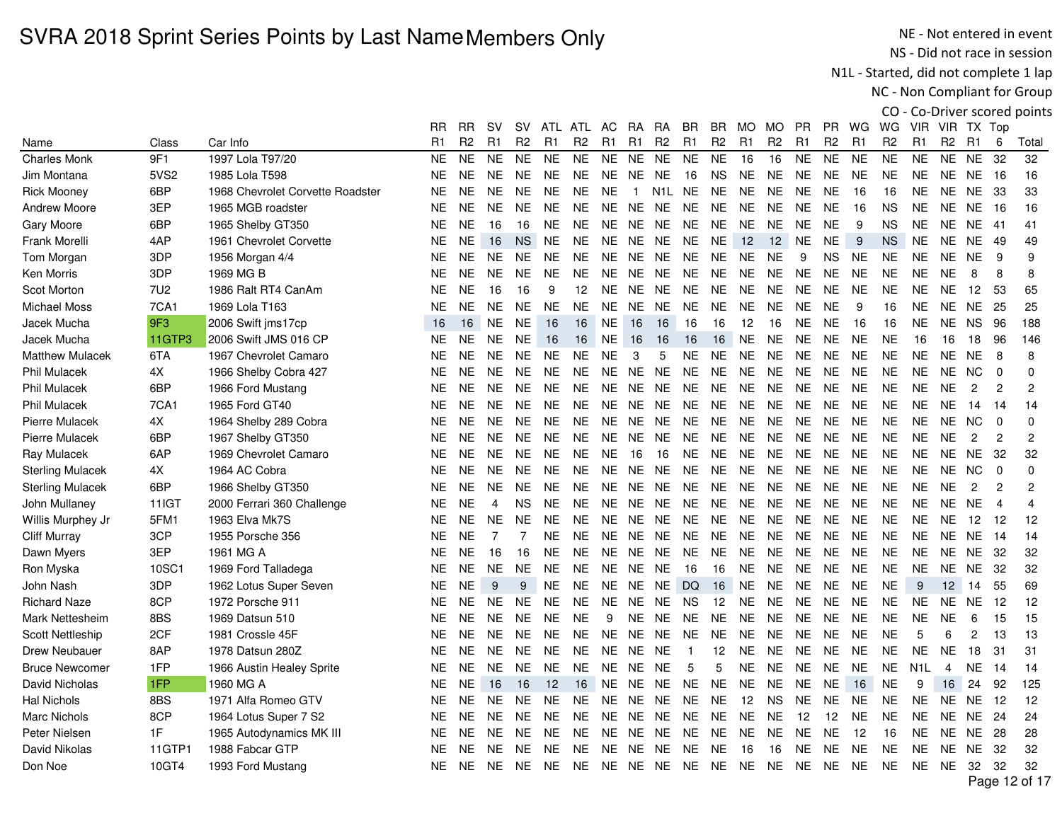NE - Not entered in event NS - Did not race in session

N1L - Started, did not complete 1 lap

NC - Non Compliant for Group

|                         |              |                                  | RR.            | RR             | sv             | <b>SV</b>      | ATL            | ATL            | AC             | RA.            | RA               | BR.            | BR.            | MO             | MO             | <b>PR</b>      | <b>PR</b>      | WG             | WG             | VIR.             |                | VIR TX Top      |                |                |
|-------------------------|--------------|----------------------------------|----------------|----------------|----------------|----------------|----------------|----------------|----------------|----------------|------------------|----------------|----------------|----------------|----------------|----------------|----------------|----------------|----------------|------------------|----------------|-----------------|----------------|----------------|
| Name                    | Class        | Car Info                         | R <sub>1</sub> | R <sub>2</sub> | R <sub>1</sub> | R <sub>2</sub> | R <sub>1</sub> | R <sub>2</sub> | R <sub>1</sub> | R <sub>1</sub> | R <sub>2</sub>   | R <sub>1</sub> | R <sub>2</sub> | R <sub>1</sub> | R <sub>2</sub> | R <sub>1</sub> | R <sub>2</sub> | R <sub>1</sub> | R <sub>2</sub> | R1               | R <sub>2</sub> | - R1            | 6              | Total          |
| <b>Charles Monk</b>     | 9F1          | 1997 Lola T97/20                 | <b>NE</b>      | <b>NE</b>      | <b>NE</b>      | <b>NE</b>      | <b>NE</b>      | <b>NE</b>      | <b>NE</b>      | <b>NE</b>      | <b>NE</b>        | <b>NE</b>      | <b>NE</b>      | 16             | 16             | <b>NE</b>      | <b>NE</b>      | <b>NE</b>      | <b>NE</b>      | <b>NE</b>        | <b>NE</b>      | <b>NE</b>       | 32             | 32             |
| Jim Montana             | 5VS2         | 1985 Lola T598                   | <b>NE</b>      | <b>NE</b>      | <b>NE</b>      | <b>NE</b>      | <b>NE</b>      | <b>NE</b>      | <b>NE</b>      | NE NE          |                  | 16             | <b>NS</b>      | <b>NE</b>      | <b>NE</b>      | <b>NE</b>      | <b>NE</b>      | <b>NE</b>      | <b>NE</b>      | <b>NE</b>        |                | <b>NE NE 16</b> |                | 16             |
| <b>Rick Mooney</b>      | 6BP          | 1968 Chevrolet Corvette Roadster | <b>NE</b>      | <b>NE</b>      | <b>NE</b>      | <b>NE</b>      | <b>NE</b>      | <b>NE</b>      | <b>NE</b>      | $\overline{1}$ | N <sub>1</sub> L | <b>NE</b>      | <b>NE</b>      | <b>NE</b>      | <b>NE</b>      | <b>NE</b>      | NE.            | 16             | 16             | <b>NE</b>        | <b>NE</b>      | <b>NE</b>       | -33            | 33             |
| Andrew Moore            | 3EP          | 1965 MGB roadster                | <b>NE</b>      | <b>NE</b>      | <b>NE</b>      | NE.            | NE.            | <b>NE</b>      |                | NE NE NE       |                  | <b>NE</b>      | NE.            | <b>NE</b>      | <b>NE</b>      | NE.            | <b>NE</b>      | 16             | <b>NS</b>      | <b>NE</b>        |                | <b>NE NE 16</b> |                | 16             |
| Gary Moore              | 6BP          | 1965 Shelby GT350                | <b>NE</b>      | <b>NE</b>      | 16             | 16             | NE.            | <b>NE</b>      |                | NE NE NE       |                  | <b>NE</b>      | <b>NE</b>      | <b>NE</b>      | <b>NE</b>      | <b>NE</b>      | <b>NE</b>      | 9              | <b>NS</b>      | <b>NE</b>        |                | NE NE           | - 41           | 41             |
| Frank Morelli           | 4AP          | 1961 Chevrolet Corvette          | <b>NE</b>      | <b>NE</b>      | 16             | <b>NS</b>      | <b>NE</b>      | <b>NE</b>      | <b>NE</b>      | NE NE          |                  | <b>NE</b>      | <b>NE</b>      | 12             | 12             | <b>NE</b>      | <b>NE</b>      | 9              | <b>NS</b>      | <b>NE</b>        | <b>NE</b>      | <b>NE</b>       | -49            | 49             |
| Tom Morgan              | 3DP          | 1956 Morgan 4/4                  | <b>NE</b>      | <b>NE</b>      | <b>NE</b>      | <b>NE</b>      | <b>NE</b>      | <b>NE</b>      | NE             | NE NE          |                  | NE             | <b>NE</b>      | <b>NE</b>      | <b>NE</b>      | 9              | <b>NS</b>      | <b>NE</b>      | <b>NE</b>      | <b>NE</b>        | NE.            | NE.             | 9              | 9              |
| Ken Morris              | 3DP          | 1969 MG B                        | <b>NE</b>      | <b>NE</b>      | <b>NE</b>      | <b>NE</b>      | NE.            | <b>NE</b>      | <b>NE</b>      | <b>NE</b>      | <b>NE</b>        | NE.            | <b>NE</b>      | <b>NE</b>      | <b>NE</b>      | <b>NE</b>      | <b>NE</b>      | <b>NE</b>      | <b>NE</b>      | <b>NE</b>        | <b>NE</b>      | 8               | 8              | 8              |
| <b>Scot Morton</b>      | 7U2          | 1986 Ralt RT4 CanAm              | <b>NE</b>      | <b>NE</b>      | 16             | 16             | 9              | 12             | <b>NE</b>      | <b>NE</b>      | <b>NE</b>        | <b>NE</b>      | <b>NE</b>      | <b>NE</b>      | <b>NE</b>      | <b>NE</b>      | <b>NE</b>      | <b>NE</b>      | <b>NE</b>      | <b>NE</b>        | <b>NE</b>      | 12              | 53             | 65             |
| <b>Michael Moss</b>     | <b>7CA1</b>  | 1969 Lola T163                   | <b>NE</b>      | <b>NE</b>      | <b>NE</b>      | <b>NE</b>      | <b>NE</b>      | <b>NE</b>      | <b>NE</b>      | <b>NE</b>      | <b>NE</b>        | <b>NE</b>      | <b>NE</b>      | <b>NE</b>      | <b>NE</b>      | <b>NE</b>      | <b>NE</b>      | 9              | 16             | <b>NE</b>        |                | <b>NE NE 25</b> |                | 25             |
| Jacek Mucha             | 9F3          | 2006 Swift jms17cp               | 16             | 16             | NE.            | <b>NE</b>      | 16             | 16             | <b>NE</b>      | 16             | 16               | 16             | 16             | 12             | 16             | <b>NE</b>      | <b>NE</b>      | 16             | 16             | <b>NE</b>        |                | NE NS           | -96            | 188            |
| Jacek Mucha             | 11GTP3       | 2006 Swift JMS 016 CP            | <b>NE</b>      | <b>NE</b>      | <b>NE</b>      | NE.            | 16             | 16             | <b>NE</b>      | 16             | 16               | 16             | 16             | <b>NE</b>      | <b>NE</b>      | <b>NE</b>      | <b>NE</b>      | <b>NE</b>      | <b>NE</b>      | 16               | 16             | 18              | 96             | 146            |
| <b>Matthew Mulacek</b>  | 6TA          | 1967 Chevrolet Camaro            | <b>NE</b>      | <b>NE</b>      | <b>NE</b>      | <b>NE</b>      | <b>NE</b>      | <b>NE</b>      | <b>NE</b>      | 3              | 5                | NE             | <b>NE</b>      | <b>NE</b>      | <b>NE</b>      | <b>NE</b>      | <b>NE</b>      | <b>NE</b>      | <b>NE</b>      | <b>NE</b>        | <b>NE</b>      | <b>NE</b>       | 8              | 8              |
| <b>Phil Mulacek</b>     | 4X           | 1966 Shelby Cobra 427            | <b>NE</b>      | <b>NE</b>      | <b>NE</b>      | <b>NE</b>      | <b>NE</b>      | <b>NE</b>      | NE.            | <b>NE</b>      | <b>NE</b>        | <b>NE</b>      | <b>NE</b>      | <b>NE</b>      | <b>NE</b>      | <b>NE</b>      | <b>NE</b>      | <b>NE</b>      | <b>NE</b>      | <b>NE</b>        |                | NE NC           | $\Omega$       | 0              |
| <b>Phil Mulacek</b>     | 6BP          | 1966 Ford Mustang                | <b>NE</b>      | <b>NE</b>      | <b>NE</b>      | <b>NE</b>      | <b>NE</b>      | <b>NE</b>      | <b>NE</b>      | <b>NE</b>      | <b>NE</b>        | <b>NE</b>      | <b>NE</b>      | <b>NE</b>      | <b>NE</b>      | <b>NE</b>      | <b>NE</b>      | <b>NE</b>      | <b>NE</b>      | <b>NE</b>        | <b>NE</b>      | $\overline{c}$  | $\overline{2}$ | $\overline{c}$ |
| <b>Phil Mulacek</b>     | 7CA1         | 1965 Ford GT40                   | <b>NE</b>      | <b>NE</b>      | <b>NE</b>      | <b>NE</b>      | <b>NE</b>      | <b>NE</b>      | <b>NE</b>      | <b>NE</b>      | <b>NE</b>        | <b>NE</b>      | <b>NE</b>      | <b>NE</b>      | <b>NE</b>      | <b>NE</b>      | <b>NE</b>      | <b>NE</b>      | <b>NE</b>      | <b>NE</b>        | <b>NE</b>      | 14              | -14            | 14             |
| <b>Pierre Mulacek</b>   | 4Х           | 1964 Shelby 289 Cobra            | <b>NE</b>      | <b>NE</b>      | <b>NE</b>      | <b>NE</b>      | <b>NE</b>      | NE.            |                | NE NE NE       |                  | NE.            | NE.            | <b>NE</b>      | <b>NE</b>      | <b>NE</b>      | <b>NE</b>      | <b>NE</b>      | <b>NE</b>      | <b>NE</b>        | NE.            | <b>NC</b>       | $\Omega$       | 0              |
| Pierre Mulacek          | 6BP          | 1967 Shelby GT350                | <b>NE</b>      | NE.            | <b>NE</b>      | <b>NE</b>      | NE.            | <b>NE</b>      | NE.            | NE.            | NE.              | NE.            | <b>NE</b>      | <b>NE</b>      | <b>NE</b>      | NE.            | <b>NE</b>      | <b>NE</b>      | <b>NE</b>      | <b>NE</b>        | <b>NE</b>      | $\overline{c}$  | $\overline{c}$ | 2              |
| Ray Mulacek             | 6AP          | 1969 Chevrolet Camaro            | <b>NE</b>      | <b>NE</b>      | <b>NE</b>      | <b>NE</b>      | <b>NE</b>      | <b>NE</b>      | <b>NE</b>      | 16             | 16               | <b>NE</b>      | <b>NE</b>      | <b>NE</b>      | <b>NE</b>      | <b>NE</b>      | <b>NE</b>      | <b>NE</b>      | <b>NE</b>      | <b>NE</b>        | <b>NE</b>      | <b>NE</b>       | 32             | 32             |
| <b>Sterling Mulacek</b> | 4X           | 1964 AC Cobra                    | <b>NE</b>      | <b>NE</b>      | <b>NE</b>      | <b>NE</b>      | <b>NE</b>      | <b>NE</b>      | <b>NE</b>      | <b>NE</b>      | <b>NE</b>        | <b>NE</b>      | <b>NE</b>      | <b>NE</b>      | <b>NE</b>      | <b>NE</b>      | <b>NE</b>      | <b>NE</b>      | <b>NE</b>      | <b>NE</b>        | <b>NE</b>      | <b>NC</b>       | $\mathbf 0$    | $\mathbf 0$    |
| <b>Sterling Mulacek</b> | 6BP          | 1966 Shelby GT350                | <b>NE</b>      | <b>NE</b>      | <b>NE</b>      | <b>NE</b>      | <b>NE</b>      | <b>NE</b>      | <b>NE</b>      | <b>NE</b>      | <b>NE</b>        | <b>NE</b>      | <b>NE</b>      | <b>NE</b>      | <b>NE</b>      | <b>NE</b>      | <b>NE</b>      | <b>NE</b>      | <b>NE</b>      | <b>NE</b>        | <b>NE</b>      | $\overline{c}$  | $\mathbf{2}$   | $\overline{c}$ |
| John Mullaney           | <b>11IGT</b> | 2000 Ferrari 360 Challenge       | <b>NE</b>      | <b>NE</b>      | 4              | <b>NS</b>      | <b>NE</b>      | <b>NE</b>      | <b>NE</b>      | <b>NE</b>      | <b>NE</b>        | <b>NE</b>      | <b>NE</b>      | <b>NE</b>      | <b>NE</b>      | <b>NE</b>      | <b>NE</b>      | <b>NE</b>      | <b>NE</b>      | <b>NE</b>        | <b>NE</b>      | <b>NE</b>       | $\overline{4}$ | 4              |
| Willis Murphey Jr       | 5FM1         | 1963 Elva Mk7S                   | <b>NE</b>      | <b>NE</b>      | <b>NE</b>      | <b>NE</b>      | <b>NE</b>      | <b>NE</b>      | <b>NE</b>      | <b>NE</b>      | <b>NE</b>        | <b>NE</b>      | <b>NE</b>      | <b>NE</b>      | <b>NE</b>      | <b>NE</b>      | <b>NE</b>      | <b>NE</b>      | <b>NE</b>      | <b>NE</b>        | <b>NE</b>      | 12              | 12             | 12             |
| <b>Cliff Murray</b>     | 3CP          | 1955 Porsche 356                 | <b>NE</b>      | <b>NE</b>      | $\overline{7}$ | $\overline{7}$ | NE.            | <b>NE</b>      | <b>NE</b>      | NE NE          |                  | NE.            | <b>NE</b>      | <b>NE</b>      | <b>NE</b>      | <b>NE</b>      | <b>NE</b>      | <b>NE</b>      | <b>NE</b>      | <b>NE</b>        |                | NE NE 14        |                | 14             |
| Dawn Myers              | 3EP          | 1961 MG A                        | <b>NE</b>      | <b>NE</b>      | 16             | 16             | NE.            | <b>NE</b>      | NE             | NE NE          |                  | <b>NE</b>      | <b>NE</b>      | <b>NE</b>      | <b>NE</b>      | <b>NE</b>      | <b>NE</b>      | <b>NE</b>      | <b>NE</b>      | <b>NE</b>        |                | NE NE           | 32             | 32             |
| Ron Myska               | 10SC1        | 1969 Ford Talladega              | <b>NE</b>      | <b>NE</b>      | <b>NE</b>      | <b>NE</b>      | <b>NE</b>      | <b>NE</b>      | <b>NE</b>      | NE             | <b>NE</b>        | 16             | 16             | <b>NE</b>      | <b>NE</b>      | <b>NE</b>      | <b>NE</b>      | <b>NE</b>      | <b>NE</b>      | <b>NE</b>        | <b>NE</b>      | <b>NE</b>       | 32             | 32             |
| John Nash               | 3DP          | 1962 Lotus Super Seven           | <b>NE</b>      | <b>NE</b>      | 9              | 9              | <b>NE</b>      | <b>NE</b>      | NE.            | NE NE          |                  | <b>DQ</b>      | 16             | <b>NE</b>      | <b>NE</b>      | <b>NE</b>      | <b>NE</b>      | <b>NE</b>      | <b>NE</b>      | 9                | 12             | -14             | 55             | 69             |
| <b>Richard Naze</b>     | 8CP          | 1972 Porsche 911                 | <b>NE</b>      | <b>NE</b>      | <b>NE</b>      | <b>NE</b>      | <b>NE</b>      | <b>NE</b>      | NE.            | <b>NE</b>      | NE.              | NS.            | 12             | <b>NE</b>      | <b>NE</b>      | <b>NE</b>      | <b>NE</b>      | <b>NE</b>      | <b>NE</b>      | <b>NE</b>        | NE.            | NE.             | -12            | 12             |
| Mark Nettesheim         | 8BS          | 1969 Datsun 510                  | <b>NE</b>      | <b>NE</b>      | <b>NE</b>      | <b>NE</b>      | <b>NE</b>      | <b>NE</b>      | 9              | <b>NE</b>      | <b>NE</b>        | <b>NE</b>      | <b>NE</b>      | <b>NE</b>      | <b>NE</b>      | <b>NE</b>      | <b>NE</b>      | <b>NE</b>      | <b>NE</b>      | <b>NE</b>        | <b>NE</b>      | $\,6$           | 15             | 15             |
| <b>Scott Nettleship</b> | 2CF          | 1981 Crossle 45F                 | <b>NE</b>      | <b>NE</b>      | <b>NE</b>      | <b>NE</b>      | <b>NE</b>      | <b>NE</b>      | <b>NE</b>      | NE NE          |                  | NE.            | <b>NE</b>      | <b>NE</b>      | <b>NE</b>      | NE.            | <b>NE</b>      | <b>NE</b>      | <b>NE</b>      | 5                | 6              | 2               | -13            | 13             |
| <b>Drew Neubauer</b>    | 8AP          | 1978 Datsun 280Z                 | <b>NE</b>      | <b>NE</b>      | <b>NE</b>      | NE.            | <b>NE</b>      | <b>NE</b>      | NE             | NE NE          |                  | $\mathbf{1}$   | 12             | <b>NE</b>      | <b>NE</b>      | <b>NE</b>      | NE             | <b>NE</b>      | <b>NE</b>      | <b>NE</b>        | <b>NE</b>      | 18              | 31             | 31             |
| <b>Bruce Newcomer</b>   | 1FP          | 1966 Austin Healey Sprite        | <b>NE</b>      | <b>NE</b>      | <b>NE</b>      | <b>NE</b>      | <b>NE</b>      | <b>NE</b>      | NE             | NE NE          |                  | 5              | 5              | $N\mathsf{E}$  | <b>NE</b>      | <b>NE</b>      | <b>NE</b>      | <b>NE</b>      | <b>NE</b>      | N <sub>1</sub> L | 4              | <b>NE</b>       | -14            | 14             |
| David Nicholas          | 1FP          | 1960 MG A                        | <b>NE</b>      | <b>NE</b>      | 16             | 16             | 12             | 16             | <b>NE</b>      | NE.            | <b>NE</b>        | <b>NE</b>      | <b>NE</b>      | <b>NE</b>      | <b>NE</b>      | <b>NE</b>      | <b>NE</b>      | 16             | <b>NE</b>      | 9                | 16             | 24              | 92             | 125            |
| <b>Hal Nichols</b>      | 8BS          | 1971 Alfa Romeo GTV              | <b>NE</b>      | <b>NE</b>      | <b>NE</b>      | <b>NE</b>      | <b>NE</b>      | <b>NE</b>      | <b>NE</b>      | NE             | <b>NE</b>        | <b>NE</b>      | <b>NE</b>      | 12             | <b>NS</b>      | <b>NE</b>      | <b>NE</b>      | <b>NE</b>      | <b>NE</b>      | <b>NE</b>        |                | NE NE           | 12             | 12             |
| <b>Marc Nichols</b>     | 8CP          | 1964 Lotus Super 7 S2            | <b>NE</b>      | <b>NE</b>      | <b>NE</b>      | <b>NE</b>      | <b>NE</b>      | <b>NE</b>      | <b>NE</b>      | <b>NE</b>      | <b>NE</b>        | <b>NE</b>      | <b>NE</b>      | <b>NE</b>      | <b>NE</b>      | 12             | 12             | <b>NE</b>      | <b>NE</b>      | <b>NE</b>        | <b>NE</b>      | <b>NE</b>       | -24            | 24             |
| Peter Nielsen           | 1F           | 1965 Autodynamics MK III         | <b>NE</b>      | <b>NE</b>      | <b>NE</b>      | <b>NE</b>      | <b>NE</b>      | <b>NE</b>      | <b>NE</b>      | <b>NE</b>      | <b>NE</b>        | <b>NE</b>      | <b>NE</b>      | <b>NE</b>      | <b>NE</b>      | <b>NE</b>      | <b>NE</b>      | 12             | 16             | <b>NE</b>        |                | NE NE           | -28            | 28             |
| David Nikolas           | 11GTP1       | 1988 Fabcar GTP                  | <b>NE</b>      | <b>NE</b>      | <b>NE</b>      | <b>NE</b>      | <b>NE</b>      | <b>NE</b>      | <b>NE</b>      | NE NE          |                  | <b>NE</b>      | <b>NE</b>      | 16             | 16             | <b>NE</b>      | <b>NE</b>      | <b>NE</b>      | <b>NE</b>      | <b>NE</b>        |                | NE NE           | 32             | 32             |
| Don Noe                 | 10GT4        | 1993 Ford Mustang                | <b>NE</b>      | <b>NE</b>      | <b>NE</b>      | NE.            | <b>NE</b>      | <b>NE</b>      |                | NE NE NE       |                  | NE NE          |                | <b>NE</b>      | <b>NE</b>      | NE.            | <b>NE</b>      | <b>NE</b>      | <b>NE</b>      | <b>NE</b>        | NE.            | 32              | 32             | 32             |
|                         |              |                                  |                |                |                |                |                |                |                |                |                  |                |                |                |                |                |                |                |                |                  |                |                 |                | Page 12 of 17  |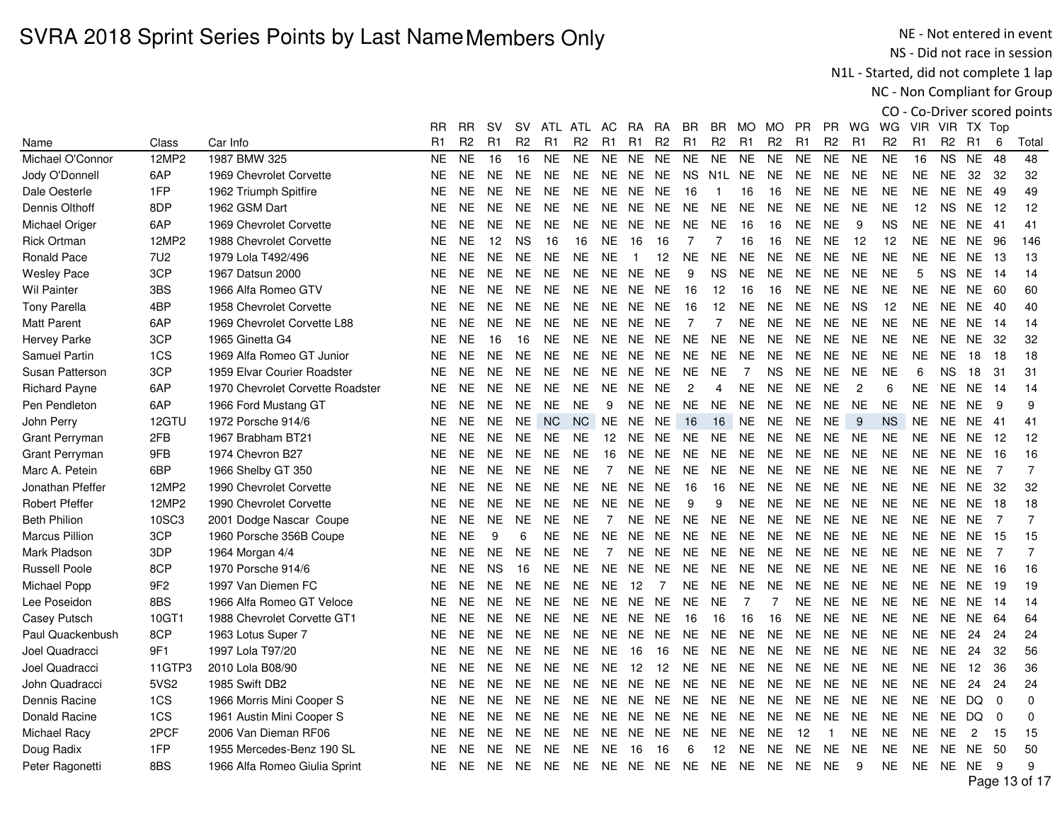NE - Not entered in event NS - Did not race in session

N1L - Started, did not complete 1 lap

NC - Non Compliant for Group

|                       |                 |                                  | <b>RR</b>      | RR             | sv             | sv             | ATL            | ATL            | AC                | RA             | RA             | BR             | BR             | MO.            | MO.            | PR             | <b>PR</b>      | WG             | WG             | <b>VIR</b>     |                | VIR TX Top     |                |                |
|-----------------------|-----------------|----------------------------------|----------------|----------------|----------------|----------------|----------------|----------------|-------------------|----------------|----------------|----------------|----------------|----------------|----------------|----------------|----------------|----------------|----------------|----------------|----------------|----------------|----------------|----------------|
| Name                  | Class           | Car Info                         | R <sub>1</sub> | R <sub>2</sub> | R <sub>1</sub> | R <sub>2</sub> | R <sub>1</sub> | R <sub>2</sub> | R <sub>1</sub>    | R1             | R <sub>2</sub> | R <sub>1</sub> | R <sub>2</sub> | R <sub>1</sub> | R <sub>2</sub> | R <sub>1</sub> | R <sub>2</sub> | R1             | R <sub>2</sub> | R <sub>1</sub> | R <sub>2</sub> | R1             | 6              | Total          |
| Michael O'Connor      | 12MP2           | 1987 BMW 325                     | <b>NE</b>      | <b>NE</b>      | 16             | 16             | <b>NE</b>      | <b>NE</b>      | <b>NE</b>         | <b>NE</b>      | <b>NE</b>      | <b>NE</b>      | <b>NE</b>      | <b>NE</b>      | <b>NE</b>      | <b>NE</b>      | <b>NE</b>      | <b>NE</b>      | <b>NE</b>      | 16             | <b>NS</b>      | <b>NE</b>      | 48             | 48             |
| Jody O'Donnell        | 6AP             | 1969 Chevrolet Corvette          | <b>NE</b>      | <b>NE</b>      | <b>NE</b>      | NE.            | <b>NE</b>      | <b>NE</b>      | <b>NE</b>         | NE             | <b>NE</b>      | <b>NS</b>      | N1L            | <b>NE</b>      | <b>NE</b>      | <b>NE</b>      | <b>NE</b>      | <b>NE</b>      | <b>NE</b>      | <b>NE</b>      | <b>NE</b>      | 32             | 32             | 32             |
| Dale Oesterle         | 1FP             | 1962 Triumph Spitfire            | <b>NE</b>      | <b>NE</b>      | NE.            | <b>NE</b>      | <b>NE</b>      | NE.            | NE.               | NE.            | <b>NE</b>      | 16             | -1             | 16             | 16             | <b>NE</b>      | <b>NE</b>      | <b>NE</b>      | <b>NE</b>      | <b>NE</b>      | <b>NE</b>      | <b>NE</b>      | 49             | 49             |
| Dennis Olthoff        | 8DP             | 1962 GSM Dart                    | <b>NE</b>      | <b>NE</b>      | <b>NE</b>      | <b>NE</b>      | <b>NE</b>      | <b>NE</b>      | <b>NE</b>         | <b>NE</b>      | <b>NE</b>      | <b>NE</b>      | <b>NE</b>      | <b>NE</b>      | <b>NE</b>      | <b>NE</b>      | <b>NE</b>      | <b>NE</b>      | <b>NE</b>      | 12             | <b>NS</b>      | <b>NE</b>      | 12             | 12             |
| Michael Origer        | 6AP             | 1969 Chevrolet Corvette          | <b>NE</b>      | <b>NE</b>      | <b>NE</b>      | <b>NE</b>      | <b>NE</b>      | <b>NE</b>      | <b>NE</b>         | NE             | <b>NE</b>      | <b>NE</b>      | <b>NE</b>      | 16             | 16             | <b>NE</b>      | <b>NE</b>      | 9              | <b>NS</b>      | <b>NE</b>      | <b>NE</b>      | <b>NE</b>      | -41            | 41             |
| <b>Rick Ortman</b>    | 12MP2           | 1988 Chevrolet Corvette          | <b>NE</b>      | <b>NE</b>      | 12             | <b>NS</b>      | 16             | 16             | NE.               | 16             | 16             | $\overline{7}$ | $\overline{7}$ | 16             | 16             | <b>NE</b>      | <b>NE</b>      | 12             | 12             | <b>NE</b>      | <b>NE</b>      | <b>NE</b>      | 96             | 146            |
| <b>Ronald Pace</b>    | 7U <sub>2</sub> | 1979 Lola T492/496               | <b>NE</b>      | <b>NE</b>      | <b>NE</b>      | <b>NE</b>      | <b>NE</b>      | <b>NE</b>      | <b>NE</b>         | $\overline{1}$ | 12             | <b>NE</b>      | <b>NE</b>      | <b>NE</b>      | <b>NE</b>      | <b>NE</b>      | <b>NE</b>      | <b>NE</b>      | <b>NE</b>      | <b>NE</b>      | <b>NE</b>      | <b>NE</b>      | -13            | 13             |
| <b>Wesley Pace</b>    | 3CP             | 1967 Datsun 2000                 | <b>NE</b>      | <b>NE</b>      | <b>NE</b>      | <b>NE</b>      | <b>NE</b>      | <b>NE</b>      | <b>NE</b>         | NE             | <b>NE</b>      | 9              | <b>NS</b>      | <b>NE</b>      | <b>NE</b>      | <b>NE</b>      | <b>NE</b>      | <b>NE</b>      | <b>NE</b>      | 5              | <b>NS</b>      | <b>NE</b>      | 14             | 14             |
| <b>Wil Painter</b>    | 3BS             | 1966 Alfa Romeo GTV              | <b>NE</b>      | <b>NE</b>      | NE.            | <b>NE</b>      | <b>NE</b>      | NE.            | NE.               | NE.            | <b>NE</b>      | 16             | 12             | 16             | 16             | <b>NE</b>      | <b>NE</b>      | <b>NE</b>      | <b>NE</b>      | <b>NE</b>      | <b>NE</b>      | <b>NE</b>      | -60            | 60             |
| <b>Tony Parella</b>   | 4BP             | 1958 Chevrolet Corvette          | <b>NE</b>      | <b>NE</b>      | <b>NE</b>      | <b>NE</b>      | <b>NE</b>      | <b>NE</b>      | NE.               | <b>NE</b>      | <b>NE</b>      | 16             | 12             | <b>NE</b>      | <b>NE</b>      | <b>NE</b>      | <b>NE</b>      | <b>NS</b>      | 12             | <b>NE</b>      | <b>NE</b>      | NE.            | 40             | 40             |
| <b>Matt Parent</b>    | 6AP             | 1969 Chevrolet Corvette L88      | <b>NE</b>      | <b>NE</b>      | <b>NE</b>      | <b>NE</b>      | <b>NE</b>      | <b>NE</b>      | <b>NE</b>         | NE             | <b>NE</b>      | $\overline{7}$ | $\overline{7}$ | <b>NE</b>      | <b>NE</b>      | <b>NE</b>      | <b>NE</b>      | <b>NE</b>      | <b>NE</b>      | <b>NE</b>      | <b>NE</b>      | <b>NE</b>      | 14             | 14             |
| Hervey Parke          | 3CP             | 1965 Ginetta G4                  | <b>NE</b>      | <b>NE</b>      | 16             | 16             | <b>NE</b>      | NE.            | NE.               | NE.            | <b>NE</b>      | <b>NE</b>      | <b>NE</b>      | NE.            | <b>NE</b>      | <b>NE</b>      | <b>NE</b>      | <b>NE</b>      | <b>NE</b>      | <b>NE</b>      | <b>NE</b>      | <b>NE</b>      | 32             | 32             |
| Samuel Partin         | 1CS             | 1969 Alfa Romeo GT Junior        | <b>NE</b>      | <b>NE</b>      | <b>NE</b>      | <b>NE</b>      | <b>NE</b>      | <b>NE</b>      | <b>NE</b>         | NE NE          |                | <b>NE</b>      | <b>NE</b>      | <b>NE</b>      | <b>NE</b>      | <b>NE</b>      | <b>NE</b>      | <b>NE</b>      | <b>NE</b>      | <b>NE</b>      | <b>NE</b>      | 18             | 18             | 18             |
| Susan Patterson       | 3CP             | 1959 Elvar Courier Roadster      | NE.            | NE.            | NE.            | NE.            | NE.            | NE.            | NE.               | NE.            | <b>NE</b>      | <b>NE</b>      | <b>NE</b>      | $\overline{7}$ | <b>NS</b>      | <b>NE</b>      | <b>NE</b>      | <b>NE</b>      | <b>NE</b>      | 6              | <b>NS</b>      | 18             | 31             | 31             |
| <b>Richard Payne</b>  | 6AP             | 1970 Chevrolet Corvette Roadster | <b>NE</b>      | <b>NE</b>      | NE.            | <b>NE</b>      | <b>NE</b>      | <b>NE</b>      | <b>NE</b>         | <b>NE</b>      | <b>NE</b>      | 2              | 4              | <b>NE</b>      | <b>NE</b>      | <b>NE</b>      | <b>NE</b>      | $\overline{c}$ | 6              | <b>NE</b>      | <b>NE</b>      | <b>NE</b>      | 14             | 14             |
| Pen Pendleton         | 6AP             | 1966 Ford Mustang GT             | <b>NE</b>      | <b>NE</b>      | NE.            | <b>NE</b>      | <b>NE</b>      | <b>NE</b>      | 9                 | <b>NE</b>      | <b>NE</b>      | <b>NE</b>      | <b>NE</b>      | <b>NE</b>      | <b>NE</b>      | <b>NE</b>      | <b>NE</b>      | <b>NE</b>      | <b>NE</b>      | <b>NE</b>      | <b>NE</b>      | <b>NE</b>      | 9              | 9              |
| John Perry            | 12GTU           | 1972 Porsche 914/6               | <b>NE</b>      | <b>NE</b>      | NE.            | <b>NE</b>      | $NC$           | <b>NC</b>      | <b>NE</b>         | NE NE          |                | 16             | 16             | <b>NE</b>      | <b>NE</b>      | <b>NE</b>      | <b>NE</b>      | 9              | <b>NS</b>      | <b>NE</b>      | <b>NE</b>      | <b>NE</b>      | -41            | 41             |
| <b>Grant Perryman</b> | 2FB             | 1967 Brabham BT21                | <b>NE</b>      | <b>NE</b>      | <b>NE</b>      | <b>NE</b>      | <b>NE</b>      | <b>NE</b>      | $12 \overline{ }$ | <b>NE</b>      | <b>NE</b>      | <b>NE</b>      | <b>NE</b>      | <b>NE</b>      | <b>NE</b>      | <b>NE</b>      | <b>NE</b>      | <b>NE</b>      | <b>NE</b>      | <b>NE</b>      | <b>NE</b>      | NE.            | -12            | 12             |
| <b>Grant Perryman</b> | 9FB             | 1974 Chevron B27                 | <b>NE</b>      | <b>NE</b>      | <b>NE</b>      | <b>NE</b>      | <b>NE</b>      | <b>NE</b>      | 16                | <b>NE</b>      | <b>NE</b>      | <b>NE</b>      | <b>NE</b>      | <b>NE</b>      | <b>NE</b>      | <b>NE</b>      | <b>NE</b>      | <b>NE</b>      | <b>NE</b>      | <b>NE</b>      | <b>NE</b>      | <b>NE</b>      | 16             | 16             |
| Marc A. Petein        | 6BP             | 1966 Shelby GT 350               | <b>NE</b>      | <b>NE</b>      | NE.            | <b>NE</b>      | <b>NE</b>      | <b>NE</b>      | $\overline{7}$    | <b>NE</b>      | <b>NE</b>      | <b>NE</b>      | <b>NE</b>      | NE.            | <b>NE</b>      | <b>NE</b>      | <b>NE</b>      | <b>NE</b>      | <b>NE</b>      | <b>NE</b>      | <b>NE</b>      | <b>NE</b>      | $\overline{7}$ | $\overline{7}$ |
| Jonathan Pfeffer      | 12MP2           | 1990 Chevrolet Corvette          | <b>NE</b>      | <b>NE</b>      | <b>NE</b>      | <b>NE</b>      | <b>NE</b>      | <b>NE</b>      | <b>NE</b>         | NE NE          |                | 16             | 16             | <b>NE</b>      | <b>NE</b>      | <b>NE</b>      | <b>NE</b>      | <b>NE</b>      | <b>NE</b>      | <b>NE</b>      | <b>NE</b>      | <b>NE</b>      | -32            | 32             |
| <b>Robert Pfeffer</b> | 12MP2           | 1990 Chevrolet Corvette          | <b>NE</b>      | <b>NE</b>      | NE.            | NE.            | <b>NE</b>      | <b>NE</b>      | NE.               | NE             | <b>NE</b>      | 9              | 9              | NE.            | <b>NE</b>      | <b>NE</b>      | <b>NE</b>      | <b>NE</b>      | <b>NE</b>      | <b>NE</b>      | <b>NE</b>      | <b>NE</b>      | 18             | 18             |
| <b>Beth Philion</b>   | 10SC3           | 2001 Dodge Nascar Coupe          | <b>NE</b>      | <b>NE</b>      | <b>NE</b>      | NE.            | <b>NE</b>      | <b>NE</b>      | $\overline{7}$    | NE.            | <b>NE</b>      | <b>NE</b>      | <b>NE</b>      | NE.            | <b>NE</b>      | <b>NE</b>      | <b>NE</b>      | <b>NE</b>      | <b>NE</b>      | <b>NE</b>      | NE.            | <b>NE</b>      | $\overline{7}$ | $\overline{7}$ |
| Marcus Pillion        | 3CP             | 1960 Porsche 356B Coupe          | <b>NE</b>      | <b>NE</b>      | 9              | 6              | <b>NE</b>      | <b>NE</b>      | <b>NE</b>         | <b>NE</b>      | <b>NE</b>      | <b>NE</b>      | <b>NE</b>      | <b>NE</b>      | <b>NE</b>      | <b>NE</b>      | <b>NE</b>      | <b>NE</b>      | <b>NE</b>      | <b>NE</b>      | <b>NE</b>      | <b>NE</b>      | 15             | 15             |
| Mark Pladson          | 3DP             | 1964 Morgan 4/4                  | <b>NE</b>      | <b>NE</b>      | <b>NE</b>      | <b>NE</b>      | <b>NE</b>      | <b>NE</b>      | $\overline{7}$    | <b>NE</b>      | <b>NE</b>      | <b>NE</b>      | <b>NE</b>      | <b>NE</b>      | <b>NE</b>      | <b>NE</b>      | <b>NE</b>      | <b>NE</b>      | <b>NE</b>      | <b>NE</b>      | <b>NE</b>      | <b>NE</b>      | 7              | $\overline{7}$ |
| <b>Russell Poole</b>  | 8CP             | 1970 Porsche 914/6               | <b>NE</b>      | <b>NE</b>      | <b>NS</b>      | 16             | <b>NE</b>      | <b>NE</b>      | NE.               | NE.            | <b>NE</b>      | <b>NE</b>      | <b>NE</b>      | <b>NE</b>      | <b>NE</b>      | <b>NE</b>      | <b>NE</b>      | <b>NE</b>      | <b>NE</b>      | <b>NE</b>      | <b>NE</b>      | NE.            | 16             | 16             |
| Michael Popp          | 9F <sub>2</sub> | 1997 Van Diemen FC               | <b>NE</b>      | <b>NE</b>      | <b>NE</b>      | <b>NE</b>      | <b>NE</b>      | <b>NE</b>      | <b>NE</b>         | 12             | $\overline{7}$ | <b>NE</b>      | <b>NE</b>      | <b>NE</b>      | <b>NE</b>      | <b>NE</b>      | <b>NE</b>      | <b>NE</b>      | <b>NE</b>      | <b>NE</b>      | <b>NE</b>      | <b>NE</b>      | -19            | 19             |
| Lee Poseidon          | 8BS             | 1966 Alfa Romeo GT Veloce        | <b>NE</b>      | <b>NE</b>      | <b>NE</b>      | <b>NE</b>      | <b>NE</b>      | <b>NE</b>      | <b>NE</b>         | <b>NE</b>      | <b>NE</b>      | <b>NE</b>      | <b>NE</b>      | $\overline{7}$ | $\overline{7}$ | <b>NE</b>      | <b>NE</b>      | <b>NE</b>      | <b>NE</b>      | <b>NE</b>      | <b>NE</b>      | <b>NE</b>      | 14             | 14             |
| <b>Casey Putsch</b>   | 10GT1           | 1988 Chevrolet Corvette GT1      | <b>NE</b>      | <b>NE</b>      | NE.            | <b>NE</b>      | <b>NE</b>      | NE.            | NE.               | NE             | <b>NE</b>      | 16             | 16             | 16             | 16             | <b>NE</b>      | <b>NE</b>      | <b>NE</b>      | <b>NE</b>      | <b>NE</b>      | <b>NE</b>      | <b>NE</b>      | 64             | 64             |
| Paul Quackenbush      | 8CP             | 1963 Lotus Super 7               | <b>NE</b>      | <b>NE</b>      | NE.            | NE.            | <b>NE</b>      | NE.            | NE.               | NE             | <b>NE</b>      | <b>NE</b>      | <b>NE</b>      | <b>NE</b>      | <b>NE</b>      | <b>NE</b>      | <b>NE</b>      | <b>NE</b>      | <b>NE</b>      | <b>NE</b>      | <b>NE</b>      | 24             | 24             | 24             |
| Joel Quadracci        | 9F1             | 1997 Lola T97/20                 | <b>NE</b>      | <b>NE</b>      | <b>NE</b>      | <b>NE</b>      | <b>NE</b>      | <b>NE</b>      | <b>NE</b>         | 16             | 16             | <b>NE</b>      | <b>NE</b>      | <b>NE</b>      | <b>NE</b>      | <b>NE</b>      | <b>NE</b>      | <b>NE</b>      | <b>NE</b>      | <b>NE</b>      | <b>NE</b>      | 24             | 32             | 56             |
| Joel Quadracci        | 11GTP3          | 2010 Lola B08/90                 | <b>NE</b>      | <b>NE</b>      | <b>NE</b>      | NE             | <b>NE</b>      | <b>NE</b>      | <b>NE</b>         | 12             | 12             | <b>NE</b>      | <b>NE</b>      | <b>NE</b>      | <b>NE</b>      | <b>NE</b>      | <b>NE</b>      | <b>NE</b>      | <b>NE</b>      | <b>NE</b>      | <b>NE</b>      | 12             | 36             | 36             |
| John Quadracci        | 5VS2            | 1985 Swift DB2                   | <b>NE</b>      | <b>NE</b>      | <b>NE</b>      | <b>NE</b>      | <b>NE</b>      | <b>NE</b>      | <b>NE</b>         | NE.            | <b>NE</b>      | <b>NE</b>      | <b>NE</b>      | <b>NE</b>      | <b>NE</b>      | <b>NE</b>      | <b>NE</b>      | <b>NE</b>      | <b>NE</b>      | <b>NE</b>      | <b>NE</b>      | 24             | 24             | 24             |
| Dennis Racine         | 1CS             | 1966 Morris Mini Cooper S        | <b>NE</b>      | <b>NE</b>      | NE.            | NE.            | <b>NE</b>      | NE.            | NE.               | NE.            | <b>NE</b>      | NE.            | <b>NE</b>      | <b>NE</b>      | <b>NE</b>      | <b>NE</b>      | <b>NE</b>      | <b>NE</b>      | <b>NE</b>      | <b>NE</b>      | NE.            | DQ.            | $\Omega$       | $\Omega$       |
| Donald Racine         | 1CS             | 1961 Austin Mini Cooper S        | <b>NE</b>      | <b>NE</b>      | NE.            | <b>NE</b>      | <b>NE</b>      | <b>NE</b>      | <b>NE</b>         | NE.            | <b>NE</b>      | <b>NE</b>      | <b>NE</b>      | <b>NE</b>      | <b>NE</b>      | <b>NE</b>      | <b>NE</b>      | <b>NE</b>      | <b>NE</b>      | <b>NE</b>      | NE.            | DQ             | $\mathbf 0$    | 0              |
| Michael Racy          | 2PCF            | 2006 Van Dieman RF06             | <b>NE</b>      | <b>NE</b>      | NE.            | NE.            | <b>NE</b>      | NE.            | <b>NE</b>         | NE.            | <b>NE</b>      | <b>NE</b>      | <b>NE</b>      | <b>NE</b>      | <b>NE</b>      | 12             | -1             | <b>NE</b>      | <b>NE</b>      | <b>NE</b>      | <b>NE</b>      | $\overline{2}$ | 15             | 15             |
| Doug Radix            | 1FP             | 1955 Mercedes-Benz 190 SL        | <b>NE</b>      | <b>NE</b>      | NE.            | NE.            | <b>NE</b>      | <b>NE</b>      | <b>NE</b>         | 16             | 16             | 6              | 12             | <b>NE</b>      | <b>NE</b>      | <b>NE</b>      | <b>NE</b>      | <b>NE</b>      | <b>NE</b>      | <b>NE</b>      | <b>NE</b>      | <b>NE</b>      | 50             | 50             |
| Peter Ragonetti       | 8BS             | 1966 Alfa Romeo Giulia Sprint    | <b>NE</b>      | NE.            | NE             | NE.            | NE.            | NE.            |                   |                |                | NE NE NE NE NE |                | NE.            | NE.            | <b>NE</b>      | NE             | 9              | <b>NE</b>      | <b>NE</b>      | <b>NE</b>      | NE.            | 9              | 9              |
|                       |                 |                                  |                |                |                |                |                |                |                   |                |                |                |                |                |                |                |                |                |                |                |                |                | $\overline{1}$ |                |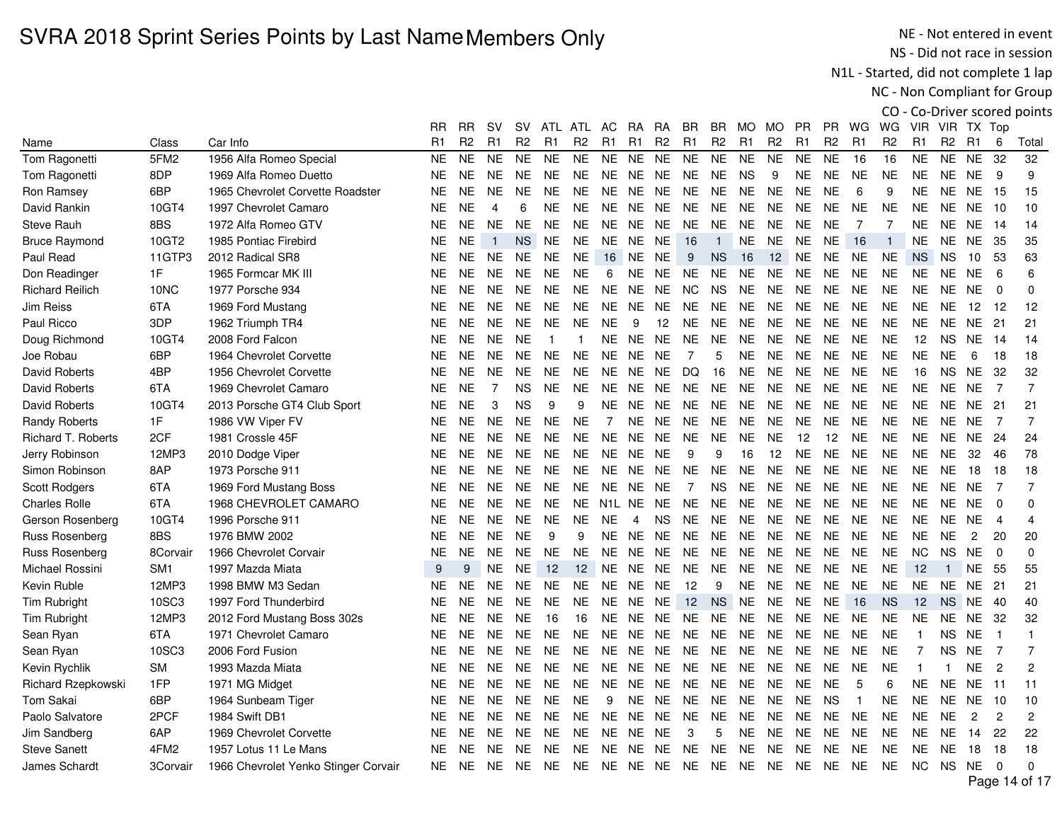NE - Not entered in event NS - Did not race in session

N1L - Started, did not complete 1 lap

NC - Non Compliant for Group

|                        |                  |                                      | RR.       | RR             | sv             | sv             | ATL            | ATL            | AC.            | RA.            | RA             | BR.            | BR.            | MO.            | MO             | <b>PR</b>      | PR.            | WG             | WG.            | <b>VIR</b>     |                | VIR TX Top     |                |                |
|------------------------|------------------|--------------------------------------|-----------|----------------|----------------|----------------|----------------|----------------|----------------|----------------|----------------|----------------|----------------|----------------|----------------|----------------|----------------|----------------|----------------|----------------|----------------|----------------|----------------|----------------|
| Name                   | Class            | Car Info                             | R1        | R <sub>2</sub> | R <sub>1</sub> | R <sub>2</sub> | R <sub>1</sub> | R <sub>2</sub> | R1             | R1             | R <sub>2</sub> | R1             | R <sub>2</sub> | R <sub>1</sub> | R <sub>2</sub> | R <sub>1</sub> | R <sub>2</sub> | R <sub>1</sub> | R <sub>2</sub> | R <sub>1</sub> | R <sub>2</sub> | R1             | 6              | Total          |
| Tom Ragonetti          | 5FM <sub>2</sub> | 1956 Alfa Romeo Special              | <b>NE</b> | <b>NE</b>      | <b>NE</b>      | <b>NE</b>      | <b>NE</b>      | <b>NE</b>      | <b>NE</b>      | <b>NE</b>      | <b>NE</b>      | <b>NE</b>      | <b>NE</b>      | <b>NE</b>      | <b>NE</b>      | <b>NE</b>      | <b>NE</b>      | 16             | 16             | <b>NE</b>      | <b>NE</b>      | <b>NE</b>      | 32             | 32             |
| Tom Ragonetti          | 8DP              | 1969 Alfa Romeo Duetto               | <b>NE</b> | <b>NE</b>      | <b>NE</b>      | <b>NE</b>      | <b>NE</b>      | <b>NE</b>      | <b>NE</b>      | NE             | <b>NE</b>      | <b>NE</b>      | <b>NE</b>      | <b>NS</b>      | 9              | NE.            | NE             | <b>NE</b>      | <b>NE</b>      | <b>NE</b>      |                | NE NE          | -9             | 9              |
| Ron Ramsey             | 6BP              | 1965 Chevrolet Corvette Roadster     | <b>NE</b> | <b>NE</b>      | <b>NE</b>      | <b>NE</b>      | <b>NE</b>      | <b>NE</b>      | NE.            | NE.            | <b>NE</b>      | NE.            | <b>NE</b>      | <b>NE</b>      | <b>NE</b>      | NE.            | <b>NE</b>      | 6              | 9              | <b>NE</b>      | NE.            | NE.            | - 15           | 15             |
| David Rankin           | 10GT4            | 1997 Chevrolet Camaro                | <b>NE</b> | <b>NE</b>      | 4              | 6              | <b>NE</b>      | <b>NE</b>      | <b>NE</b>      | <b>NE</b>      | <b>NE</b>      | <b>NE</b>      | <b>NE</b>      | <b>NE</b>      | <b>NE</b>      | <b>NE</b>      | <b>NE</b>      | <b>NE</b>      | <b>NE</b>      | <b>NE</b>      |                | NE NE          | 10             | 10             |
| <b>Steve Rauh</b>      | 8BS              | 1972 Alfa Romeo GTV                  | <b>NE</b> | <b>NE</b>      | <b>NE</b>      | <b>NE</b>      | <b>NE</b>      | <b>NE</b>      |                | NE NE NE       |                | <b>NE</b>      | <b>NE</b>      | <b>NE</b>      | <b>NE</b>      | NE.            | <b>NE</b>      | $\overline{7}$ | $\overline{7}$ | <b>NE</b>      |                | NE NE 14       |                | 14             |
| <b>Bruce Raymond</b>   | 10GT2            | 1985 Pontiac Firebird                | <b>NE</b> | <b>NE</b>      | $\overline{1}$ | <b>NS</b>      | <b>NE</b>      | <b>NE</b>      |                | NE NE NE       |                | 16             | $\overline{1}$ | <b>NE</b>      | <b>NE</b>      | <b>NE</b>      | <b>NE</b>      | 16             | $\mathbf{1}$   | <b>NE</b>      |                | NE NE          | - 35           | 35             |
| Paul Read              | 11GTP3           | 2012 Radical SR8                     | <b>NE</b> | <b>NE</b>      | <b>NE</b>      | NE.            | <b>NE</b>      | <b>NE</b>      | 16             | NE NE          |                | 9              | <b>NS</b>      | 16             | 12             | <b>NE</b>      | <b>NE</b>      | <b>NE</b>      | <b>NE</b>      | <b>NS</b>      | <b>NS</b>      | 10             | 53             | 63             |
| Don Readinger          | 1F               | 1965 Formcar MK III                  | <b>NE</b> | <b>NE</b>      | <b>NE</b>      | <b>NE</b>      | <b>NE</b>      | <b>NE</b>      | 6              |                | NE NE          | <b>NE</b>      | <b>NE</b>      | <b>NE</b>      | <b>NE</b>      | <b>NE</b>      | <b>NE</b>      | <b>NE</b>      | <b>NE</b>      | <b>NE</b>      | <b>NE</b>      | <b>NE</b>      | 6              | 6              |
| <b>Richard Reilich</b> | 10NC             | 1977 Porsche 934                     | <b>NE</b> | <b>NE</b>      | <b>NE</b>      | <b>NE</b>      | <b>NE</b>      | <b>NE</b>      | <b>NE</b>      | NE             | <b>NE</b>      | NC             | <b>NS</b>      | <b>NE</b>      | <b>NE</b>      | <b>NE</b>      | <b>NE</b>      | <b>NE</b>      | <b>NE</b>      | <b>NE</b>      | <b>NE</b>      | <b>NE</b>      | $\Omega$       | 0              |
| Jim Reiss              | 6TA              | 1969 Ford Mustang                    | <b>NE</b> | <b>NE</b>      | <b>NE</b>      | <b>NE</b>      | <b>NE</b>      | <b>NE</b>      | <b>NE</b>      | <b>NE</b>      | <b>NE</b>      | <b>NE</b>      | <b>NE</b>      | <b>NE</b>      | <b>NE</b>      | <b>NE</b>      | <b>NE</b>      | <b>NE</b>      | <b>NE</b>      | NE.            | <b>NE</b>      | 12             | -12            | 12             |
| Paul Ricco             | 3DP              | 1962 Triumph TR4                     | <b>NE</b> | <b>NE</b>      | <b>NE</b>      | <b>NE</b>      | <b>NE</b>      | <b>NE</b>      | <b>NE</b>      | 9              | 12             | NE.            | <b>NE</b>      | <b>NE</b>      | <b>NE</b>      | <b>NE</b>      | <b>NE</b>      | <b>NE</b>      | <b>NE</b>      | <b>NE</b>      | NE.            | NE.            | -21            | 21             |
| Doug Richmond          | 10GT4            | 2008 Ford Falcon                     | <b>NE</b> | <b>NE</b>      | <b>NE</b>      | <b>NE</b>      | $\mathbf 1$    |                | <b>NE</b>      | <b>NE</b>      | <b>NE</b>      | <b>NE</b>      | <b>NE</b>      | <b>NE</b>      | <b>NE</b>      | <b>NE</b>      | <b>NE</b>      | <b>NE</b>      | <b>NE</b>      | 12             | <b>NS</b>      | <b>NE</b>      | -14            | 14             |
| Joe Robau              | 6BP              | 1964 Chevrolet Corvette              | <b>NE</b> | <b>NE</b>      | <b>NE</b>      | <b>NE</b>      | <b>NE</b>      | <b>NE</b>      |                | NE NE NE       |                | 7              | 5              | <b>NE</b>      | <b>NE</b>      | <b>NE</b>      | <b>NE</b>      | <b>NE</b>      | <b>NE</b>      | <b>NE</b>      | <b>NE</b>      | 6              | 18             | 18             |
| <b>David Roberts</b>   | 4BP              | 1956 Chevrolet Corvette              | <b>NE</b> | <b>NE</b>      | <b>NE</b>      | <b>NE</b>      | <b>NE</b>      | <b>NE</b>      | <b>NE</b>      | NE NE          |                | DQ             | 16             | <b>NE</b>      | <b>NE</b>      | <b>NE</b>      | <b>NE</b>      | <b>NE</b>      | <b>NE</b>      | 16             | <b>NS</b>      | <b>NE</b>      | - 32           | 32             |
| David Roberts          | 6TA              | 1969 Chevrolet Camaro                | <b>NE</b> | <b>NE</b>      | $\overline{7}$ | ΝS             | <b>NE</b>      | <b>NE</b>      | NE.            | NE.            | <b>NE</b>      | NE.            | <b>NE</b>      | <b>NE</b>      | <b>NE</b>      | <b>NE</b>      | <b>NE</b>      | <b>NE</b>      | <b>NE</b>      | <b>NE</b>      | <b>NE</b>      | <b>NE</b>      | $\overline{7}$ | $\overline{7}$ |
| David Roberts          | 10GT4            | 2013 Porsche GT4 Club Sport          | <b>NE</b> | <b>NE</b>      | 3              | <b>NS</b>      | 9              | 9              | ΝE             | NE.            | NE.            | <b>NE</b>      | <b>NE</b>      | <b>NE</b>      | <b>NE</b>      | <b>NE</b>      | <b>NE</b>      | <b>NE</b>      | <b>NE</b>      | <b>NE</b>      | NE.            | NE.            | 21             | 21             |
| <b>Randy Roberts</b>   | 1F               | 1986 VW Viper FV                     | <b>NE</b> | <b>NE</b>      | <b>NE</b>      | <b>NE</b>      | <b>NE</b>      | <b>NE</b>      | $\overline{7}$ | <b>NE</b>      | <b>NE</b>      | <b>NE</b>      | <b>NE</b>      | <b>NE</b>      | <b>NE</b>      | <b>NE</b>      | <b>NE</b>      | <b>NE</b>      | <b>NE</b>      | <b>NE</b>      | NE.            | <b>NE</b>      | -7             | $\overline{7}$ |
| Richard T. Roberts     | 2CF              | 1981 Crossle 45F                     | <b>NE</b> | <b>NE</b>      | <b>NE</b>      | NE.            | <b>NE</b>      | <b>NE</b>      | <b>NE</b>      | NE.            | NE.            | <b>NE</b>      | <b>NE</b>      | <b>NE</b>      | <b>NE</b>      | 12             | 12             | <b>NE</b>      | <b>NE</b>      | <b>NE</b>      | NE.            | NE.            | -24            | 24             |
| Jerry Robinson         | 12MP3            | 2010 Dodge Viper                     | <b>NE</b> | <b>NE</b>      | <b>NE</b>      | NE.            | <b>NE</b>      | <b>NE</b>      | <b>NE</b>      | <b>NE</b>      | <b>NE</b>      | 9              | 9              | 16             | 12             | <b>NE</b>      | <b>NE</b>      | <b>NE</b>      | <b>NE</b>      | <b>NE</b>      | <b>NE</b>      | 32             | 46             | 78             |
| Simon Robinson         | 8AP              | 1973 Porsche 911                     | <b>NE</b> | <b>NE</b>      | <b>NE</b>      | NE.            | <b>NE</b>      | <b>NE</b>      | NE.            | <b>NE</b>      | <b>NE</b>      | <b>NE</b>      | <b>NE</b>      | <b>NE</b>      | <b>NE</b>      | <b>NE</b>      | <b>NE</b>      | <b>NE</b>      | <b>NE</b>      | <b>NE</b>      | <b>NE</b>      | 18             | 18             | 18             |
| <b>Scott Rodgers</b>   | 6TA              | 1969 Ford Mustang Boss               | <b>NE</b> | <b>NE</b>      | <b>NE</b>      | <b>NE</b>      | <b>NE</b>      | <b>NE</b>      | NE.            | NE.            | <b>NE</b>      | $\overline{7}$ | <b>NS</b>      | <b>NE</b>      | <b>NE</b>      | <b>NE</b>      | <b>NE</b>      | <b>NE</b>      | <b>NE</b>      | <b>NE</b>      | <b>NE</b>      | NE.            | 7              | $\overline{7}$ |
| <b>Charles Rolle</b>   | 6TA              | 1968 CHEVROLET CAMARO                | <b>NE</b> | <b>NE</b>      | <b>NE</b>      | <b>NE</b>      | <b>NE</b>      | NE.            | N1L NE NE      |                |                | <b>NE</b>      | <b>NE</b>      | <b>NE</b>      | <b>NE</b>      | <b>NE</b>      | NE             | <b>NE</b>      | <b>NE</b>      | <b>NE</b>      |                | NE NE          | $\Omega$       | 0              |
| Gerson Rosenberg       | 10GT4            | 1996 Porsche 911                     | <b>NE</b> | <b>NE</b>      | <b>NE</b>      | <b>NE</b>      | NE.            | <b>NE</b>      | <b>NE</b>      | $\overline{4}$ | NS.            | <b>NE</b>      | <b>NE</b>      | <b>NE</b>      | <b>NE</b>      | <b>NE</b>      | <b>NE</b>      | <b>NE</b>      | <b>NE</b>      | <b>NE</b>      | NE.            | NE.            | $\overline{4}$ | 4              |
| Russ Rosenberg         | 8BS              | 1976 BMW 2002                        | <b>NE</b> | <b>NE</b>      | <b>NE</b>      | <b>NE</b>      | 9              | 9              | <b>NE</b>      | <b>NE</b>      | <b>NE</b>      | <b>NE</b>      | <b>NE</b>      | <b>NE</b>      | <b>NE</b>      | <b>NE</b>      | <b>NE</b>      | <b>NE</b>      | <b>NE</b>      | <b>NE</b>      | <b>NE</b>      | 2              | 20             | 20             |
| Russ Rosenberg         | 8Corvair         | 1966 Chevrolet Corvair               | <b>NE</b> | <b>NE</b>      | <b>NE</b>      | <b>NE</b>      | <b>NE</b>      | <b>NE</b>      | <b>NE</b>      | <b>NE</b>      | <b>NE</b>      | <b>NE</b>      | <b>NE</b>      | <b>NE</b>      | <b>NE</b>      | <b>NE</b>      | <b>NE</b>      | <b>NE</b>      | <b>NE</b>      | <b>NC</b>      | <b>NS</b>      | <b>NE</b>      | $\Omega$       | $\Omega$       |
| Michael Rossini        | SM <sub>1</sub>  | 1997 Mazda Miata                     | 9         | 9              | <b>NE</b>      | NE.            | 12             | 12             | <b>NE</b>      | <b>NE</b>      | NE             | <b>NE</b>      | <b>NE</b>      | <b>NE</b>      | <b>NE</b>      | <b>NE</b>      | <b>NE</b>      | <b>NE</b>      | <b>NE</b>      | 12             | $\mathbf{1}$   | NE             | - 55           | 55             |
| Kevin Ruble            | 12MP3            | 1998 BMW M3 Sedan                    | <b>NE</b> | <b>NE</b>      | <b>NE</b>      | <b>NE</b>      | <b>NE</b>      | <b>NE</b>      | <b>NE</b>      | <b>NE</b>      | <b>NE</b>      | 12             | 9              | <b>NE</b>      | <b>NE</b>      | <b>NE</b>      | NE             | <b>NE</b>      | <b>NE</b>      | <b>NE</b>      | <b>NE</b>      | <b>NE</b>      | 21             | 21             |
| Tim Rubright           | 10SC3            | 1997 Ford Thunderbird                | <b>NE</b> | <b>NE</b>      | <b>NE</b>      | <b>NE</b>      | <b>NE</b>      | <b>NE</b>      | <b>NE</b>      | <b>NE</b>      | <b>NE</b>      | 12             | <b>NS</b>      | <b>NE</b>      | <b>NE</b>      | <b>NE</b>      | <b>NE</b>      | 16             | <b>NS</b>      | 12             | <b>NS</b>      | NE             | -40            | 40             |
| Tim Rubright           | 12MP3            | 2012 Ford Mustang Boss 302s          | <b>NE</b> | <b>NE</b>      | <b>NE</b>      | <b>NE</b>      | 16             | 16             | <b>NE</b>      | <b>NE</b>      | <b>NE</b>      | <b>NE</b>      | <b>NE</b>      | <b>NE</b>      | <b>NE</b>      | <b>NE</b>      | <b>NE</b>      | <b>NE</b>      | <b>NE</b>      | <b>NE</b>      |                | NE NE          | -32            | 32             |
| Sean Ryan              | 6TA              | 1971 Chevrolet Camaro                | <b>NE</b> | <b>NE</b>      | <b>NE</b>      | <b>NE</b>      | <b>NE</b>      | <b>NE</b>      | <b>NE</b>      | <b>NE</b>      | NE.            | NE.            | <b>NE</b>      | <b>NE</b>      | <b>NE</b>      | <b>NE</b>      | <b>NE</b>      | <b>NE</b>      | <b>NE</b>      | -1             | <b>NS</b>      | <b>NE</b>      |                | $\overline{1}$ |
| Sean Ryan              | 10SC3            | 2006 Ford Fusion                     | <b>NE</b> | <b>NE</b>      | <b>NE</b>      | <b>NE</b>      | NE.            | <b>NE</b>      | NE.            | NE.            | NE.            | NE.            | <b>NE</b>      | <b>NE</b>      | <b>NE</b>      | <b>NE</b>      | NE.            | <b>NE</b>      | <b>NE</b>      | $\overline{7}$ | <b>NS</b>      | <b>NE</b>      | $\overline{7}$ | 7              |
| Kevin Rychlik          | <b>SM</b>        | 1993 Mazda Miata                     | <b>NE</b> | <b>NE</b>      | <b>NE</b>      | NE.            | <b>NE</b>      | <b>NE</b>      | <b>NE</b>      | <b>NE</b>      | <b>NE</b>      | <b>NE</b>      | <b>NE</b>      | $N\mathsf{E}$  | <b>NE</b>      | <b>NE</b>      | <b>NE</b>      | <b>NE</b>      | <b>NE</b>      |                | 1              | <b>NE</b>      | $\overline{2}$ | 2              |
| Richard Rzepkowski     | 1FP              | 1971 MG Midget                       | <b>NE</b> | <b>NE</b>      | <b>NE</b>      | <b>NE</b>      | NE.            | <b>NE</b>      | <b>NE</b>      | NE.            | NE.            | <b>NE</b>      | <b>NE</b>      | <b>NE</b>      | <b>NE</b>      | <b>NE</b>      | <b>NE</b>      | 5              | 6              | <b>NE</b>      | <b>NE</b>      | <b>NE</b>      | 11             | 11             |
| Tom Sakai              | 6BP              | 1964 Sunbeam Tiger                   | <b>NE</b> | <b>NE</b>      | <b>NE</b>      | <b>NE</b>      | <b>NE</b>      | <b>NE</b>      | 9              | <b>NE</b>      | <b>NE</b>      | <b>NE</b>      | <b>NE</b>      | <b>NE</b>      | <b>NE</b>      | <b>NE</b>      | <b>NS</b>      | $\overline{1}$ | <b>NE</b>      | <b>NE</b>      | NE.            | NE.            | - 10           | 10             |
| Paolo Salvatore        | 2PCF             | 1984 Swift DB1                       | <b>NE</b> | <b>NE</b>      | <b>NE</b>      | NE.            | <b>NE</b>      | <b>NE</b>      | <b>NE</b>      | <b>NE</b>      | <b>NE</b>      | <b>NE</b>      | <b>NE</b>      | <b>NE</b>      | <b>NE</b>      | <b>NE</b>      | <b>NE</b>      | <b>NE</b>      | <b>NE</b>      | <b>NE</b>      | <b>NE</b>      | $\overline{c}$ | $\overline{c}$ | $\overline{2}$ |
| Jim Sandberg           | 6AP              | 1969 Chevrolet Corvette              | <b>NE</b> | <b>NE</b>      | <b>NE</b>      | <b>NE</b>      | <b>NE</b>      | <b>NE</b>      | <b>NE</b>      | <b>NE</b>      | <b>NE</b>      | 3              | 5              | <b>NE</b>      | <b>NE</b>      | <b>NE</b>      | <b>NE</b>      | <b>NE</b>      | <b>NE</b>      | <b>NE</b>      | <b>NE</b>      | 14             | 22             | 22             |
| <b>Steve Sanett</b>    | 4FM2             | 1957 Lotus 11 Le Mans                | <b>NE</b> | <b>NE</b>      | <b>NE</b>      | <b>NE</b>      | <b>NE</b>      | <b>NE</b>      | <b>NE</b>      | NE.            | <b>NE</b>      | <b>NE</b>      | <b>NE</b>      | <b>NE</b>      | <b>NE</b>      | <b>NE</b>      | <b>NE</b>      | <b>NE</b>      | <b>NE</b>      | <b>NE</b>      | <b>NE</b>      | 18             | 18             | 18             |
| James Schardt          | 3Corvair         | 1966 Chevrolet Yenko Stinger Corvair | <b>NE</b> | <b>NE</b>      | <b>NE</b>      | NE.            | <b>NE</b>      | <b>NE</b>      |                | NE NE NE       |                | NE NE          |                | NE NE NE       |                |                | <b>NE</b>      | <b>NE</b>      | NE.            | NC.            | NS NE          |                | $\Omega$       | 0              |
|                        |                  |                                      |           |                |                |                |                |                |                |                |                |                |                |                |                |                |                |                |                |                |                |                |                |                |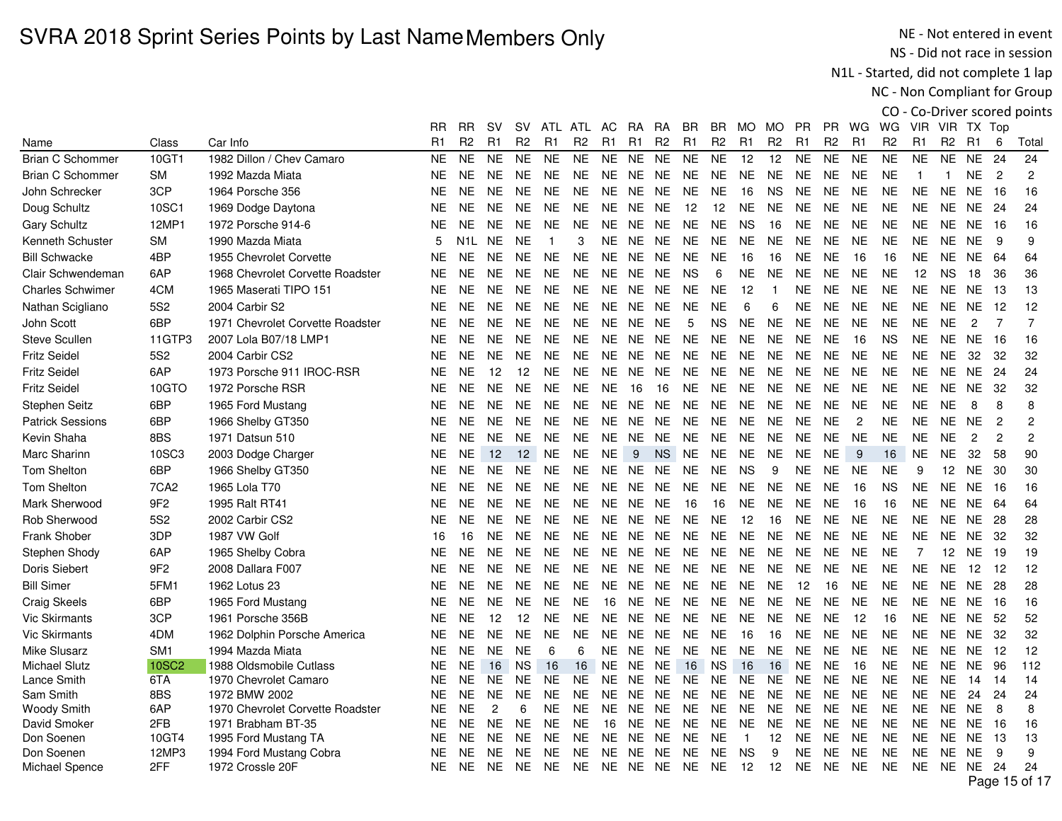NE - Not entered in event NS - Did not race in session

N1L - Started, did not complete 1 lap

NC - Non Compliant for Group

|                         |                  |                                  | RR.            | RR.              | sv                | SV.               |           | ATL ATL        | AC.            | RA.       | RA.            | BR.            | BR.            | MO MO          |                | <b>PR</b>      | PR.            | WG             | WG.            | VIR.           |                 | VIR TX Top      |                |                |
|-------------------------|------------------|----------------------------------|----------------|------------------|-------------------|-------------------|-----------|----------------|----------------|-----------|----------------|----------------|----------------|----------------|----------------|----------------|----------------|----------------|----------------|----------------|-----------------|-----------------|----------------|----------------|
| Name                    | Class            | Car Info                         | R <sub>1</sub> | R <sub>2</sub>   | R1                | R <sub>2</sub>    | R1        | R <sub>2</sub> | R <sub>1</sub> | R1        | R <sub>2</sub> | R <sub>1</sub> | R <sub>2</sub> | R <sub>1</sub> | R <sub>2</sub> | R <sub>1</sub> | R <sub>2</sub> | R <sub>1</sub> | R <sub>2</sub> | R <sub>1</sub> | R <sub>2</sub>  | R1              | 6              | Total          |
| <b>Brian C Schommer</b> | 10GT1            | 1982 Dillon / Chev Camaro        | <b>NE</b>      | <b>NE</b>        | <b>NE</b>         | <b>NE</b>         | <b>NE</b> | <b>NE</b>      | <b>NE</b>      | <b>NE</b> | <b>NE</b>      | <b>NE</b>      | <b>NE</b>      | 12             | 12             | <b>NE</b>      | <b>NE</b>      | <b>NE</b>      | <b>NE</b>      | <b>NE</b>      | <b>NE</b>       | <b>NE</b>       | 24             | 24             |
| <b>Brian C Schommer</b> | <b>SM</b>        | 1992 Mazda Miata                 | NE.            | <b>NE</b>        | <b>NE</b>         | <b>NE</b>         | <b>NE</b> | <b>NE</b>      | NE.            | <b>NE</b> | <b>NE</b>      | NE             | <b>NE</b>      | <b>NE</b>      | <b>NE</b>      | <b>NE</b>      | <b>NE</b>      | <b>NE</b>      | <b>NE</b>      | $\overline{1}$ | $\overline{1}$  | <b>NE</b>       | $\overline{2}$ | $\overline{2}$ |
| John Schrecker          | 3CP              | 1964 Porsche 356                 | <b>NE</b>      | <b>NE</b>        | <b>NE</b>         | <b>NE</b>         | <b>NE</b> | <b>NE</b>      | <b>NE</b>      | <b>NE</b> | <b>NE</b>      | <b>NE</b>      | <b>NE</b>      | 16             | <b>NS</b>      | <b>NE</b>      | NE             | <b>NE</b>      | <b>NE</b>      | <b>NE</b>      | <b>NE</b>       | <b>NE</b>       | 16             | 16             |
| Doug Schultz            | 10SC1            | 1969 Dodge Daytona               | NE.            | <b>NE</b>        | <b>NE</b>         | <b>NE</b>         | <b>NE</b> | <b>NE</b>      |                | NE NE NE  |                | 12             | 12             | <b>NE</b>      | <b>NE</b>      | <b>NE</b>      | <b>NE</b>      | <b>NE</b>      | <b>NE</b>      | <b>NE</b>      |                 | NE NE 24        |                | 24             |
| <b>Gary Schultz</b>     | 12MP1            | 1972 Porsche 914-6               | NE.            | <b>NE</b>        | <b>NE</b>         | <b>NE</b>         | <b>NE</b> | <b>NE</b>      |                | NE NE NE  |                | <b>NE</b>      | <b>NE</b>      | <b>NS</b>      | 16             | <b>NE</b>      | <b>NE</b>      | <b>NE</b>      | <b>NE</b>      | <b>NE</b>      |                 | <b>NE NE 16</b> |                | 16             |
| Kenneth Schuster        | SM               | 1990 Mazda Miata                 | 5              | N <sub>1</sub> L | <b>NE</b>         | <b>NE</b>         | 1         | 3              |                | NE NE     | <b>NE</b>      | <b>NE</b>      | <b>NE</b>      | <b>NE</b>      | <b>NE</b>      | <b>NE</b>      | <b>NE</b>      | <b>NE</b>      | <b>NE</b>      | <b>NE</b>      |                 | NE NE           | 9              | 9              |
| <b>Bill Schwacke</b>    | 4BP              | 1955 Chevrolet Corvette          | <b>NE</b>      | <b>NE</b>        | <b>NE</b>         | <b>NE</b>         | <b>NE</b> | <b>NE</b>      | NE NE          |           | NE             | <b>NE</b>      | <b>NE</b>      | 16             | 16             | <b>NE</b>      | <b>NE</b>      | 16             | 16             | <b>NE</b>      |                 | NE NE           | - 64           | 64             |
| Clair Schwendeman       | 6AP              | 1968 Chevrolet Corvette Roadster | <b>NE</b>      | <b>NE</b>        | <b>NE</b>         | <b>NE</b>         | NE.       | <b>NE</b>      | <b>NE</b>      | <b>NE</b> | <b>NE</b>      | <b>NS</b>      | 6              | <b>NE</b>      | <b>NE</b>      | <b>NE</b>      | <b>NE</b>      | <b>NE</b>      | <b>NE</b>      | 12             | <b>NS</b>       | 18              | 36             | 36             |
| <b>Charles Schwimer</b> | 4CM              | 1965 Maserati TIPO 151           | NE.            | <b>NE</b>        | <b>NE</b>         | <b>NE</b>         | <b>NE</b> | <b>NE</b>      | NE.            | <b>NE</b> | <b>NE</b>      | <b>NE</b>      | <b>NE</b>      | 12             | -1             | NE.            | <b>NE</b>      | <b>NE</b>      | <b>NE</b>      | <b>NE</b>      | <b>NE</b>       | <b>NE</b>       | -13            | 13             |
| Nathan Scigliano        | 5S <sub>2</sub>  | 2004 Carbir S2                   | NE.            | <b>NE</b>        | <b>NE</b>         | <b>NE</b>         | <b>NE</b> | <b>NE</b>      | NE.            | <b>NE</b> | NE.            | <b>NE</b>      | <b>NE</b>      | 6              | 6              | <b>NE</b>      | <b>NE</b>      | <b>NE</b>      | <b>NE</b>      | <b>NE</b>      |                 | NE NE           | 12             | 12             |
| John Scott              | 6BP              | 1971 Chevrolet Corvette Roadster | <b>NE</b>      | <b>NE</b>        | <b>NE</b>         | <b>NE</b>         | <b>NE</b> | <b>NE</b>      |                | NE NE NE  |                | 5              | <b>NS</b>      | NE.            | <b>NE</b>      | NE.            | <b>NE</b>      | <b>NE</b>      | <b>NE</b>      | <b>NE</b>      | <b>NE</b>       | $\overline{2}$  | $\overline{7}$ | $\overline{7}$ |
| <b>Steve Scullen</b>    | 11GTP3           | 2007 Lola B07/18 LMP1            | NE.            | <b>NE</b>        | <b>NE</b>         | <b>NE</b>         | <b>NE</b> | <b>NE</b>      | NE.            | <b>NE</b> | NE.            | <b>NE</b>      | NE.            | <b>NE</b>      | <b>NE</b>      | <b>NE</b>      | <b>NE</b>      | 16             | <b>NS</b>      | <b>NE</b>      |                 | NE NE           | - 16           | 16             |
| <b>Fritz Seidel</b>     | 5S2              | 2004 Carbir CS2                  | <b>NE</b>      | <b>NE</b>        | <b>NE</b>         | <b>NE</b>         | <b>NE</b> | <b>NE</b>      | NE.            | <b>NE</b> | NE.            | <b>NE</b>      | <b>NE</b>      | <b>NE</b>      | <b>NE</b>      | <b>NE</b>      | <b>NE</b>      | <b>NE</b>      | <b>NE</b>      | <b>NE</b>      | <b>NE</b>       | 32              | 32             | 32             |
| <b>Fritz Seidel</b>     | 6AP              | 1973 Porsche 911 IROC-RSR        | <b>NE</b>      | <b>NE</b>        | $12 \overline{ }$ | $12 \overline{ }$ | <b>NE</b> | <b>NE</b>      | NE.            | <b>NE</b> | <b>NE</b>      | <b>NE</b>      | <b>NE</b>      | <b>NE</b>      | <b>NE</b>      | <b>NE</b>      | <b>NE</b>      | <b>NE</b>      | <b>NE</b>      | <b>NE</b>      |                 | NE NE           | -24            | 24             |
| <b>Fritz Seidel</b>     | 10GTO            | 1972 Porsche RSR                 | NE.            | <b>NE</b>        | <b>NE</b>         | <b>NE</b>         | <b>NE</b> | <b>NE</b>      | <b>NE</b>      | 16        | 16             | NE.            | NE.            | <b>NE</b>      | <b>NE</b>      | <b>NE</b>      | <b>NE</b>      | <b>NE</b>      | <b>NE</b>      | <b>NE</b>      | NE.             | <b>NE</b>       | -32            | 32             |
| <b>Stephen Seitz</b>    | 6BP              | 1965 Ford Mustang                | <b>NE</b>      | <b>NE</b>        | <b>NE</b>         | <b>NE</b>         | <b>NE</b> | <b>NE</b>      | <b>NE</b>      | <b>NE</b> | <b>NE</b>      | <b>NE</b>      | <b>NE</b>      | <b>NE</b>      | <b>NE</b>      | <b>NE</b>      | <b>NE</b>      | <b>NE</b>      | <b>NE</b>      | <b>NE</b>      | <b>NE</b>       | 8               | 8              | 8              |
| <b>Patrick Sessions</b> | 6BP              | 1966 Shelby GT350                | NE.            | <b>NE</b>        | <b>NE</b>         | <b>NE</b>         | <b>NE</b> | <b>NE</b>      |                | NE NE     | <b>NE</b>      | NE             | <b>NE</b>      | <b>NE</b>      | <b>NE</b>      | <b>NE</b>      | <b>NE</b>      | $\overline{2}$ | <b>NE</b>      | <b>NE</b>      | <b>NE</b>       | <b>NE</b>       | $\overline{2}$ | 2              |
| Kevin Shaha             | 8BS              | 1971 Datsun 510                  | NE.            | <b>NE</b>        | <b>NE</b>         | <b>NE</b>         | NE.       | <b>NE</b>      |                | NE NE     | <b>NE</b>      | NE             | <b>NE</b>      | <b>NE</b>      | <b>NE</b>      | <b>NE</b>      | NE             | <b>NE</b>      | NE.            | <b>NE</b>      | <b>NE</b>       | $\overline{c}$  | $\overline{2}$ | 2              |
| Marc Sharinn            | 10SC3            | 2003 Dodge Charger               | <b>NE</b>      | <b>NE</b>        | 12                | 12                | <b>NE</b> | <b>NE</b>      | <b>NE</b>      | 9         | <b>NS</b>      | <b>NE</b>      | <b>NE</b>      | <b>NE</b>      | <b>NE</b>      | <b>NE</b>      | <b>NE</b>      | 9              | 16             | <b>NE</b>      | <b>NE</b>       | 32              | 58             | 90             |
| Tom Shelton             | 6BP              | 1966 Shelby GT350                | <b>NE</b>      | <b>NE</b>        | <b>NE</b>         | <b>NE</b>         | <b>NE</b> | <b>NE</b>      | NE.            | <b>NE</b> | NE.            | <b>NE</b>      | <b>NE</b>      | <b>NS</b>      | 9              | <b>NE</b>      | <b>NE</b>      | <b>NE</b>      | <b>NE</b>      | 9              | 12              | <b>NE</b>       | -30            | 30             |
| Tom Shelton             | 7CA <sub>2</sub> | 1965 Lola T70                    | NE.            | <b>NE</b>        | <b>NE</b>         | <b>NE</b>         | <b>NE</b> | <b>NE</b>      | <b>NE</b>      | NE        | NE             | <b>NE</b>      | NE             | <b>NE</b>      | <b>NE</b>      | <b>NE</b>      | <b>NE</b>      | 16             | <b>NS</b>      | <b>NE</b>      |                 | <b>NE NE 16</b> |                | 16             |
| Mark Sherwood           | 9F <sub>2</sub>  | 1995 Ralt RT41                   | NE.            | <b>NE</b>        | <b>NE</b>         | <b>NE</b>         | <b>NE</b> | <b>NE</b>      | <b>NE</b>      | <b>NE</b> | <b>NE</b>      | 16             | 16             | <b>NE</b>      | <b>NE</b>      | <b>NE</b>      | <b>NE</b>      | 16             | 16             | <b>NE</b>      | NE              | <b>NE</b>       | -64            | 64             |
| Rob Sherwood            | 5S <sub>2</sub>  | 2002 Carbir CS2                  | <b>NE</b>      | <b>NE</b>        | <b>NE</b>         | <b>NE</b>         | <b>NE</b> | <b>NE</b>      | <b>NE</b>      | <b>NE</b> | <b>NE</b>      | <b>NE</b>      | <b>NE</b>      | 12             | 16             | <b>NE</b>      | <b>NE</b>      | <b>NE</b>      | <b>NE</b>      | <b>NE</b>      | <b>NE</b>       | <b>NE</b>       | 28             | 28             |
| Frank Shober            | 3DP              | 1987 VW Golf                     | 16             | 16               | <b>NE</b>         | <b>NE</b>         | <b>NE</b> | <b>NE</b>      | NE NE          |           | <b>NE</b>      | <b>NE</b>      | <b>NE</b>      | <b>NE</b>      | <b>NE</b>      | <b>NE</b>      | <b>NE</b>      | <b>NE</b>      | <b>NE</b>      | <b>NE</b>      |                 | NE NE           | - 32           | 32             |
| Stephen Shody           | 6AP              | 1965 Shelby Cobra                | NE.            | <b>NE</b>        | <b>NE</b>         | <b>NE</b>         | <b>NE</b> | <b>NE</b>      | NE.            | <b>NE</b> | <b>NE</b>      | <b>NE</b>      | NE             | <b>NE</b>      | <b>NE</b>      | <b>NE</b>      | <b>NE</b>      | <b>NE</b>      | <b>NE</b>      | $\overline{7}$ | 12 <sup>°</sup> | NE.             | - 19           | 19             |
| Doris Siebert           | 9F <sub>2</sub>  | 2008 Dallara F007                | <b>NE</b>      | <b>NE</b>        | <b>NE</b>         | <b>NE</b>         | <b>NE</b> | <b>NE</b>      | NE.            | <b>NE</b> | <b>NE</b>      | NE             | <b>NE</b>      | <b>NE</b>      | <b>NE</b>      | <b>NE</b>      | <b>NE</b>      | <b>NE</b>      | <b>NE</b>      | <b>NE</b>      | <b>NE</b>       | 12              | 12             | 12             |
| <b>Bill Simer</b>       | 5FM1             | 1962 Lotus 23                    | NE.            | <b>NE</b>        | <b>NE</b>         | <b>NE</b>         | <b>NE</b> | <b>NE</b>      | NE.            | <b>NE</b> | <b>NE</b>      | NE             | <b>NE</b>      | <b>NE</b>      | <b>NE</b>      | 12             | 16             | <b>NE</b>      | <b>NE</b>      | <b>NE</b>      |                 | NE NE           | - 28           | 28             |
| <b>Craig Skeels</b>     | 6BP              | 1965 Ford Mustang                | <b>NE</b>      | <b>NE</b>        | <b>NE</b>         | <b>NE</b>         | NE.       | <b>NE</b>      | 16             | <b>NE</b> | <b>NE</b>      | <b>NE</b>      | <b>NE</b>      | <b>NE</b>      | <b>NE</b>      | <b>NE</b>      | <b>NE</b>      | <b>NE</b>      | <b>NE</b>      | <b>NE</b>      |                 | <b>NE NE 16</b> |                | 16             |
| <b>Vic Skirmants</b>    | 3CP              | 1961 Porsche 356B                | <b>NE</b>      | <b>NE</b>        | 12                | 12                | <b>NE</b> | <b>NE</b>      | <b>NE</b>      | <b>NE</b> | <b>NE</b>      | <b>NE</b>      | <b>NE</b>      | <b>NE</b>      | <b>NE</b>      | <b>NE</b>      | <b>NE</b>      | 12             | 16             | <b>NE</b>      |                 | NE NE           | - 52           | 52             |
| <b>Vic Skirmants</b>    | 4DM              | 1962 Dolphin Porsche America     | <b>NE</b>      | <b>NE</b>        | <b>NE</b>         | <b>NE</b>         | <b>NE</b> | <b>NE</b>      | <b>NE</b>      | <b>NE</b> | <b>NE</b>      | <b>NE</b>      | <b>NE</b>      | 16             | 16             | <b>NE</b>      | <b>NE</b>      | <b>NE</b>      | <b>NE</b>      | <b>NE</b>      |                 | NE NE           | -32            | 32             |
| Mike Slusarz            | SM <sub>1</sub>  | 1994 Mazda Miata                 | NE.            | <b>NE</b>        | <b>NE</b>         | <b>NE</b>         | 6         | 6              |                | NE NE     | <b>NE</b>      | <b>NE</b>      | <b>NE</b>      | <b>NE</b>      | <b>NE</b>      | <b>NE</b>      | <b>NE</b>      | <b>NE</b>      | <b>NE</b>      | <b>NE</b>      |                 | NE NE           | 12             | 12             |
| <b>Michael Slutz</b>    | <b>10SC2</b>     | 1988 Oldsmobile Cutlass          | NE.            | <b>NE</b>        | 16                | <b>NS</b>         | 16        | 16             | <b>NE</b>      | NE.       | <b>NE</b>      | 16             | <b>NS</b>      | 16             | 16             | <b>NE</b>      | <b>NE</b>      | 16             | <b>NE</b>      | <b>NE</b>      | <b>NE</b>       | <b>NE</b>       | 96             | 112            |
| Lance Smith             | 6TA              | 1970 Chevrolet Camaro            | <b>NE</b>      | <b>NE</b>        | <b>NE</b>         | <b>NE</b>         | <b>NE</b> | <b>NE</b>      | <b>NE</b>      | <b>NE</b> | <b>NE</b>      | <b>NE</b>      | <b>NE</b>      | <b>NE</b>      | <b>NE</b>      | <b>NE</b>      | <b>NE</b>      | <b>NE</b>      | <b>NE</b>      | <b>NE</b>      | <b>NE</b>       | 14              | -14            | 14             |
| Sam Smith               | 8BS              | 1972 BMW 2002                    | NE.            | <b>NE</b>        | <b>NE</b>         | <b>NE</b>         | NE.       | <b>NE</b>      | <b>NE</b>      | <b>NE</b> | <b>NE</b>      | <b>NE</b>      | <b>NE</b>      | <b>NE</b>      | <b>NE</b>      | <b>NE</b>      | <b>NE</b>      | <b>NE</b>      | <b>NE</b>      | <b>NE</b>      | <b>NE</b>       | 24              | 24             | 24             |
| <b>Woody Smith</b>      | 6AP              | 1970 Chevrolet Corvette Roadster | NE.            | <b>NE</b>        | $\overline{c}$    | 6                 | <b>NE</b> | <b>NE</b>      | <b>NE</b>      | <b>NE</b> | <b>NE</b>      | <b>NE</b>      | <b>NE</b>      | <b>NE</b>      | <b>NE</b>      | <b>NE</b>      | <b>NE</b>      | <b>NE</b>      | <b>NE</b>      | <b>NE</b>      | <b>NE</b>       | <b>NE</b>       | 8              | 8              |
| David Smoker            | 2FB              | 1971 Brabham BT-35               | <b>NE</b>      | <b>NE</b>        | <b>NE</b>         | <b>NE</b>         | <b>NE</b> | <b>NE</b>      | 16             | <b>NE</b> | <b>NE</b>      | <b>NE</b>      | <b>NE</b>      | <b>NE</b>      | <b>NE</b>      | <b>NE</b>      | <b>NE</b>      | <b>NE</b>      | <b>NE</b>      | <b>NE</b>      | NE.             | <b>NE</b>       | 16             | 16             |
| Don Soenen              | 10GT4            | 1995 Ford Mustang TA             | NE.            | <b>NE</b>        | <b>NE</b>         | <b>NE</b>         | <b>NE</b> | <b>NE</b>      | <b>NE</b>      | <b>NE</b> | <b>NE</b>      | <b>NE</b>      | <b>NE</b>      | $\mathbf{1}$   | 12             | NE             | <b>NE</b>      | <b>NE</b>      | <b>NE</b>      | <b>NE</b>      | <b>NE</b>       | <b>NE</b>       | 13             | 13             |
| Don Soenen              | 12MP3            | 1994 Ford Mustang Cobra          | NE.            | <b>NE</b>        | <b>NE</b>         | <b>NE</b>         | <b>NE</b> | <b>NE</b>      | <b>NE</b>      | <b>NE</b> | <b>NE</b>      | NE.            | <b>NE</b>      | <b>NS</b>      | 9              | <b>NE</b>      | <b>NE</b>      | <b>NE</b>      | <b>NE</b>      | <b>NE</b>      | <b>NE</b>       | NE.             | 9              | 9              |
| Michael Spence          | 2FF              | 1972 Crossle 20F                 | NE.            | <b>NE</b>        | <b>NE</b>         | <b>NE</b>         | <b>NE</b> | <b>NE</b>      |                | NE NE NE  |                | NE NE          |                | -12            | -12            | NE.            | <b>NE</b>      | <b>NE</b>      | <b>NE</b>      | NE.            |                 | NE NE           | - 24           | 24             |
|                         |                  |                                  |                |                  |                   |                   |           |                |                |           |                |                |                |                |                |                |                |                |                |                |                 |                 |                | Page 15 of 17  |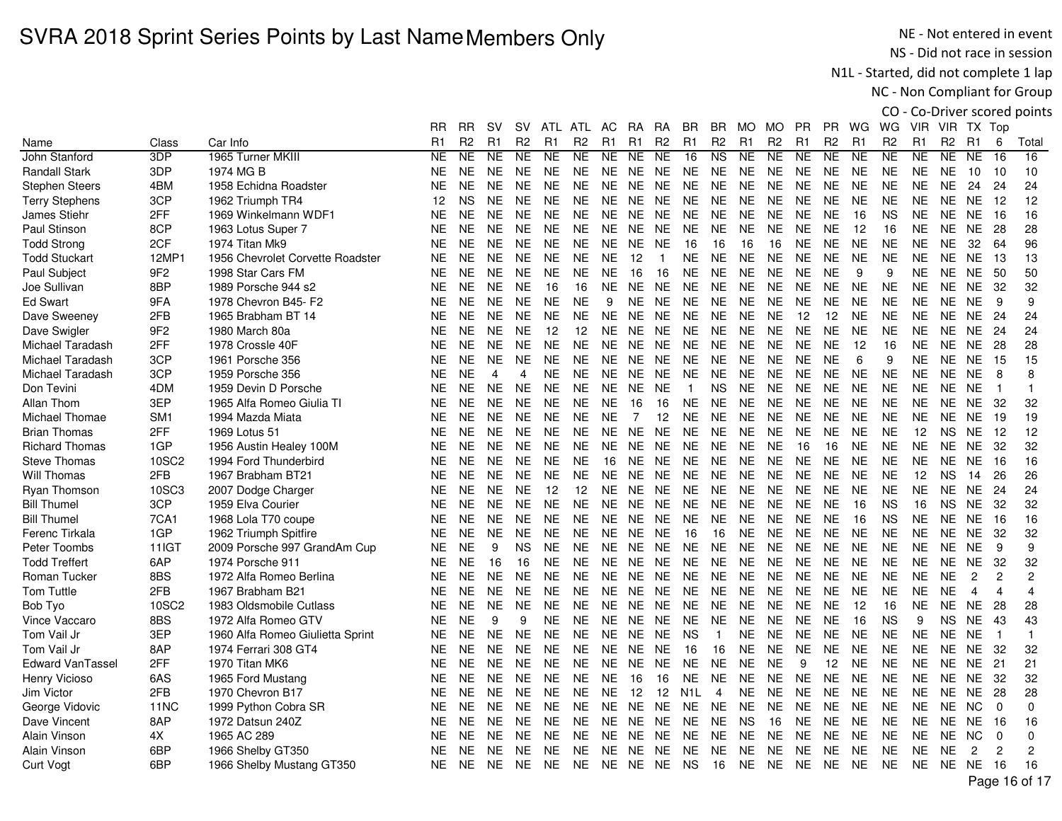NE - Not entered in event NS - Did not race in session

N1L - Started, did not complete 1 lap

NC - Non Compliant for Group

|                         |                 |                                  |                |                |           |                |                |                |                |                |                |                  |                |                |                |                |                |           |                |                |                |                |                         | CO - Co-Driver scored points |
|-------------------------|-----------------|----------------------------------|----------------|----------------|-----------|----------------|----------------|----------------|----------------|----------------|----------------|------------------|----------------|----------------|----------------|----------------|----------------|-----------|----------------|----------------|----------------|----------------|-------------------------|------------------------------|
|                         |                 |                                  | RR             | <b>RR</b>      | <b>SV</b> | <b>SV</b>      |                | ATL ATL        | AC             | <b>RA</b>      | RA             | <b>BR</b>        | BR             | MO.            | MO             | <b>PR</b>      | PR.            | WG.       | WG             |                | VIR VIR TX Top |                |                         |                              |
| Name                    | Class           | Car Info                         | R <sub>1</sub> | R <sub>2</sub> | R1        | R <sub>2</sub> | R <sub>1</sub> | R <sub>2</sub> | R <sub>1</sub> | R <sub>1</sub> | R <sub>2</sub> | R1               | R <sub>2</sub> | R <sub>1</sub> | R <sub>2</sub> | R <sub>1</sub> | R <sub>2</sub> | R1        | R <sub>2</sub> | R <sub>1</sub> | R <sub>2</sub> | <b>R1</b>      | 6                       | Total                        |
| John Stanford           | 3DP             | 1965 Turner MKIII                | <b>NE</b>      | <b>NE</b>      | NE.       | <b>NE</b>      | <b>NE</b>      | <b>NE</b>      | NE.            | <b>NE</b>      | <b>NE</b>      | 16               | <b>NS</b>      | NE.            | NE.            | NE.            | <b>NE</b>      | <b>NE</b> | <b>NE</b>      | NE.            | NE.            | NE.            | 16                      | 16                           |
| <b>Randall Stark</b>    | 3DP             | 1974 MG B                        | <b>NE</b>      | <b>NE</b>      | NE.       | <b>NE</b>      | NE.            | <b>NE</b>      | NE.            | NE             | <b>NE</b>      | <b>NE</b>        | <b>NE</b>      | <b>NE</b>      | <b>NE</b>      | <b>NE</b>      | NE.            | <b>NE</b> | <b>NE</b>      | <b>NE</b>      | NE.            | 10             | - 10                    | 10                           |
| <b>Stephen Steers</b>   | 4BM             | 1958 Echidna Roadster            | <b>NE</b>      | <b>NE</b>      | <b>NE</b> | <b>NE</b>      | <b>NE</b>      | <b>NE</b>      | <b>NE</b>      | <b>NE</b>      | <b>NE</b>      | <b>NE</b>        | <b>NE</b>      | <b>NE</b>      | <b>NE</b>      | <b>NE</b>      | <b>NE</b>      | <b>NE</b> | <b>NE</b>      | <b>NE</b>      | <b>NE</b>      | 24             | 24                      | 24                           |
| <b>Terry Stephens</b>   | 3CP             | 1962 Triumph TR4                 | 12             | <b>NS</b>      | <b>NE</b> | <b>NE</b>      | <b>NE</b>      | <b>NE</b>      | <b>NE</b>      | <b>NE</b>      | <b>NE</b>      | <b>NE</b>        | <b>NE</b>      | <b>NE</b>      | <b>NE</b>      | <b>NE</b>      | <b>NE</b>      | <b>NE</b> | <b>NE</b>      | <b>NE</b>      | <b>NE</b>      | <b>NE</b>      | 12                      | 12                           |
| James Stiehr            | 2FF             | 1969 Winkelmann WDF1             | <b>NE</b>      | <b>NE</b>      | NE.       | <b>NE</b>      | <b>NE</b>      | <b>NE</b>      | NE.            | NE.            | <b>NE</b>      | NE               | <b>NE</b>      | $N\mathsf{E}$  | <b>NE</b>      | <b>NE</b>      | NE.            | 16        | <b>NS</b>      | <b>NE</b>      | NE             | <b>NE</b>      | 16                      | 16                           |
| Paul Stinson            | 8CP             | 1963 Lotus Super 7               | <b>NE</b>      | <b>NE</b>      | NE.       | <b>NE</b>      | <b>NE</b>      | <b>NE</b>      | NE.            | <b>NE</b>      | <b>NE</b>      | <b>NE</b>        | <b>NE</b>      | <b>NE</b>      | <b>NE</b>      | <b>NE</b>      | <b>NE</b>      | 12        | 16             | <b>NE</b>      | NE.            | <b>NE</b>      | 28                      | 28                           |
| <b>Todd Strong</b>      | 2CF             | 1974 Titan Mk9                   | NE.            | <b>NE</b>      | <b>NE</b> | <b>NE</b>      | <b>NE</b>      | <b>NE</b>      | <b>NE</b>      | <b>NE</b>      | <b>NE</b>      | 16               | 16             | 16             | 16             | <b>NE</b>      | <b>NE</b>      | <b>NE</b> | <b>NE</b>      | <b>NE</b>      | <b>NE</b>      | 32             | 64                      | 96                           |
| <b>Todd Stuckart</b>    | 12MP            | 1956 Chevrolet Corvette Roadster | <b>NE</b>      | <b>NE</b>      | <b>NE</b> | <b>NE</b>      | <b>NE</b>      | <b>NE</b>      | <b>NE</b>      | 12             | $\overline{1}$ | NE.              | <b>NE</b>      | <b>NE</b>      | <b>NE</b>      | <b>NE</b>      | <b>NE</b>      | <b>NE</b> | <b>NE</b>      | <b>NE</b>      | <b>NE</b>      | <b>NE</b>      | -13                     | 13                           |
| Paul Subject            | 9F <sub>2</sub> | 1998 Star Cars FM                | <b>NE</b>      | <b>NE</b>      | <b>NE</b> | <b>NE</b>      | <b>NE</b>      | <b>NE</b>      | <b>NE</b>      | 16             | 16             | <b>NE</b>        | <b>NE</b>      | <b>NE</b>      | <b>NE</b>      | <b>NE</b>      | <b>NE</b>      | 9         | 9              | <b>NE</b>      | <b>NE</b>      | <b>NE</b>      | 50                      | 50                           |
| Joe Sullivan            | 8BP             | 1989 Porsche 944 s2              | <b>NE</b>      | <b>NE</b>      | <b>NE</b> | <b>NE</b>      | 16             | 16             | <b>NE</b>      | <b>NE</b>      | <b>NE</b>      | $N\mathsf{E}$    | <b>NE</b>      | $N\mathsf{E}$  | <b>NE</b>      | $N\mathsf{E}$  | <b>NE</b>      | <b>NE</b> | <b>NE</b>      | <b>NE</b>      | <b>NE</b>      | <b>NE</b>      | 32                      | 32                           |
| <b>Ed Swart</b>         | 9FA             | 1978 Chevron B45- F2             | <b>NE</b>      | NE.            | NE.       | <b>NE</b>      | <b>NE</b>      | <b>NE</b>      | 9              | <b>NE</b>      | <b>NE</b>      | NE.              | <b>NE</b>      | <b>NE</b>      | <b>NE</b>      | <b>NE</b>      | <b>NE</b>      | <b>NE</b> | <b>NE</b>      | <b>NE</b>      | NE.            | <b>NE</b>      | 9                       | 9                            |
| Dave Sweeney            | 2FB             | 1965 Brabham BT 14               | <b>NE</b>      | <b>NE</b>      | <b>NE</b> | <b>NE</b>      | <b>NE</b>      | <b>NE</b>      | <b>NE</b>      | <b>NE</b>      | <b>NE</b>      | <b>NE</b>        | <b>NE</b>      | <b>NE</b>      | <b>NE</b>      | 12             | 12             | <b>NE</b> | <b>NE</b>      | <b>NE</b>      | <b>NE</b>      | <b>NE</b>      | 24                      | 24                           |
| Dave Swigler            | 9F <sub>2</sub> | 1980 March 80a                   | <b>NE</b>      | <b>NE</b>      | <b>NE</b> | <b>NE</b>      | 12             | 12             | <b>NE</b>      | <b>NE</b>      | <b>NE</b>      | <b>NE</b>        | <b>NE</b>      | <b>NE</b>      | <b>NE</b>      | <b>NE</b>      | <b>NE</b>      | <b>NE</b> | <b>NE</b>      | <b>NE</b>      | <b>NE</b>      | <b>NE</b>      | 24                      | 24                           |
| Michael Taradash        | 2FF             | 1978 Crossle 40F                 | <b>NE</b>      | <b>NE</b>      | <b>NE</b> | <b>NE</b>      | <b>NE</b>      | <b>NE</b>      | <b>NE</b>      | <b>NE</b>      | <b>NE</b>      | <b>NE</b>        | <b>NE</b>      | <b>NE</b>      | <b>NE</b>      | <b>NE</b>      | <b>NE</b>      | 12        | 16             | <b>NE</b>      | NE.            | <b>NE</b>      | 28                      | 28                           |
| Michael Taradash        | 3CP             | 1961 Porsche 356                 | <b>NE</b>      | <b>NE</b>      | NE.       | NE.            | <b>NE</b>      | <b>NE</b>      | NE             | <b>NE</b>      | NE.            | <b>NE</b>        | <b>NE</b>      | <b>NE</b>      | <b>NE</b>      | <b>NE</b>      | NE.            | 6         | 9              | <b>NE</b>      | NE             | <b>NE</b>      | 15                      | 15                           |
| Michael Taradash        | 3CP             | 1959 Porsche 356                 | <b>NE</b>      | <b>NE</b>      | 4         | 4              | <b>NE</b>      | NE.            | <b>NE</b>      | NE.            | <b>NE</b>      | <b>NE</b>        | <b>NE</b>      | <b>NE</b>      | <b>NE</b>      | <b>NE</b>      | <b>NE</b>      | <b>NE</b> | <b>NE</b>      | <b>NE</b>      | NE.            | <b>NE</b>      | 8                       | 8                            |
| Don Tevini              | 4DM             | 1959 Devin D Porsche             | <b>NE</b>      | <b>NE</b>      | <b>NE</b> | <b>NE</b>      | <b>NE</b>      | <b>NE</b>      | <b>NE</b>      | NE NE          |                | $\mathbf{1}$     | <b>NS</b>      | <b>NE</b>      | <b>NE</b>      | <b>NE</b>      | <b>NE</b>      | <b>NE</b> | <b>NE</b>      | <b>NE</b>      | <b>NE</b>      | <b>NE</b>      | $\overline{\mathbf{1}}$ | $\mathbf{1}$                 |
| Allan Thom              | 3EP             | 1965 Alfa Romeo Giulia TI        | <b>NE</b>      | <b>NE</b>      | <b>NE</b> | <b>NE</b>      | <b>NE</b>      | <b>NE</b>      | <b>NE</b>      | 16             | 16             | <b>NE</b>        | <b>NE</b>      | <b>NE</b>      | <b>NE</b>      | <b>NE</b>      | <b>NE</b>      | <b>NE</b> | <b>NE</b>      | <b>NE</b>      | NE             | <b>NE</b>      | 32                      | 32                           |
| Michael Thomae          | SM <sub>1</sub> | 1994 Mazda Miata                 | <b>NE</b>      | <b>NE</b>      | <b>NE</b> | <b>NE</b>      | <b>NE</b>      | <b>NE</b>      | <b>NE</b>      | $\overline{7}$ | 12             | <b>NE</b>        | <b>NE</b>      | <b>NE</b>      | <b>NE</b>      | <b>NE</b>      | <b>NE</b>      | <b>NE</b> | <b>NE</b>      | <b>NE</b>      | NE.            | <b>NE</b>      | 19                      | 19                           |
| <b>Brian Thomas</b>     | 2FF             | 1969 Lotus 51                    | <b>NE</b>      | <b>NE</b>      | NE.       | NE.            | <b>NE</b>      | <b>NE</b>      | <b>NE</b>      | <b>NE</b>      | <b>NE</b>      | NE.              | <b>NE</b>      | <b>NE</b>      | <b>NE</b>      | <b>NE</b>      | <b>NE</b>      | <b>NE</b> | <b>NE</b>      | 12             | NS.            | NE.            | -12                     | 12                           |
| <b>Richard Thomas</b>   | 1GP             | 1956 Austin Healey 100M          | <b>NE</b>      | <b>NE</b>      | <b>NE</b> | <b>NE</b>      | <b>NE</b>      | <b>NE</b>      | <b>NE</b>      | <b>NE</b>      | <b>NE</b>      | <b>NE</b>        | <b>NE</b>      | <b>NE</b>      | <b>NE</b>      | 16             | 16             | <b>NE</b> | <b>NE</b>      | <b>NE</b>      | <b>NE</b>      | <b>NE</b>      | 32                      | 32                           |
| <b>Steve Thomas</b>     | 10SC2           | 1994 Ford Thunderbird            | <b>NE</b>      | <b>NE</b>      | <b>NE</b> | <b>NE</b>      | <b>NE</b>      | <b>NE</b>      | 16             | <b>NE</b>      | <b>NE</b>      | <b>NE</b>        | <b>NE</b>      | <b>NE</b>      | <b>NE</b>      | <b>NE</b>      | <b>NE</b>      | <b>NE</b> | <b>NE</b>      | <b>NE</b>      | <b>NE</b>      | <b>NE</b>      | 16                      | 16                           |
| Will Thomas             | 2FB             | 1967 Brabham BT21                | <b>NE</b>      | <b>NE</b>      | <b>NE</b> | <b>NE</b>      | <b>NE</b>      | <b>NE</b>      | <b>NE</b>      | <b>NE</b>      | <b>NE</b>      | $N\mathsf{E}$    | <b>NE</b>      | <b>NE</b>      | <b>NE</b>      | <b>NE</b>      | <b>NE</b>      | <b>NE</b> | <b>NE</b>      | 12             | <b>NS</b>      | 14             | 26                      | 26                           |
| Ryan Thomson            | 10SC3           | 2007 Dodge Charger               | <b>NE</b>      | NE.            | <b>NE</b> | NE.            | 12             | 12             | NE             | <b>NE</b>      | <b>NE</b>      | <b>NE</b>        | <b>NE</b>      | <b>NE</b>      | <b>NE</b>      | <b>NE</b>      | <b>NE</b>      | <b>NE</b> | <b>NE</b>      | <b>NE</b>      | NE.            | <b>NE</b>      | 24                      | 24                           |
| <b>Bill Thumel</b>      | 3CP             | 1959 Elva Courier                | <b>NE</b>      | NE.            | <b>NE</b> | <b>NE</b>      | <b>NE</b>      | <b>NE</b>      | <b>NE</b>      | NE.            | <b>NE</b>      | <b>NE</b>        | <b>NE</b>      | <b>NE</b>      | <b>NE</b>      | <b>NE</b>      | <b>NE</b>      | 16        | <b>NS</b>      | 16             | <b>NS</b>      | <b>NE</b>      | 32                      | 32                           |
| <b>Bill Thumel</b>      | 7CA1            | 1968 Lola T70 coupe              | <b>NE</b>      | <b>NE</b>      | <b>NE</b> | <b>NE</b>      | <b>NE</b>      | <b>NE</b>      | <b>NE</b>      | <b>NE</b>      | <b>NE</b>      | <b>NE</b>        | <b>NE</b>      | <b>NE</b>      | <b>NE</b>      | <b>NE</b>      | <b>NE</b>      | 16        | <b>NS</b>      | <b>NE</b>      | <b>NE</b>      | <b>NE</b>      | 16                      | 16                           |
| Ferenc Tirkala          | 1GP             | 1962 Triumph Spitfire            | <b>NE</b>      | <b>NE</b>      | <b>NE</b> | <b>NE</b>      | <b>NE</b>      | <b>NE</b>      | <b>NE</b>      | <b>NE</b>      | <b>NE</b>      | 16               | 16             | <b>NE</b>      | <b>NE</b>      | <b>NE</b>      | <b>NE</b>      | <b>NE</b> | <b>NE</b>      | <b>NE</b>      | <b>NE</b>      | <b>NE</b>      | 32                      | 32                           |
| Peter Toombs            | 11IGT           | 2009 Porsche 997 GrandAm Cup     | <b>NE</b>      | <b>NE</b>      | 9         | <b>NS</b>      | <b>NE</b>      | <b>NE</b>      | <b>NE</b>      | <b>NE</b>      | <b>NE</b>      | <b>NE</b>        | <b>NE</b>      | <b>NE</b>      | <b>NE</b>      | <b>NE</b>      | <b>NE</b>      | <b>NE</b> | <b>NE</b>      | <b>NE</b>      | NE.            | <b>NE</b>      | 9                       | 9                            |
| <b>Todd Treffert</b>    | 6AP             | 1974 Porsche 911                 | <b>NE</b>      | <b>NE</b>      | 16        | 16             | <b>NE</b>      | <b>NE</b>      | NE.            | <b>NE</b>      | <b>NE</b>      | <b>NE</b>        | <b>NE</b>      | <b>NE</b>      | <b>NE</b>      | <b>NE</b>      | <b>NE</b>      | <b>NE</b> | <b>NE</b>      | <b>NE</b>      | NE.            | <b>NE</b>      | 32                      | 32                           |
| Roman Tucker            | 8BS             | 1972 Alfa Romeo Berlina          | <b>NE</b>      | <b>NE</b>      | <b>NE</b> | <b>NE</b>      | <b>NE</b>      | <b>NE</b>      | <b>NE</b>      | NE             | <b>NE</b>      | <b>NE</b>        | <b>NE</b>      | <b>NE</b>      | <b>NE</b>      | <b>NE</b>      | <b>NE</b>      | <b>NE</b> | <b>NE</b>      | <b>NE</b>      | <b>NE</b>      | $\overline{c}$ | $\overline{c}$          | 2                            |
| <b>Tom Tuttle</b>       | 2FB             | 1967 Brabham B21                 | <b>NE</b>      | <b>NE</b>      | <b>NE</b> | <b>NE</b>      | <b>NE</b>      | <b>NE</b>      | <b>NE</b>      | <b>NE</b>      | <b>NE</b>      | <b>NE</b>        | <b>NE</b>      | <b>NE</b>      | <b>NE</b>      | <b>NE</b>      | <b>NE</b>      | <b>NE</b> | <b>NE</b>      | <b>NE</b>      | <b>NE</b>      | $\overline{4}$ | 4                       | 4                            |
| Bob Tyo                 | <b>10SC2</b>    | 1983 Oldsmobile Cutlass          | <b>NE</b>      | <b>NE</b>      | <b>NE</b> | <b>NE</b>      | <b>NE</b>      | <b>NE</b>      | <b>NE</b>      | NE             | <b>NE</b>      | <b>NE</b>        | <b>NE</b>      | <b>NE</b>      | <b>NE</b>      | <b>NE</b>      | <b>NE</b>      | 12        | 16             | <b>NE</b>      | NE.            | <b>NE</b>      | 28                      | 28                           |
| Vince Vaccaro           | 8BS             | 1972 Alfa Romeo GTV              | <b>NE</b>      | <b>NE</b>      | 9         | 9              | <b>NE</b>      | <b>NE</b>      | NE             | <b>NE</b>      | NE.            | <b>NE</b>        | <b>NE</b>      | <b>NE</b>      | <b>NE</b>      | NE.            | NE.            | 16        | <b>NS</b>      | 9              | NS.            | <b>NE</b>      | 43                      | 43                           |
| Tom Vail Jr             | 3EP             | 1960 Alfa Romeo Giulietta Sprint | <b>NE</b>      | <b>NE</b>      | <b>NE</b> | <b>NE</b>      | <b>NE</b>      | <b>NE</b>      | <b>NE</b>      | NE.            | <b>NE</b>      | <b>NS</b>        | $\overline{1}$ | <b>NE</b>      | <b>NE</b>      | <b>NE</b>      | <b>NE</b>      | <b>NE</b> | <b>NE</b>      | <b>NE</b>      | <b>NE</b>      | <b>NE</b>      | -1                      | $\mathbf{1}$                 |
| Tom Vail Jr             | 8AP             | 1974 Ferrari 308 GT4             | <b>NE</b>      | <b>NE</b>      | <b>NE</b> | <b>NE</b>      | <b>NE</b>      | <b>NE</b>      | <b>NE</b>      | NE.            | <b>NE</b>      | 16               | 16             | <b>NE</b>      | <b>NE</b>      | <b>NE</b>      | <b>NE</b>      | <b>NE</b> | <b>NE</b>      | <b>NE</b>      | <b>NE</b>      | <b>NE</b>      | 32                      | 32                           |
| <b>Edward VanTassel</b> | 2FF             | 1970 Titan MK6                   | <b>NE</b>      | <b>NE</b>      | <b>NE</b> | <b>NE</b>      | <b>NE</b>      | <b>NE</b>      | NE             | <b>NE</b>      | <b>NE</b>      | <b>NE</b>        | <b>NE</b>      | <b>NE</b>      | <b>NE</b>      | 9              | 12             | <b>NE</b> | <b>NE</b>      | <b>NE</b>      | NE.            | <b>NE</b>      | 21                      | 21                           |
| Henry Vicioso           | 6AS             | 1965 Ford Mustang                | <b>NE</b>      | NE.            | <b>NE</b> | <b>NE</b>      | <b>NE</b>      | <b>NE</b>      | <b>NE</b>      | 16             | 16             | <b>NE</b>        | <b>NE</b>      | <b>NE</b>      | <b>NE</b>      | <b>NE</b>      | <b>NE</b>      | <b>NE</b> | <b>NE</b>      | <b>NE</b>      | NE             | <b>NE</b>      | 32                      | 32                           |
| Jim Victor              | 2FB             | 1970 Chevron B17                 | <b>NE</b>      | <b>NE</b>      | NE.       | NE.            | <b>NE</b>      | <b>NE</b>      | <b>NE</b>      | 12             | 12             | N <sub>1</sub> L | $\overline{4}$ | NE.            | <b>NE</b>      | <b>NE</b>      | <b>NE</b>      | <b>NE</b> | <b>NE</b>      | <b>NE</b>      | NE             | <b>NE</b>      | 28                      | 28                           |
| George Vidovic          | 11NC            | 1999 Python Cobra SR             | <b>NE</b>      | <b>NE</b>      | <b>NE</b> | <b>NE</b>      | <b>NE</b>      | <b>NE</b>      | <b>NE</b>      | <b>NE</b>      | <b>NE</b>      | <b>NE</b>        | <b>NE</b>      | <b>NE</b>      | <b>NE</b>      | <b>NE</b>      | <b>NE</b>      | <b>NE</b> | <b>NE</b>      | <b>NE</b>      | <b>NE</b>      | <b>NC</b>      | $\mathbf 0$             | 0                            |
| Dave Vincent            | 8AP             | 1972 Datsun 240Z                 | <b>NE</b>      | <b>NE</b>      | <b>NE</b> | <b>NE</b>      | <b>NE</b>      | <b>NE</b>      | <b>NE</b>      | <b>NE</b>      | <b>NE</b>      | <b>NE</b>        | <b>NE</b>      | <b>NS</b>      | 16             | <b>NE</b>      | <b>NE</b>      | <b>NE</b> | <b>NE</b>      | <b>NE</b>      | <b>NE</b>      | <b>NE</b>      | 16                      | 16                           |
| Alain Vinson            | 4X              | 1965 AC 289                      | <b>NE</b>      | <b>NE</b>      | <b>NE</b> | <b>NE</b>      | <b>NE</b>      | <b>NE</b>      | <b>NE</b>      | <b>NE</b>      | <b>NE</b>      | <b>NE</b>        | <b>NE</b>      | <b>NE</b>      | <b>NE</b>      | <b>NE</b>      | <b>NE</b>      | <b>NE</b> | <b>NE</b>      | <b>NE</b>      | NE.            | <b>NC</b>      | $\mathbf 0$             | 0                            |
| Alain Vinson            | 6BP             | 1966 Shelby GT350                | <b>NE</b>      | <b>NE</b>      | NE.       | NE.            | <b>NE</b>      | NE.            | NE.            | NE.            | <b>NE</b>      | NE.              | <b>NE</b>      | <b>NE</b>      | <b>NE</b>      | <b>NE</b>      | NE.            | <b>NE</b> | NE.            | <b>NE</b>      | NE             | 2              | $\overline{c}$          | 2                            |
| <b>Curt Vogt</b>        | 6BP             | 1966 Shelby Mustang GT350        | <b>NE</b>      | NE.            | NE.       | NE.            | <b>NE</b>      | <b>NE</b>      |                | NE NE NE       |                | <b>NS</b>        | 16             | <b>NE</b>      | <b>NE</b>      | NE             | <b>NE</b>      | <b>NE</b> | <b>NE</b>      | NE.            |                | NE NE          | - 16                    | 16                           |
|                         |                 |                                  |                |                |           |                |                |                |                |                |                |                  |                |                |                |                |                |           |                |                |                |                |                         |                              |